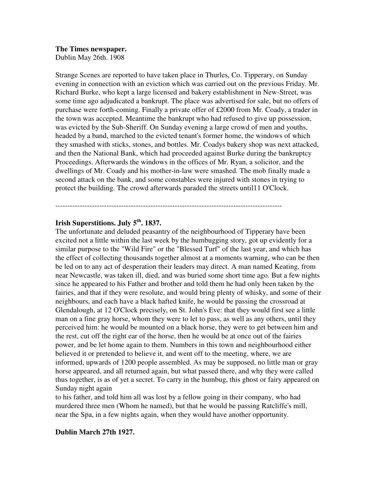# **The Times newspaper.**

Dublin May 26th. 1908

Strange Scenes are reported to have taken place in Thurles, Co. Tipperary, on Sunday evening in connection with an eviction which was carried out on the previous Friday. Mr. Richard Burke, who kept a large licensed and bakery establishment in New-Street, was some time ago adjudicated a bankrupt. The place was advertised for sale, but no offers of purchase were forth-coming. Finally a private offer of £2000 from Mr. Coady, a trader in the town was accepted. Meantime the bankrupt who had refused to give up possession, was evicted by the Sub-Sheriff. On Sunday evening a large crowd of men and youths, headed by a band, marched to the evicted tenant's former home, the windows of which they smashed with sticks, stones, and bottles. Mr. Coadys bakery shop was next attacked, and then the National Bank, which had proceeded against Burke during the bankruptcy Proceedings. Afterwards the windows in the offices of Mr. Ryan, a solicitor, and the dwellings of Mr. Coady and his mother-in-law were smashed. The mob finally made a second attack on the bank, and some constables were injured with stones in trying to protect the building. The crowd afterwards paraded the streets until11 O'Clock.

---------------------------------------------------------------------------------------------

# **Irish Superstitions. July 5th. 1837.**

The unfortunate and deluded peasantry of the neighbourhood of Tipperary have been excited not a little within the last week by the humbugging story, got up evidently for a similar purpose to the "Wild Fire" or the "Blessed Turf" of the last year, and which has the effect of collecting thousands together almost at a moments warning, who can be then be led on to any act of desperation their leaders may direct. A man named Keating, from near Newcastle, was taken ill, died, and was buried some short time ago. But a few nights since he appeared to his Father and brother and told them he had only been taken by the fairies, and that if they were resolute, and would bring plenty of whisky, and some of their neighbours, and each have a black hafted knife, he would be passing the crossroad at Glendalough, at 12 O'Clock precisely, on St. John's Eve: that they would first see a little man on a fine gray horse, whom they were to let to pass, as well as any others, until they perceived him: he would be mounted on a black horse, they were to get between him and the rest, cut off the right ear of the horse, then he would be at once out of the fairies power, and be let home again to them. Numbers in this town and neighbourhood either believed it or pretended to believe it, and went off to the meeting, where, we are informed, upwards of 1200 people assembled. As may be supposed, no little man or gray horse appeared, and all returned again, but what passed there, and why they were called thus together, is as of yet a secret. To carry in the humbug, this ghost or fairy appeared on Sunday night again

to his father, and told him all was lost by a fellow going in their company, who had murdered three men (Whom he named), but that he would be passing Ratcliffe's mill, near the Spa, in a few nights again, when they would have another opportunity.

# **Dublin March 27th 1927.**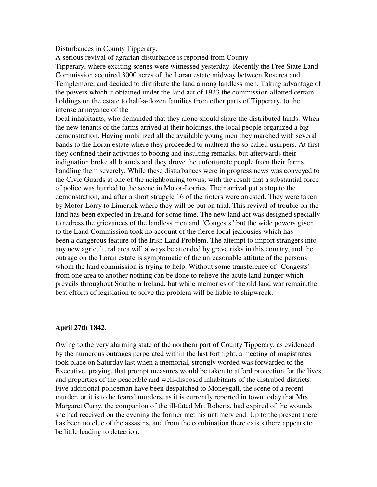#### Disturbances in County Tipperary.

A serious revival of agrarian disturbance is reported from County Tipperary, where exciting scenes were witnessed yesterday. Recently the Free State Land Commission acquired 3000 acres of the Loran estate midway between Roscrea and Templemore, and decided to distribute the land among landless men. Taking advantage of the powers which it obtained under the land act of 1923 the commission allotted certain holdings on the estate to half-a-dozen families from other parts of Tipperary, to the intense annoyance of the

local inhabitants, who demanded that they alone should share the distributed lands. When the new tenants of the farms arrived at their holdings, the local people organized a big demonstration. Having mobilized all the available young men they marched with several bands to the Loran estate where they proceeded to maltreat the so-called usurpers. At first they confined their activities to booing and insulting remarks, but afterwards their indignation broke all bounds and they drove the unfortunate people from their farms, handling them severely. While these disturbances were in progress news was conveyed to the Civic Guards at one of the neighbouring towns, with the result that a substantial force of police was hurried to the scene in Motor-Lorries. Their arrival put a stop to the demonstration, and after a short struggle 16 of the rioters were arrested. They were taken by Motor-Lorry to Limerick where they will be put on trial. This revival of trouble on the land has been expected in Ireland for some time. The new land act was designed specially to redress the grievances of the landless men and "Congests" but the wide powers given to the Land Commission took no account of the fierce local jealousies which has been a dangerous feature of the Irish Land Problem. The attempt to import strangers into any new agricultural area will always be attended by grave risks in this country, and the outrage on the Loran estate is symptomatic of the unreasonable attitute of the persons whom the land commission is trying to help. Without some transference of "Congests" from one area to another nothing can be done to relieve the acute land hunger which prevails throughout Southern Ireland, but while memories of the old land war remain,the best efforts of legislation to solve the problem will be liable to shipwreck.

## **April 27th 1842.**

Owing to the very alarming state of the northern part of County Tipperary, as evidenced by the numerous outrages perperated within the last fortnight, a meeting of magistrates took place on Saturday last when a memorial, strongly worded was forwarded to the Executive, praying, that prompt measures would be taken to afford protection for the lives and properties of the peaceable and well-disposed inhabitants of the distrubed districts. Five additional policeman have been despatched to Moneygall, the scene of a recent murder, or it is to be feared murders, as it is currently reported in town today that Mrs Margaret Curry, the companion of the ill-fated Mr. Roberts, had expired of the wounds she had received on the evening the former met his untimely end. Up to the present there has been no clue of the assasins, and from the combination there exists there appears to be little leading to detection.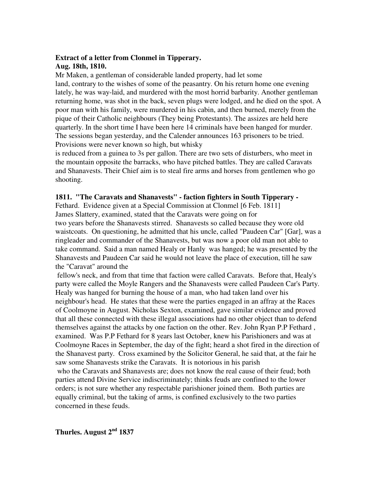# **Extract of a letter from Clonmel in Tipperary. Aug. 18th, 1810.**

Mr Maken, a gentleman of considerable landed property, had let some land, contrary to the wishes of some of the peasantry. On his return home one evening lately, he was way-laid, and murdered with the most horrid barbarity. Another gentleman returning home, was shot in the back, seven plugs were lodged, and he died on the spot. A poor man with his family, were murdered in his cabin, and then burned, merely from the pique of their Catholic neighbours (They being Protestants). The assizes are held here quarterly. In the short time I have been here 14 criminals have been hanged for murder. The sessions began yesterday, and the Calender announces 163 prisoners to be tried. Provisions were never known so high, but whisky

is reduced from a guinea to 3s per gallon. There are two sets of disturbers, who meet in the mountain opposite the barracks, who have pitched battles. They are called Caravats and Shanavests. Their Chief aim is to steal fire arms and horses from gentlemen who go shooting.

## **1811. "The Caravats and Shanavests" - faction fighters in South Tipperary -**

Fethard. Evidence given at a Special Commission at Clonmel [6 Feb. 1811] James Slattery, examined, stated that the Caravats were going on for two years before the Shanavests stirred. Shanavests so called because they wore old waistcoats. On questioning, he admitted that his uncle, called "Paudeen Car" [Gar], was a ringleader and commander of the Shanavests, but was now a poor old man not able to take command. Said a man named Healy or Hanly was hanged; he was presented by the Shanavests and Paudeen Car said he would not leave the place of execution, till he saw the "Caravat" around the

 fellow's neck, and from that time that faction were called Caravats. Before that, Healy's party were called the Moyle Rangers and the Shanavests were called Paudeen Car's Party. Healy was hanged for burning the house of a man, who had taken land over his neighbour's head. He states that these were the parties engaged in an affray at the Races of Coolmoyne in August. Nicholas Sexton, examined, gave similar evidence and proved that all these connected with these illegal associations had no other object than to defend themselves against the attacks by one faction on the other. Rev. John Ryan P.P Fethard , examined. Was P.P Fethard for 8 years last October, knew his Parishioners and was at Coolmoyne Races in September, the day of the fight; heard a shot fired in the direction of the Shanavest party. Cross examined by the Solicitor General, he said that, at the fair he saw some Shanavests strike the Caravats. It is notorious in his parish who the Caravats and Shanavests are; does not know the real cause of their feud; both parties attend Divine Service indiscriminately; thinks feuds are confined to the lower orders; is not sure whether any respectable parishioner joined them. Both parties are equally criminal, but the taking of arms, is confined exclusively to the two parties concerned in these feuds.

**Thurles. August 2nd 1837**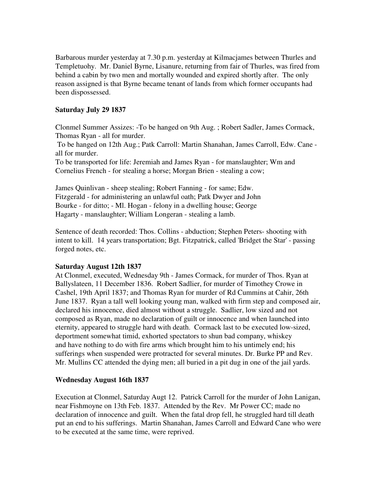Barbarous murder yesterday at 7.30 p.m. yesterday at Kilmacjames between Thurles and Templetuohy. Mr. Daniel Byrne, Lisanure, returning from fair of Thurles, was fired from behind a cabin by two men and mortally wounded and expired shortly after. The only reason assigned is that Byrne became tenant of lands from which former occupants had been dispossessed.

# **Saturday July 29 1837**

Clonmel Summer Assizes: -To be hanged on 9th Aug. ; Robert Sadler, James Cormack, Thomas Ryan - all for murder.

 To be hanged on 12th Aug.; Patk Carroll: Martin Shanahan, James Carroll, Edw. Cane all for murder.

To be transported for life: Jeremiah and James Ryan - for manslaughter; Wm and Cornelius French - for stealing a horse; Morgan Brien - stealing a cow;

James Quinlivan - sheep stealing; Robert Fanning - for same; Edw. Fitzgerald - for administering an unlawful oath; Patk Dwyer and John Bourke - for ditto; - Ml. Hogan - felony in a dwelling house; George Hagarty - manslaughter; William Longeran - stealing a lamb.

Sentence of death recorded: Thos. Collins - abduction; Stephen Peters- shooting with intent to kill. 14 years transportation; Bgt. Fitzpatrick, called 'Bridget the Star' - passing forged notes, etc.

## **Saturday August 12th 1837**

At Clonmel, executed, Wednesday 9th - James Cormack, for murder of Thos. Ryan at Ballyslateen, 11 December 1836. Robert Sadlier, for murder of Timothey Crowe in Cashel, 19th April 1837; and Thomas Ryan for murder of Rd Cummins at Cahir, 26th June 1837. Ryan a tall well looking young man, walked with firm step and composed air, declared his innocence, died almost without a struggle. Sadlier, low sized and not composed as Ryan, made no declaration of guilt or innocence and when launched into eternity, appeared to struggle hard with death. Cormack last to be executed low-sized, deportment somewhat timid, exhorted spectators to shun bad company, whiskey and have nothing to do with fire arms which brought him to his untimely end; his sufferings when suspended were protracted for several minutes. Dr. Burke PP and Rev. Mr. Mullins CC attended the dying men; all buried in a pit dug in one of the jail yards.

## **Wednesday August 16th 1837**

Execution at Clonmel, Saturday Augt 12. Patrick Carroll for the murder of John Lanigan, near Fishmoyne on 13th Feb. 1837. Attended by the Rev. Mr Power CC; made no declaration of innocence and guilt. When the fatal drop fell, he struggled hard till death put an end to his sufferings. Martin Shanahan, James Carroll and Edward Cane who were to be executed at the same time, were reprived.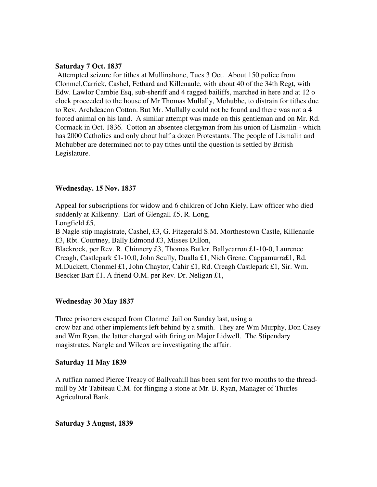#### **Saturday 7 Oct. 1837**

 Attempted seizure for tithes at Mullinahone, Tues 3 Oct. About 150 police from Clonmel,Carrick, Cashel, Fethard and Killenaule, with about 40 of the 34th Regt, with Edw. Lawlor Cambie Esq, sub-sheriff and 4 ragged bailiffs, marched in here and at 12 o clock proceeded to the house of Mr Thomas Mullally, Mohubbe, to distrain for tithes due to Rev. Archdeacon Cotton. But Mr. Mullally could not be found and there was not a 4 footed animal on his land. A similar attempt was made on this gentleman and on Mr. Rd. Cormack in Oct. 1836. Cotton an absentee clergyman from his union of Lismalin - which has 2000 Catholics and only about half a dozen Protestants. The people of Lismalin and Mohubber are determined not to pay tithes until the question is settled by British Legislature.

#### **Wednesday. 15 Nov. 1837**

Appeal for subscriptions for widow and 6 children of John Kiely, Law officer who died suddenly at Kilkenny. Earl of Glengall £5, R. Long,

Longfield £5,

B Nagle stip magistrate, Cashel, £3, G. Fitzgerald S.M. Morthestown Castle, Killenaule £3, Rbt. Courtney, Bally Edmond £3, Misses Dillon,

Blackrock, per Rev. R. Chinnery £3, Thomas Butler, Ballycarron £1-10-0, Laurence Creagh, Castlepark £1-10.0, John Scully, Dualla £1, Nich Grene, Cappamurra£1, Rd. M.Duckett, Clonmel £1, John Chaytor, Cahir £1, Rd. Creagh Castlepark £1, Sir. Wm. Beecker Bart £1, A friend O.M. per Rev. Dr. Neligan £1,

## **Wednesday 30 May 1837**

Three prisoners escaped from Clonmel Jail on Sunday last, using a crow bar and other implements left behind by a smith. They are Wm Murphy, Don Casey and Wm Ryan, the latter charged with firing on Major Lidwell. The Stipendary magistrates, Nangle and Wilcox are investigating the affair.

#### **Saturday 11 May 1839**

A ruffian named Pierce Treacy of Ballycahill has been sent for two months to the threadmill by Mr Tabiteau C.M. for flinging a stone at Mr. B. Ryan, Manager of Thurles Agricultural Bank.

**Saturday 3 August, 1839**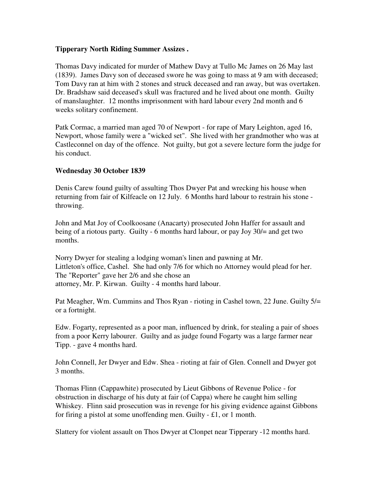## **Tipperary North Riding Summer Assizes .**

Thomas Davy indicated for murder of Mathew Davy at Tullo Mc James on 26 May last (1839). James Davy son of deceased swore he was going to mass at 9 am with deceased; Tom Davy ran at him with 2 stones and struck deceased and ran away, but was overtaken. Dr. Bradshaw said deceased's skull was fractured and he lived about one month. Guilty of manslaughter. 12 months imprisonment with hard labour every 2nd month and 6 weeks solitary confinement.

Patk Cormac, a married man aged 70 of Newport - for rape of Mary Leighton, aged 16, Newport, whose family were a "wicked set". She lived with her grandmother who was at Castleconnel on day of the offence. Not guilty, but got a severe lecture form the judge for his conduct.

## **Wednesday 30 October 1839**

Denis Carew found guilty of assulting Thos Dwyer Pat and wrecking his house when returning from fair of Kilfeacle on 12 July. 6 Months hard labour to restrain his stone throwing.

John and Mat Joy of Coolkoosane (Anacarty) prosecuted John Haffer for assault and being of a riotous party. Guilty - 6 months hard labour, or pay Joy 30/= and get two months.

Norry Dwyer for stealing a lodging woman's linen and pawning at Mr. Littleton's office, Cashel. She had only 7/6 for which no Attorney would plead for her. The "Reporter" gave her 2/6 and she chose an attorney, Mr. P. Kirwan. Guilty - 4 months hard labour.

Pat Meagher, Wm. Cummins and Thos Ryan - rioting in Cashel town, 22 June. Guilty 5/= or a fortnight.

Edw. Fogarty, represented as a poor man, influenced by drink, for stealing a pair of shoes from a poor Kerry labourer. Guilty and as judge found Fogarty was a large farmer near Tipp. - gave 4 months hard.

John Connell, Jer Dwyer and Edw. Shea - rioting at fair of Glen. Connell and Dwyer got 3 months.

Thomas Flinn (Cappawhite) prosecuted by Lieut Gibbons of Revenue Police - for obstruction in discharge of his duty at fair (of Cappa) where he caught him selling Whiskey. Flinn said prosecution was in revenge for his giving evidence against Gibbons for firing a pistol at some unoffending men. Guilty - £1, or 1 month.

Slattery for violent assault on Thos Dwyer at Clonpet near Tipperary -12 months hard.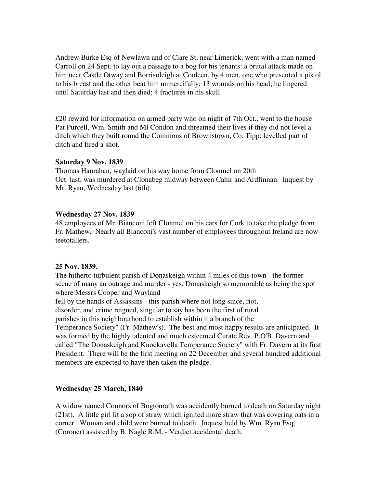Andrew Burke Esq of Newlawn and of Clare St, near Limerick, went with a man named Carroll on 24 Sept. to lay out a passage to a bog for his tenants: a brutal attack made on him near Castle Otway and Borrisoleigh at Cooleen, by 4 men, one who presented a pistol to his breast and the other beat him unmercifully; 13 wounds on his head; he lingered until Saturday last and then died; 4 fractures in his skull.

£20 reward for information on armed party who on night of 7th Oct., went to the house Pat Purcell, Wm. Smith and Ml Condon and threatned their lives if they did not level a ditch which they built round the Commons of Brownstown, Co. Tipp; levelled part of ditch and fired a shot.

#### **Saturday 9 Nov. 1839**

Thomas Hanrahan, waylaid on his way home from Clonmel on 20th Oct. last, was murdered at Clonabeg midway between Cahir and Ardfinnan. Inquest by Mr. Ryan, Wednesday last (6th).

## **Wednesday 27 Nov. 1839**

48 employees of Mr. Bianconi left Clonmel on his cars for Cork to take the pledge from Fr. Mathew. Nearly all Bianconi's vast number of employees throughout Ireland are now teetotallers.

#### **25 Nov. 1839.**

The hitherto turbulent parish of Donaskeigh within 4 miles of this town - the former scene of many an outrage and murder - yes, Donaskeigh so memorable as being the spot where Messrs Cooper and Wayland

fell by the hands of Assassins - this parish where not long since, riot,

disorder, and crime reigned, singular to say has been the first of rural

parishes in this neighbourhood to establish within it a branch of the

Temperance Society" (Fr. Mathew's). The best and most happy results are anticipated. It was formed by the highly talented and much esteemed Curate Rev. P.O'B. Davern and called "The Donaskeigh and Knockavella Temperance Society" with Fr. Davern at its first President. There will be the first meeting on 22 December and several hundred additional members are expected to have then taken the pledge.

## **Wednesday 25 March, 1840**

A widow named Connors of Bogtonrath was accidently burned to death on Saturday night (21st). A little girl lit a sop of straw which ignited more straw that was covering oats in a corner. Woman and child were burned to death. Inquest held by Wm. Ryan Esq, (Coroner) assisted by B. Nagle R.M. - Verdict accidental death.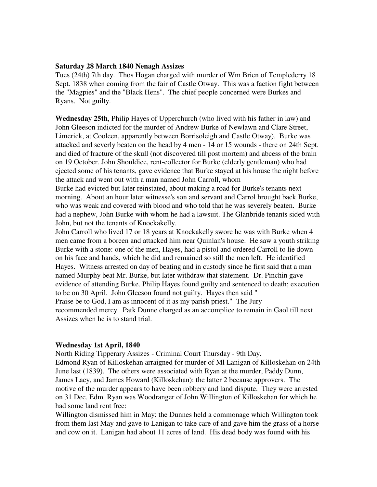#### **Saturday 28 March 1840 Nenagh Assizes**

Tues (24th) 7th day. Thos Hogan charged with murder of Wm Brien of Templederry 18 Sept. 1838 when coming from the fair of Castle Otway. This was a faction fight between the "Magpies" and the "Black Hens". The chief people concerned were Burkes and Ryans. Not guilty.

**Wednesday 25th**, Philip Hayes of Upperchurch (who lived with his father in law) and John Gleeson indicted for the murder of Andrew Burke of Newlawn and Clare Street, Limerick, at Cooleen, apparently between Borrisoleigh and Castle Otway). Burke was attacked and severly beaten on the head by 4 men - 14 or 15 wounds - there on 24th Sept. and died of fracture of the skull (not discovered till post mortem) and abcess of the brain on 19 October. John Shouldice, rent-collector for Burke (elderly gentleman) who had ejected some of his tenants, gave evidence that Burke stayed at his house the night before the attack and went out with a man named John Carroll, whom

Burke had evicted but later reinstated, about making a road for Burke's tenants next morning. About an hour later witnesse's son and servant and Carrol brought back Burke, who was weak and covered with blood and who told that he was severely beaten. Burke had a nephew, John Burke with whom he had a lawsuit. The Glanbride tenants sided with John, but not the tenants of Knockakelly.

John Carroll who lived 17 or 18 years at Knockakelly swore he was with Burke when 4 men came from a boreen and attacked him near Quinlan's house. He saw a youth striking Burke with a stone: one of the men, Hayes, had a pistol and ordered Carroll to lie down on his face and hands, which he did and remained so still the men left. He identified Hayes. Witness arrested on day of beating and in custody since he first said that a man named Murphy beat Mr. Burke, but later withdraw that statement. Dr. Pinchin gave evidence of attending Burke. Philip Hayes found guilty and sentenced to death; execution to be on 30 April. John Gleeson found not guilty. Hayes then said " Praise be to God, I am as innocent of it as my parish priest." The Jury recommended mercy. Patk Dunne charged as an accomplice to remain in Gaol till next Assizes when he is to stand trial.

#### **Wednesday 1st April, 1840**

North Riding Tipperary Assizes - Criminal Court Thursday - 9th Day. Edmond Ryan of Killoskehan arraigned for murder of Ml Lanigan of Killoskehan on 24th June last (1839). The others were associated with Ryan at the murder, Paddy Dunn, James Lacy, and James Howard (Killoskehan): the latter 2 because approvers. The motive of the murder appears to have been robbery and land dispute. They were arrested on 31 Dec. Edm. Ryan was Woodranger of John Willington of Killoskehan for which he had some land rent free:

Willington dismissed him in May: the Dunnes held a commonage which Willington took from them last May and gave to Lanigan to take care of and gave him the grass of a horse and cow on it. Lanigan had about 11 acres of land. His dead body was found with his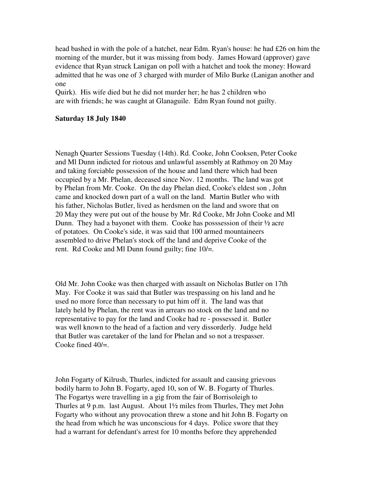head bashed in with the pole of a hatchet, near Edm. Ryan's house: he had £26 on him the morning of the murder, but it was missing from body. James Howard (approver) gave evidence that Ryan struck Lanigan on poll with a hatchet and took the money: Howard admitted that he was one of 3 charged with murder of Milo Burke (Lanigan another and one

Quirk). His wife died but he did not murder her; he has 2 children who are with friends; he was caught at Glanaguile. Edm Ryan found not guilty.

## **Saturday 18 July 1840**

Nenagh Quarter Sessions Tuesday (14th). Rd. Cooke, John Cooksen, Peter Cooke and Ml Dunn indicted for riotous and unlawful assembly at Rathmoy on 20 May and taking forciable possession of the house and land there which had been occupied by a Mr. Phelan, deceased since Nov. 12 months. The land was got by Phelan from Mr. Cooke. On the day Phelan died, Cooke's eldest son , John came and knocked down part of a wall on the land. Martin Butler who with his father, Nicholas Butler, lived as herdsmen on the land and swore that on 20 May they were put out of the house by Mr. Rd Cooke, Mr John Cooke and Ml Dunn. They had a bayonet with them. Cooke has posssession of their ½ acre of potatoes. On Cooke's side, it was said that 100 armed mountaineers assembled to drive Phelan's stock off the land and deprive Cooke of the rent. Rd Cooke and Ml Dunn found guilty; fine 10/=.

Old Mr. John Cooke was then charged with assault on Nicholas Butler on 17th May. For Cooke it was said that Butler was trespassing on his land and he used no more force than necessary to put him off it. The land was that lately held by Phelan, the rent was in arrears no stock on the land and no representative to pay for the land and Cooke had re - possessed it. Butler was well known to the head of a faction and very dissorderly. Judge held that Butler was caretaker of the land for Phelan and so not a trespasser. Cooke fined 40/=.

John Fogarty of Kilrush, Thurles, indicted for assault and causing grievous bodily harm to John B. Fogarty, aged 10, son of W. B. Fogarty of Thurles. The Fogartys were travelling in a gig from the fair of Borrisoleigh to Thurles at 9 p.m. last August. About 1½ miles from Thurles, They met John Fogarty who without any provocation threw a stone and hit John B. Fogarty on the head from which he was unconscious for 4 days. Police swore that they had a warrant for defendant's arrest for 10 months before they apprehended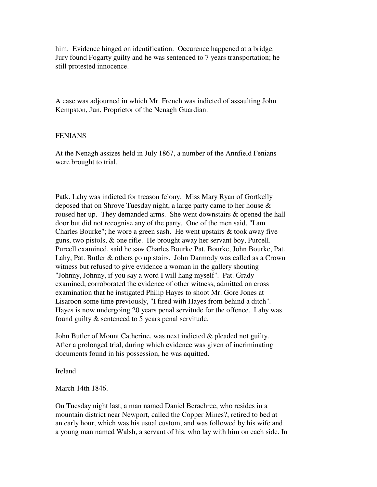him. Evidence hinged on identification. Occurence happened at a bridge. Jury found Fogarty guilty and he was sentenced to 7 years transportation; he still protested innocence.

A case was adjourned in which Mr. French was indicted of assaulting John Kempston, Jun, Proprietor of the Nenagh Guardian.

#### **FENIANS**

At the Nenagh assizes held in July 1867, a number of the Annfield Fenians were brought to trial.

Patk. Lahy was indicted for treason felony. Miss Mary Ryan of Gortkelly deposed that on Shrove Tuesday night, a large party came to her house & roused her up. They demanded arms. She went downstairs & opened the hall door but did not recognise any of the party. One of the men said, "I am Charles Bourke"; he wore a green sash. He went upstairs & took away five guns, two pistols, & one rifle. He brought away her servant boy, Purcell. Purcell examined, said he saw Charles Bourke Pat. Bourke, John Bourke, Pat. Lahy, Pat. Butler & others go up stairs. John Darmody was called as a Crown witness but refused to give evidence a woman in the gallery shouting "Johnny, Johnny, if you say a word I will hang myself". Pat. Grady examined, corroborated the evidence of other witness, admitted on cross examination that he instigated Philip Hayes to shoot Mr. Gore Jones at Lisaroon some time previously, "I fired with Hayes from behind a ditch". Hayes is now undergoing 20 years penal servitude for the offence. Lahy was found guilty & sentenced to 5 years penal servitude.

John Butler of Mount Catherine, was next indicted & pleaded not guilty. After a prolonged trial, during which evidence was given of incriminating documents found in his possession, he was aquitted.

Ireland

March 14th 1846.

On Tuesday night last, a man named Daniel Berachree, who resides in a mountain district near Newport, called the Copper Mines?, retired to bed at an early hour, which was his usual custom, and was followed by his wife and a young man named Walsh, a servant of his, who lay with him on each side. In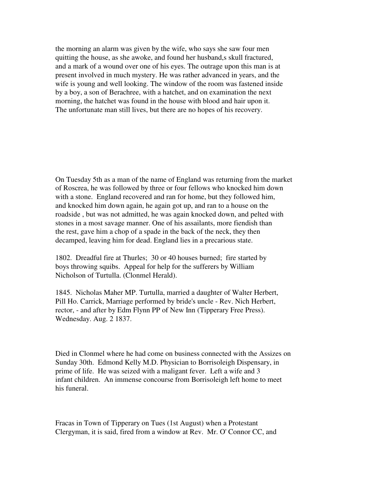the morning an alarm was given by the wife, who says she saw four men quitting the house, as she awoke, and found her husband,s skull fractured, and a mark of a wound over one of his eyes. The outrage upon this man is at present involved in much mystery. He was rather advanced in years, and the wife is young and well looking. The window of the room was fastened inside by a boy, a son of Berachree, with a hatchet, and on examination the next morning, the hatchet was found in the house with blood and hair upon it. The unfortunate man still lives, but there are no hopes of his recovery.

On Tuesday 5th as a man of the name of England was returning from the market of Roscrea, he was followed by three or four fellows who knocked him down with a stone. England recovered and ran for home, but they followed him, and knocked him down again, he again got up, and ran to a house on the roadside , but was not admitted, he was again knocked down, and pelted with stones in a most savage manner. One of his assailants, more fiendish than the rest, gave him a chop of a spade in the back of the neck, they then decamped, leaving him for dead. England lies in a precarious state.

1802. Dreadful fire at Thurles; 30 or 40 houses burned; fire started by boys throwing squibs. Appeal for help for the sufferers by William Nicholson of Turtulla. (Clonmel Herald).

1845. Nicholas Maher MP. Turtulla, married a daughter of Walter Herbert, Pill Ho. Carrick, Marriage performed by bride's uncle - Rev. Nich Herbert, rector, - and after by Edm Flynn PP of New Inn (Tipperary Free Press). Wednesday. Aug. 2 1837.

Died in Clonmel where he had come on business connected with the Assizes on Sunday 30th. Edmond Kelly M.D. Physician to Borrisoleigh Dispensary, in prime of life. He was seized with a maligant fever. Left a wife and 3 infant children. An immense concourse from Borrisoleigh left home to meet his funeral.

Fracas in Town of Tipperary on Tues (1st August) when a Protestant Clergyman, it is said, fired from a window at Rev. Mr. O' Connor CC, and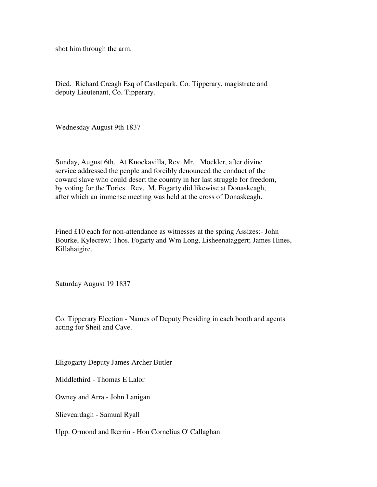shot him through the arm.

Died. Richard Creagh Esq of Castlepark, Co. Tipperary, magistrate and deputy Lieutenant, Co. Tipperary.

Wednesday August 9th 1837

Sunday, August 6th. At Knockavilla, Rev. Mr. Mockler, after divine service addressed the people and forcibly denounced the conduct of the coward slave who could desert the country in her last struggle for freedom, by voting for the Tories. Rev. M. Fogarty did likewise at Donaskeagh, after which an immense meeting was held at the cross of Donaskeagh.

Fined £10 each for non-attendance as witnesses at the spring Assizes:- John Bourke, Kylecrew; Thos. Fogarty and Wm Long, Lisheenataggert; James Hines, Killahaigire.

Saturday August 19 1837

Co. Tipperary Election - Names of Deputy Presiding in each booth and agents acting for Sheil and Cave.

Eligogarty Deputy James Archer Butler

Middlethird - Thomas E Lalor

Owney and Arra - John Lanigan

Slieveardagh - Samual Ryall

Upp. Ormond and Ikerrin - Hon Cornelius O' Callaghan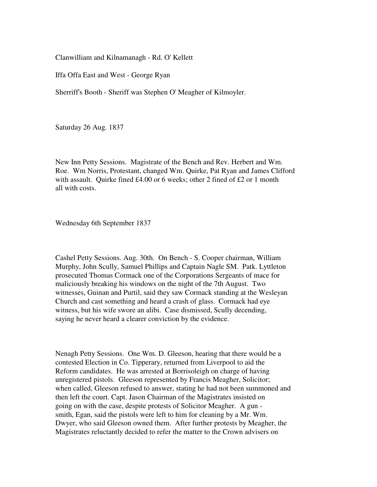Clanwilliam and Kilnamanagh - Rd. O' Kellett

Iffa Offa East and West - George Ryan

Sherriff's Booth - Sheriff was Stephen O' Meagher of Kilmoyler.

Saturday 26 Aug. 1837

New Inn Petty Sessions. Magistrate of the Bench and Rev. Herbert and Wm. Roe. Wm Norris, Protestant, changed Wm. Quirke, Pat Ryan and James Clifford with assault. Quirke fined £4.00 or 6 weeks; other 2 fined of £2 or 1 month all with costs.

Wednesday 6th September 1837

Cashel Petty Sessions. Aug. 30th. On Bench - S. Cooper chairman, William Murphy, John Scully, Samuel Phillips and Captain Nagle SM. Patk. Lyttleton prosecuted Thomas Cormack one of the Corporations Sergeants of mace for maliciously breaking his windows on the night of the 7th August. Two witnesses, Guinan and Purtil, said they saw Cormack standing at the Wesleyan Church and cast something and heard a crash of glass. Cormack had eye witness, but his wife swore an alibi. Case dismissed, Scully decending, saying he never heard a clearer conviction by the evidence.

Nenagh Petty Sessions. One Wm. D. Gleeson, hearing that there would be a contested Election in Co. Tipperary, returned from Liverpool to aid the Reform candidates. He was arrested at Borrisoleigh on charge of having unregistered pistols. Gleeson represented by Francis Meagher, Solicitor; when called, Gleeson refused to answer, stating he had not been summoned and then left the court. Capt. Jason Chairman of the Magistrates insisted on going on with the case, despite protests of Solicitor Meagher. A gun smith, Egan, said the pistols were left to him for cleaning by a Mr. Wm. Dwyer, who said Gleeson owned them. After further protests by Meagher, the Magistrates reluctantly decided to refer the matter to the Crown advisers on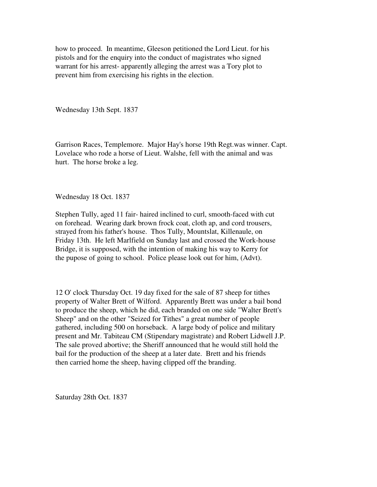how to proceed. In meantime, Gleeson petitioned the Lord Lieut. for his pistols and for the enquiry into the conduct of magistrates who signed warrant for his arrest- apparently alleging the arrest was a Tory plot to prevent him from exercising his rights in the election.

Wednesday 13th Sept. 1837

Garrison Races, Templemore. Major Hay's horse 19th Regt.was winner. Capt. Lovelace who rode a horse of Lieut. Walshe, fell with the animal and was hurt. The horse broke a leg.

Wednesday 18 Oct. 1837

Stephen Tully, aged 11 fair- haired inclined to curl, smooth-faced with cut on forehead. Wearing dark brown frock coat, cloth ap, and cord trousers, strayed from his father's house. Thos Tully, Mountslat, Killenaule, on Friday 13th. He left Marlfield on Sunday last and crossed the Work-house Bridge, it is supposed, with the intention of making his way to Kerry for the pupose of going to school. Police please look out for him, (Advt).

12 O' clock Thursday Oct. 19 day fixed for the sale of 87 sheep for tithes property of Walter Brett of Wilford. Apparently Brett was under a bail bond to produce the sheep, which he did, each branded on one side "Walter Brett's Sheep" and on the other "Seized for Tithes" a great number of people gathered, including 500 on horseback. A large body of police and military present and Mr. Tabiteau CM (Stipendary magistrate) and Robert Lidwell J.P. The sale proved abortive; the Sheriff announced that he would still hold the bail for the production of the sheep at a later date. Brett and his friends then carried home the sheep, having clipped off the branding.

Saturday 28th Oct. 1837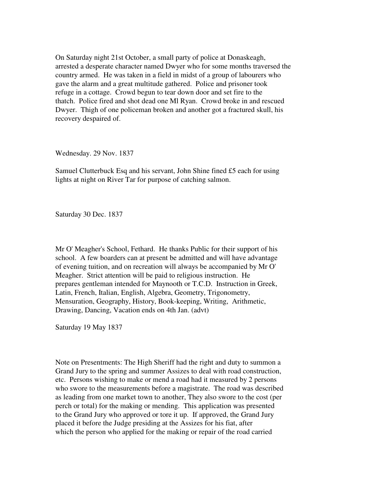On Saturday night 21st October, a small party of police at Donaskeagh, arrested a desperate character named Dwyer who for some months traversed the country armed. He was taken in a field in midst of a group of labourers who gave the alarm and a great multitude gathered. Police and prisoner took refuge in a cottage. Crowd begun to tear down door and set fire to the thatch. Police fired and shot dead one Ml Ryan. Crowd broke in and rescued Dwyer. Thigh of one policeman broken and another got a fractured skull, his recovery despaired of.

Wednesday. 29 Nov. 1837

Samuel Clutterbuck Esq and his servant, John Shine fined £5 each for using lights at night on River Tar for purpose of catching salmon.

Saturday 30 Dec. 1837

Mr O' Meagher's School, Fethard. He thanks Public for their support of his school. A few boarders can at present be admitted and will have advantage of evening tuition, and on recreation will always be accompanied by Mr O' Meagher. Strict attention will be paid to religious instruction. He prepares gentleman intended for Maynooth or T.C.D. Instruction in Greek, Latin, French, Italian, English, Algebra, Geometry, Trigonometry, Mensuration, Geography, History, Book-keeping, Writing, Arithmetic, Drawing, Dancing, Vacation ends on 4th Jan. (advt)

Saturday 19 May 1837

Note on Presentments: The High Sheriff had the right and duty to summon a Grand Jury to the spring and summer Assizes to deal with road construction, etc. Persons wishing to make or mend a road had it measured by 2 persons who swore to the measurements before a magistrate. The road was described as leading from one market town to another, They also swore to the cost (per perch or total) for the making or mending. This application was presented to the Grand Jury who approved or tore it up. If approved, the Grand Jury placed it before the Judge presiding at the Assizes for his fiat, after which the person who applied for the making or repair of the road carried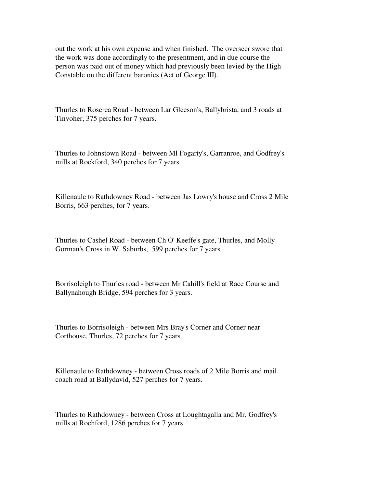out the work at his own expense and when finished. The overseer swore that the work was done accordingly to the presentment, and in due course the person was paid out of money which had previously been levied by the High Constable on the different baronies (Act of George III).

Thurles to Roscrea Road - between Lar Gleeson's, Ballybrista, and 3 roads at Tinvoher, 375 perches for 7 years.

Thurles to Johnstown Road - between Ml Fogarty's, Garranroe, and Godfrey's mills at Rockford, 340 perches for 7 years.

Killenaule to Rathdowney Road - between Jas Lowry's house and Cross 2 Mile Borris, 663 perches, for 7 years.

Thurles to Cashel Road - between Ch O' Keeffe's gate, Thurles, and Molly Gorman's Cross in W. Saburbs, 599 perches for 7 years.

Borrisoleigh to Thurles road - between Mr Cahill's field at Race Course and Ballynahough Bridge, 594 perches for 3 years.

Thurles to Borrisoleigh - between Mrs Bray's Corner and Corner near Corthouse, Thurles, 72 perches for 7 years.

Killenaule to Rathdowney - between Cross roads of 2 Mile Borris and mail coach road at Ballydavid, 527 perches for 7 years.

Thurles to Rathdowney - between Cross at Loughtagalla and Mr. Godfrey's mills at Rochford, 1286 perches for 7 years.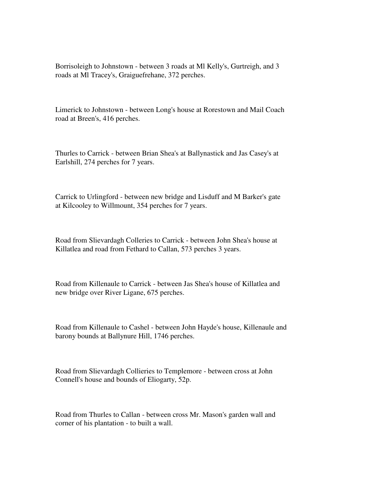Borrisoleigh to Johnstown - between 3 roads at Ml Kelly's, Gurtreigh, and 3 roads at Ml Tracey's, Graiguefrehane, 372 perches.

Limerick to Johnstown - between Long's house at Rorestown and Mail Coach road at Breen's, 416 perches.

Thurles to Carrick - between Brian Shea's at Ballynastick and Jas Casey's at Earlshill, 274 perches for 7 years.

Carrick to Urlingford - between new bridge and Lisduff and M Barker's gate at Kilcooley to Willmount, 354 perches for 7 years.

Road from Slievardagh Colleries to Carrick - between John Shea's house at Killatlea and road from Fethard to Callan, 573 perches 3 years.

Road from Killenaule to Carrick - between Jas Shea's house of Killatlea and new bridge over River Ligane, 675 perches.

Road from Killenaule to Cashel - between John Hayde's house, Killenaule and barony bounds at Ballynure Hill, 1746 perches.

Road from Slievardagh Collieries to Templemore - between cross at John Connell's house and bounds of Eliogarty, 52p.

Road from Thurles to Callan - between cross Mr. Mason's garden wall and corner of his plantation - to built a wall.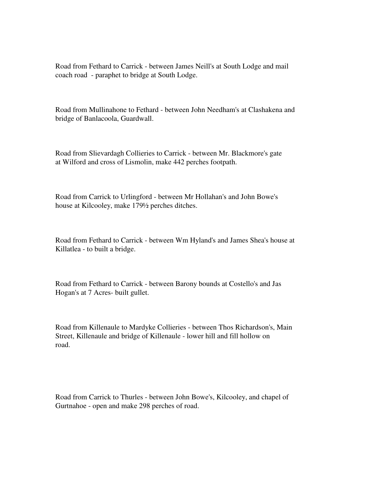Road from Fethard to Carrick - between James Neill's at South Lodge and mail coach road - paraphet to bridge at South Lodge.

Road from Mullinahone to Fethard - between John Needham's at Clashakena and bridge of Banlacoola, Guardwall.

Road from Slievardagh Collieries to Carrick - between Mr. Blackmore's gate at Wilford and cross of Lismolin, make 442 perches footpath.

Road from Carrick to Urlingford - between Mr Hollahan's and John Bowe's house at Kilcooley, make 179½ perches ditches.

Road from Fethard to Carrick - between Wm Hyland's and James Shea's house at Killatlea - to built a bridge.

Road from Fethard to Carrick - between Barony bounds at Costello's and Jas Hogan's at 7 Acres- built gullet.

Road from Killenaule to Mardyke Collieries - between Thos Richardson's, Main Street, Killenaule and bridge of Killenaule - lower hill and fill hollow on road.

Road from Carrick to Thurles - between John Bowe's, Kilcooley, and chapel of Gurtnahoe - open and make 298 perches of road.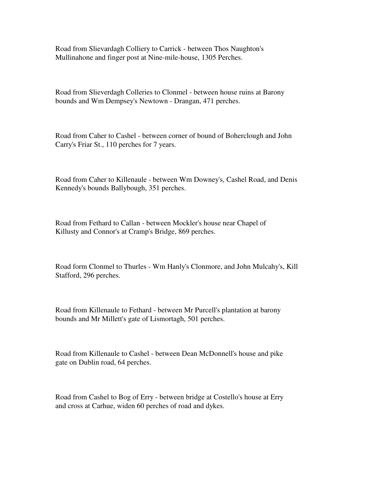Road from Slievardagh Colliery to Carrick - between Thos Naughton's Mullinahone and finger post at Nine-mile-house, 1305 Perches.

Road from Slieverdagh Colleries to Clonmel - between house ruins at Barony bounds and Wm Dempsey's Newtown - Drangan, 471 perches.

Road from Caher to Cashel - between corner of bound of Boherclough and John Carry's Friar St., 110 perches for 7 years.

Road from Caher to Killenaule - between Wm Downey's, Cashel Road, and Denis Kennedy's bounds Ballybough, 351 perches.

Road from Fethard to Callan - between Mockler's house near Chapel of Killusty and Connor's at Cramp's Bridge, 869 perches.

Road form Clonmel to Thurles - Wm Hanly's Clonmore, and John Mulcahy's, Kill Stafford, 296 perches.

Road from Killenaule to Fethard - between Mr Purcell's plantation at barony bounds and Mr Millett's gate of Lismortagh, 501 perches.

Road from Killenaule to Cashel - between Dean McDonnell's house and pike gate on Dublin road, 64 perches.

Road from Cashel to Bog of Erry - between bridge at Costello's house at Erry and cross at Carhue, widen 60 perches of road and dykes.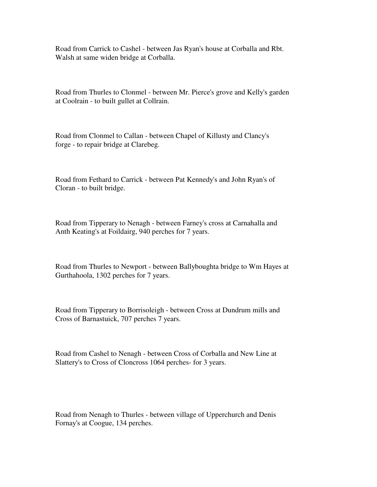Road from Carrick to Cashel - between Jas Ryan's house at Corballa and Rbt. Walsh at same widen bridge at Corballa.

Road from Thurles to Clonmel - between Mr. Pierce's grove and Kelly's garden at Coolrain - to built gullet at Collrain.

Road from Clonmel to Callan - between Chapel of Killusty and Clancy's forge - to repair bridge at Clarebeg.

Road from Fethard to Carrick - between Pat Kennedy's and John Ryan's of Cloran - to built bridge.

Road from Tipperary to Nenagh - between Farney's cross at Carnahalla and Anth Keating's at Foildairg, 940 perches for 7 years.

Road from Thurles to Newport - between Ballyboughta bridge to Wm Hayes at Gurthahoola, 1302 perches for 7 years.

Road from Tipperary to Borrisoleigh - between Cross at Dundrum mills and Cross of Barnastuick, 707 perches 7 years.

Road from Cashel to Nenagh - between Cross of Corballa and New Line at Slattery's to Cross of Cloncross 1064 perches- for 3 years.

Road from Nenagh to Thurles - between village of Upperchurch and Denis Fornay's at Coogue, 134 perches.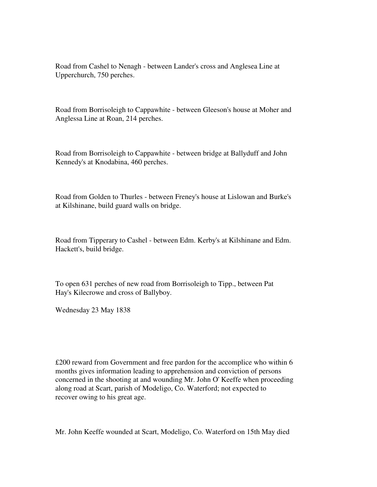Road from Cashel to Nenagh - between Lander's cross and Anglesea Line at Upperchurch, 750 perches.

Road from Borrisoleigh to Cappawhite - between Gleeson's house at Moher and Anglessa Line at Roan, 214 perches.

Road from Borrisoleigh to Cappawhite - between bridge at Ballyduff and John Kennedy's at Knodabina, 460 perches.

Road from Golden to Thurles - between Freney's house at Lislowan and Burke's at Kilshinane, build guard walls on bridge.

Road from Tipperary to Cashel - between Edm. Kerby's at Kilshinane and Edm. Hackett's, build bridge.

To open 631 perches of new road from Borrisoleigh to Tipp., between Pat Hay's Kilecrowe and cross of Ballyboy.

Wednesday 23 May 1838

£200 reward from Government and free pardon for the accomplice who within 6 months gives information leading to apprehension and conviction of persons concerned in the shooting at and wounding Mr. John O' Keeffe when proceeding along road at Scart, parish of Modeligo, Co. Waterford; not expected to recover owing to his great age.

Mr. John Keeffe wounded at Scart, Modeligo, Co. Waterford on 15th May died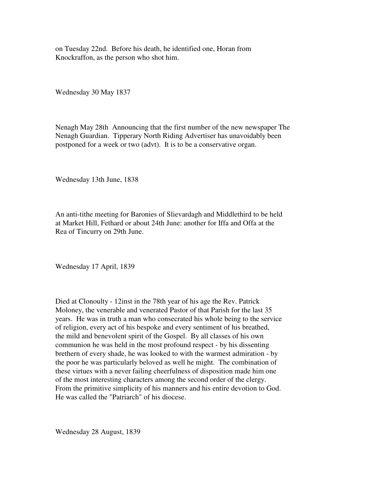on Tuesday 22nd. Before his death, he identified one, Horan from Knockraffon, as the person who shot him.

Wednesday 30 May 1837

Nenagh May 28th Announcing that the first number of the new newspaper The Nenagh Guardian. Tipperary North Riding Advertiser has unavoidably been postponed for a week or two (advt). It is to be a conservative organ.

Wednesday 13th June, 1838

An anti-tithe meeting for Baronies of Slievardagh and Middlethird to be held at Market Hill, Fethard or about 24th June: another for Iffa and Offa at the Rea of Tincurry on 29th June.

Wednesday 17 April, 1839

Died at Clonoulty - 12inst in the 78th year of his age the Rev. Patrick Moloney, the venerable and venerated Pastor of that Parish for the last 35 years. He was in truth a man who consecrated his whole being to the service of religion, every act of his bespoke and every sentiment of his breathed, the mild and benevolent spirit of the Gospel. By all classes of his own communion he was held in the most profound respect - by his dissenting brethern of every shade, he was looked to with the warmest admiration - by the poor he was particularly beloved as well he might. The combination of these virtues with a never failing cheerfulness of disposition made him one of the most interesting characters among the second order of the clergy. From the primitive simplicity of his manners and his entire devotion to God. He was called the "Patriarch" of his diocese.

Wednesday 28 August, 1839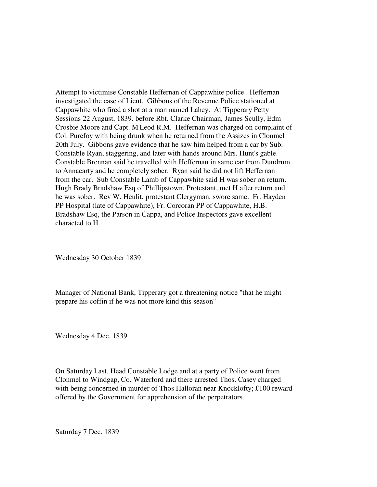Attempt to victimise Constable Heffernan of Cappawhite police. Heffernan investigated the case of Lieut. Gibbons of the Revenue Police stationed at Cappawhite who fired a shot at a man named Lahey. At Tipperary Petty Sessions 22 August, 1839. before Rbt. Clarke Chairman, James Scully, Edm Crosbie Moore and Capt. M'Leod R.M. Heffernan was charged on complaint of Col. Purefoy with being drunk when he returned from the Assizes in Clonmel 20th July. Gibbons gave evidence that he saw him helped from a car by Sub. Constable Ryan, staggering, and later with hands around Mrs. Hunt's gable. Constable Brennan said he travelled with Heffernan in same car from Dundrum to Annacarty and he completely sober. Ryan said he did not lift Heffernan from the car. Sub Constable Lamb of Cappawhite said H was sober on return. Hugh Brady Bradshaw Esq of Phillipstown, Protestant, met H after return and he was sober. Rev W. Heulit, protestant Clergyman, swore same. Fr. Hayden PP Hospital (late of Cappawhite), Fr. Corcoran PP of Cappawhite, H.B. Bradshaw Esq, the Parson in Cappa, and Police Inspectors gave excellent characted to H.

Wednesday 30 October 1839

Manager of National Bank, Tipperary got a threatening notice "that he might prepare his coffin if he was not more kind this season"

Wednesday 4 Dec. 1839

On Saturday Last. Head Constable Lodge and at a party of Police went from Clonmel to Windgap, Co. Waterford and there arrested Thos. Casey charged with being concerned in murder of Thos Halloran near Knocklofty; £100 reward offered by the Government for apprehension of the perpetrators.

Saturday 7 Dec. 1839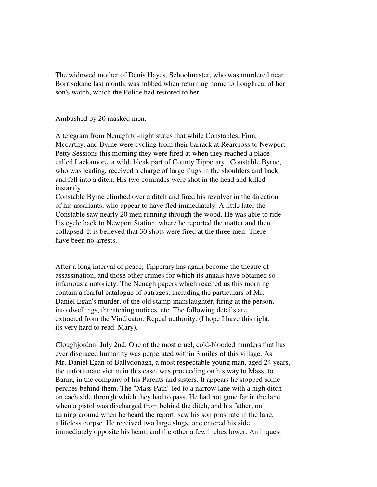The widowed mother of Denis Hayes, Schoolmaster, who was murdered near Borrisokane last month, was robbed when returning home to Loughrea, of her son's watch, which the Police had restored to her.

Ambushed by 20 masked men.

A telegram from Nenagh to-night states that while Constables, Finn, Mccarthy, and Byrne were cycling from their barrack at Rearcross to Newport Petty Sessions this morning they were fired at when they reached a place called Lackamore, a wild, bleak part of County Tipperary. Constable Byrne, who was leading, received a charge of large slugs in the shoulders and back, and fell into a ditch. His two comrades were shot in the head and killed instantly.

Constable Byrne climbed over a ditch and fired his revolver in the direction of his assailants, who appear to have fled immediately. A little later the Constable saw nearly 20 men running through the wood. He was able to ride his cycle back to Newport Station, where he reported the matter and then collapsed. It is believed that 30 shots were fired at the three men. There have been no arrests.

After a long interval of peace, Tipperary has again become the theatre of assassination, and those other crimes for which its annals have obtained so infamous a notoriety. The Nenagh papers which reached us this morning contain a fearful catalogue of outrages, including the particulars of Mr. Daniel Egan's murder, of the old stamp-manslaughter, firing at the person, into dwellings, threatening notices, etc. The following details are extracted from the Vindicator. Repeal authority. (I hope I have this right, its very hard to read. Mary).

Cloughjordan: July 2nd. One of the most cruel, cold-blooded murders that has ever disgraced humanity was perperated within 3 miles of this village. As Mr. Daniel Egan of Ballydonagh, a most respectable young man, aged 24 years, the unfortunate victim in this case, was proceeding on his way to Mass, to Barna, in the company of his Parents and sisters. It appears he stopped some perches behind them. The "Mass Path" led to a narrow lane with a high ditch on each side through which they had to pass. He had not gone far in the lane when a pistol was discharged from behind the ditch, and his father, on turning around when he heard the report, saw his son prostrate in the lane, a lifeless corpse. He received two large slugs, one entered his side immediately opposite his heart, and the other a few inches lower. An inquest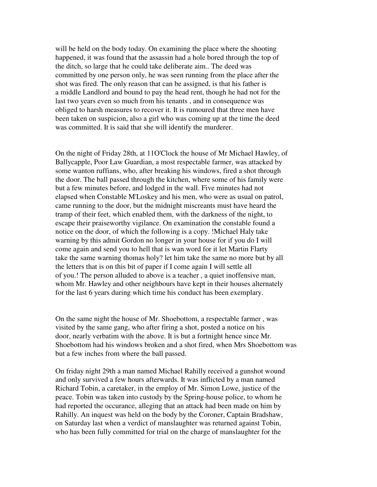will be held on the body today. On examining the place where the shooting happened, it was found that the assassin had a hole bored through the top of the ditch, so large that he could take deliberate aim.. The deed was committed by one person only, he was seen running from the place after the shot was fired. The only reason that can be assigned, is that his father is a middle Landlord and bound to pay the head rent, though he had not for the last two years even so much from his tenants , and in consequence was obliged to harsh measures to recover it. It is rumoured that three men have been taken on suspicion, also a girl who was coming up at the time the deed was committed. It is said that she will identify the murderer.

On the night of Friday 28th, at 11O'Clock the house of Mr Michael Hawley, of Ballycapple, Poor Law Guardian, a most respectable farmer, was attacked by some wanton ruffians, who, after breaking his windows, fired a shot through the door. The ball passed through the kitchen, where some of his family were but a few minutes before, and lodged in the wall. Five minutes had not elapsed when Constable M'Loskey and his men, who were as usual on patrol, came running to the door, but the midnight miscreants must have heard the tramp of their feet, which enabled them, with the darkness of the night, to escape their praiseworthy vigilance. On examination the constable found a notice on the door, of which the following is a copy. !Michael Haly take warning by this admit Gordon no longer in your house for if you do I will come again and send you to hell that is wan word for it let Martin Flarty take the same warning thomas holy? let him take the same no more but by all the letters that is on this bit of paper if I come again I will settle all of you.! The person alluded to above is a teacher , a quiet inoffensive man, whom Mr. Hawley and other neighbours have kept in their houses alternately for the last 6 years during which time his conduct has been exemplary.

On the same night the house of Mr. Shoebottom, a respectable farmer , was visited by the same gang, who after firing a shot, posted a notice on his door, nearly verbatim with the above. It is but a fortnight hence since Mr. Shoebottom had his windows broken and a shot fired, when Mrs Shoebottom was but a few inches from where the ball passed.

On friday night 29th a man named Michael Rahilly received a gunshot wound and only survived a few hours afterwards. It was inflicted by a man named Richard Tobin, a caretaker, in the employ of Mr. Simon Lowe, justice of the peace. Tobin was taken into custody by the Spring-house police, to whom he had reported the occurance, alleging that an attack had been made on him by Rahilly. An inquest was held on the body by the Coroner, Captain Bradshaw, on Saturday last when a verdict of manslaughter was returned against Tobin, who has been fully committed for trial on the charge of manslaughter for the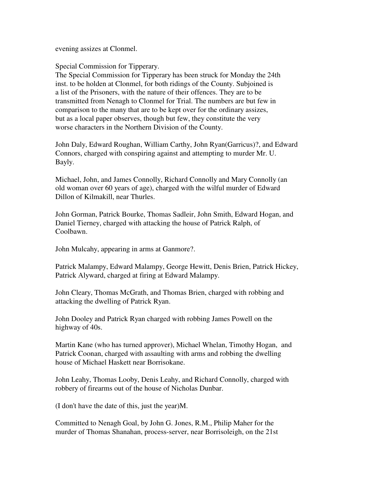evening assizes at Clonmel.

Special Commission for Tipperary.

The Special Commission for Tipperary has been struck for Monday the 24th inst. to be holden at Clonmel, for both ridings of the County. Subjoined is a list of the Prisoners, with the nature of their offences. They are to be transmitted from Nenagh to Clonmel for Trial. The numbers are but few in comparison to the many that are to be kept over for the ordinary assizes, but as a local paper observes, though but few, they constitute the very worse characters in the Northern Division of the County.

John Daly, Edward Roughan, William Carthy, John Ryan(Garricus)?, and Edward Connors, charged with conspiring against and attempting to murder Mr. U. Bayly.

Michael, John, and James Connolly, Richard Connolly and Mary Connolly (an old woman over 60 years of age), charged with the wilful murder of Edward Dillon of Kilmakill, near Thurles.

John Gorman, Patrick Bourke, Thomas Sadleir, John Smith, Edward Hogan, and Daniel Tierney, charged with attacking the house of Patrick Ralph, of Coolbawn.

John Mulcahy, appearing in arms at Ganmore?.

Patrick Malampy, Edward Malampy, George Hewitt, Denis Brien, Patrick Hickey, Patrick Alyward, charged at firing at Edward Malampy.

John Cleary, Thomas McGrath, and Thomas Brien, charged with robbing and attacking the dwelling of Patrick Ryan.

John Dooley and Patrick Ryan charged with robbing James Powell on the highway of 40s.

Martin Kane (who has turned approver), Michael Whelan, Timothy Hogan, and Patrick Coonan, charged with assaulting with arms and robbing the dwelling house of Michael Haskett near Borrisokane.

John Leahy, Thomas Looby, Denis Leahy, and Richard Connolly, charged with robbery of firearms out of the house of Nicholas Dunbar.

(I don't have the date of this, just the year)M.

Committed to Nenagh Goal, by John G. Jones, R.M., Philip Maher for the murder of Thomas Shanahan, process-server, near Borrisoleigh, on the 21st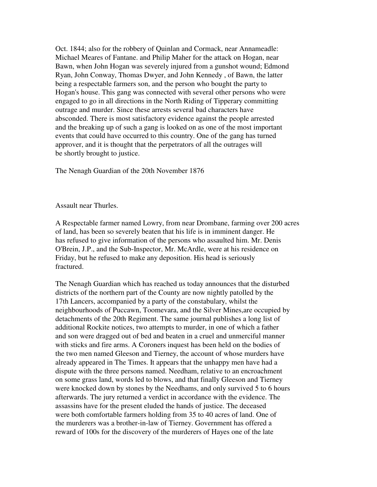Oct. 1844; also for the robbery of Quinlan and Cormack, near Annameadle: Michael Meares of Fantane. and Philip Maher for the attack on Hogan, near Bawn, when John Hogan was severely injured from a gunshot wound; Edmond Ryan, John Conway, Thomas Dwyer, and John Kennedy , of Bawn, the latter being a respectable farmers son, and the person who bought the party to Hogan's house. This gang was connected with several other persons who were engaged to go in all directions in the North Riding of Tipperary committing outrage and murder. Since these arrests several bad characters have absconded. There is most satisfactory evidence against the people arrested and the breaking up of such a gang is looked on as one of the most important events that could have occurred to this country. One of the gang has turned approver, and it is thought that the perpetrators of all the outrages will be shortly brought to justice.

The Nenagh Guardian of the 20th November 1876

Assault near Thurles.

A Respectable farmer named Lowry, from near Drombane, farming over 200 acres of land, has been so severely beaten that his life is in imminent danger. He has refused to give information of the persons who assaulted him. Mr. Denis O'Brein, J.P., and the Sub-Inspector, Mr. McArdle, were at his residence on Friday, but he refused to make any deposition. His head is seriously fractured.

The Nenagh Guardian which has reached us today announces that the disturbed districts of the northern part of the County are now nightly patolled by the 17th Lancers, accompanied by a party of the constabulary, whilst the neighbourhoods of Puccawn, Toomevara, and the Silver Mines,are occupied by detachments of the 20th Regiment. The same journal publishes a long list of additional Rockite notices, two attempts to murder, in one of which a father and son were dragged out of bed and beaten in a cruel and unmerciful manner with sticks and fire arms. A Coroners inquest has been held on the bodies of the two men named Gleeson and Tierney, the account of whose murders have already appeared in The Times. It appears that the unhappy men have had a dispute with the three persons named. Needham, relative to an encroachment on some grass land, words led to blows, and that finally Gleeson and Tierney were knocked down by stones by the Needhams, and only survived 5 to 6 hours afterwards. The jury returned a verdict in accordance with the evidence. The assassins have for the present eluded the hands of justice. The deceased were both comfortable farmers holding from 35 to 40 acres of land. One of the murderers was a brother-in-law of Tierney. Government has offered a reward of 100s for the discovery of the murderers of Hayes one of the late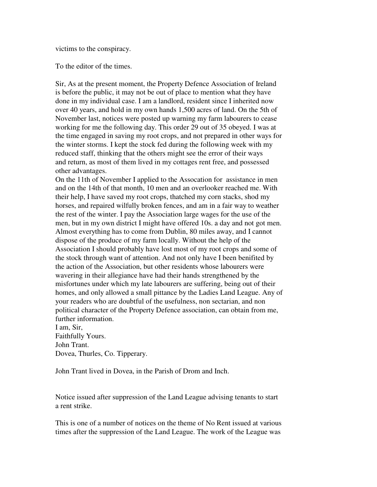victims to the conspiracy.

To the editor of the times.

Sir, As at the present moment, the Property Defence Association of Ireland is before the public, it may not be out of place to mention what they have done in my individual case. I am a landlord, resident since I inherited now over 40 years, and hold in my own hands 1,500 acres of land. On the 5th of November last, notices were posted up warning my farm labourers to cease working for me the following day. This order 29 out of 35 obeyed. I was at the time engaged in saving my root crops, and not prepared in other ways for the winter storms. I kept the stock fed during the following week with my reduced staff, thinking that the others might see the error of their ways and return, as most of them lived in my cottages rent free, and possessed other advantages.

On the 11th of November I applied to the Assocation for assistance in men and on the 14th of that month, 10 men and an overlooker reached me. With their help, I have saved my root crops, thatched my corn stacks, shod my horses, and repaired wilfully broken fences, and am in a fair way to weather the rest of the winter. I pay the Association large wages for the use of the men, but in my own district I might have offered 10s. a day and not got men. Almost everything has to come from Dublin, 80 miles away, and I cannot dispose of the produce of my farm locally. Without the help of the Association I should probably have lost most of my root crops and some of the stock through want of attention. And not only have I been benifited by the action of the Association, but other residents whose labourers were wavering in their allegiance have had their hands strengthened by the misfortunes under which my late labourers are suffering, being out of their homes, and only allowed a small pittance by the Ladies Land League. Any of your readers who are doubtful of the usefulness, non sectarian, and non political character of the Property Defence association, can obtain from me, further information.

I am, Sir, Faithfully Yours. John Trant. Dovea, Thurles, Co. Tipperary.

John Trant lived in Dovea, in the Parish of Drom and Inch.

Notice issued after suppression of the Land League advising tenants to start a rent strike.

This is one of a number of notices on the theme of No Rent issued at various times after the suppression of the Land League. The work of the League was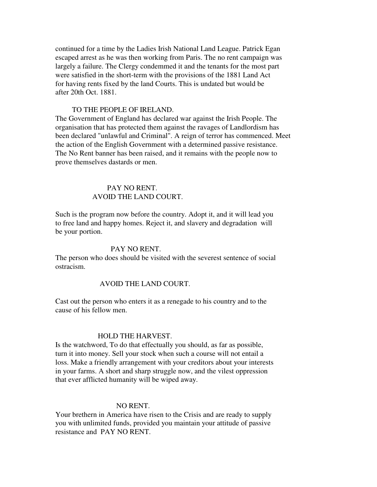continued for a time by the Ladies Irish National Land League. Patrick Egan escaped arrest as he was then working from Paris. The no rent campaign was largely a failure. The Clergy condemmed it and the tenants for the most part were satisfied in the short-term with the provisions of the 1881 Land Act for having rents fixed by the land Courts. This is undated but would be after 20th Oct. 1881.

#### TO THE PEOPLE OF IRELAND.

The Government of England has declared war against the Irish People. The organisation that has protected them against the ravages of Landlordism has been declared "unlawful and Criminal". A reign of terror has commenced. Meet the action of the English Government with a determined passive resistance. The No Rent banner has been raised, and it remains with the people now to prove themselves dastards or men.

## PAY NO RENT. AVOID THE LAND COURT.

Such is the program now before the country. Adopt it, and it will lead you to free land and happy homes. Reject it, and slavery and degradation will be your portion.

#### PAY NO RENT.

The person who does should be visited with the severest sentence of social ostracism.

#### AVOID THE LAND COURT.

Cast out the person who enters it as a renegade to his country and to the cause of his fellow men.

#### HOLD THE HARVEST.

Is the watchword, To do that effectually you should, as far as possible, turn it into money. Sell your stock when such a course will not entail a loss. Make a friendly arrangement with your creditors about your interests in your farms. A short and sharp struggle now, and the vilest oppression that ever afflicted humanity will be wiped away.

#### NO RENT.

Your brethern in America have risen to the Crisis and are ready to supply you with unlimited funds, provided you maintain your attitude of passive resistance and PAY NO RENT.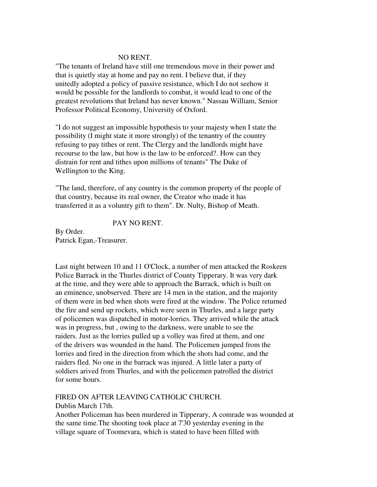#### NO RENT.

"The tenants of Ireland have still one tremendous move in their power and that is quietly stay at home and pay no rent. I believe that, if they unitedly adopted a policy of passive resistance, which I do not seehow it would be possible for the landlords to combat, it would lead to one of the greatest revolutions that Ireland has never known." Nassau William, Senior Professor Political Economy, University of Oxford.

"I do not suggest an impossible hypothesis to your majesty when I state the possibility (I might state it more strongly) of the tenantry of the country refusing to pay tithes or rent. The Clergy and the landlords might have recourse to the law, but how is the law to be enforced?. How can they distrain for rent and tithes upon millions of tenants" The Duke of Wellington to the King.

"The land, therefore, of any country is the common property of the people of that country, because its real owner, the Creator who made it has transferred it as a voluntry gift to them". Dr. Nulty, Bishop of Meath.

#### PAY NO RENT.

By Order. Patrick Egan,-Treasurer.

Last night between 10 and 11 O'Clock, a number of men attacked the Roskeen Police Barrack in the Thurles district of County Tipperary. It was very dark at the time, and they were able to approach the Barrack, which is built on an eminence, unobserved. There are 14 men in the station, and the majority of them were in bed when shots were fired at the window. The Police returned the fire and send up rockets, which were seen in Thurles, and a large party of policemen was dispatched in motor-lorries. They arrived while the attack was in progress, but , owing to the darkness, were unable to see the raiders. Just as the lorries pulled up a volley was fired at them, and one of the drivers was wounded in the hand. The Policemen jumped from the lorries and fired in the direction from which the shots had come, and the raiders fled. No one in the barrack was injured. A little later a party of soldiers arived from Thurles, and with the policemen patrolled the district for some hours.

#### FIRED ON AFTER LEAVING CATHOLIC CHURCH.

#### Dublin March 17th.

Another Policeman has been murdered in Tipperary, A comrade was wounded at the same time.The shooting took place at 7'30 yesterday evening in the village square of Toomevara, which is stated to have been filled with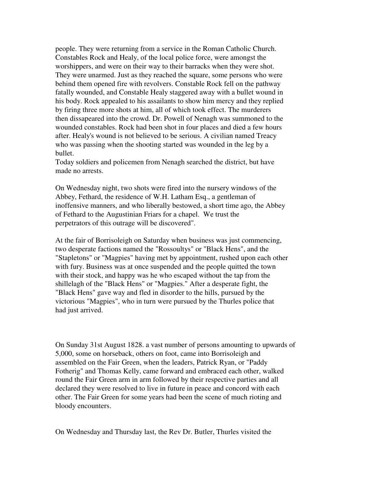people. They were returning from a service in the Roman Catholic Church. Constables Rock and Healy, of the local police force, were amongst the worshippers, and were on their way to their barracks when they were shot. They were unarmed. Just as they reached the square, some persons who were behind them opened fire with revolvers. Constable Rock fell on the pathway fatally wounded, and Constable Healy staggered away with a bullet wound in his body. Rock appealed to his assailants to show him mercy and they replied by firing three more shots at him, all of which took effect. The murderers then dissapeared into the crowd. Dr. Powell of Nenagh was summoned to the wounded constables. Rock had been shot in four places and died a few hours after. Healy's wound is not believed to be serious. A civilian named Treacy who was passing when the shooting started was wounded in the leg by a bullet.

Today soldiers and policemen from Nenagh searched the district, but have made no arrests.

On Wednesday night, two shots were fired into the nursery windows of the Abbey, Fethard, the residence of W.H. Latham Esq., a gentleman of inoffensive manners, and who liberally bestowed, a short time ago, the Abbey of Fethard to the Augustinian Friars for a chapel. We trust the perpetrators of this outrage will be discovered".

At the fair of Borrisoleigh on Saturday when business was just commencing, two desperate factions named the "Rossoultys" or "Black Hens", and the "Stapletons" or "Magpies" having met by appointment, rushed upon each other with fury. Business was at once suspended and the people quitted the town with their stock, and happy was he who escaped without the tap from the shillelagh of the "Black Hens" or "Magpies." After a desperate fight, the "Black Hens" gave way and fled in disorder to the hills, pursued by the victorious "Magpies", who in turn were pursued by the Thurles police that had just arrived.

On Sunday 31st August 1828. a vast number of persons amounting to upwards of 5,000, some on horseback, others on foot, came into Borrisoleigh and assembled on the Fair Green, when the leaders, Patrick Ryan, or "Paddy Fotherig" and Thomas Kelly, came forward and embraced each other, walked round the Fair Green arm in arm followed by their respective parties and all declared they were resolved to live in future in peace and concord with each other. The Fair Green for some years had been the scene of much rioting and bloody encounters.

On Wednesday and Thursday last, the Rev Dr. Butler, Thurles visited the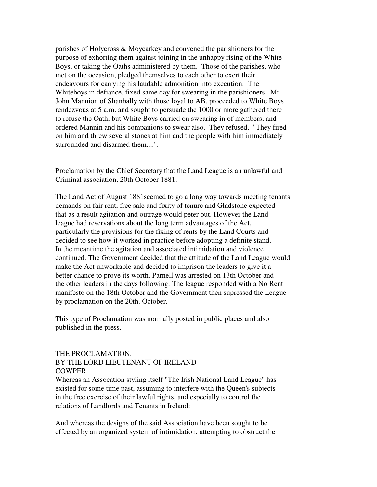parishes of Holycross & Moycarkey and convened the parishioners for the purpose of exhorting them against joining in the unhappy rising of the White Boys, or taking the Oaths administered by them. Those of the parishes, who met on the occasion, pledged themselves to each other to exert their endeavours for carrying his laudable admonition into execution. The Whiteboys in defiance, fixed same day for swearing in the parishioners. Mr John Mannion of Shanbally with those loyal to AB. proceeded to White Boys rendezvous at 5 a.m. and sought to persuade the 1000 or more gathered there to refuse the Oath, but White Boys carried on swearing in of members, and ordered Mannin and his companions to swear also. They refused. "They fired on him and threw several stones at him and the people with him immediately surrounded and disarmed them....".

Proclamation by the Chief Secretary that the Land League is an unlawful and Criminal association, 20th October 1881.

The Land Act of August 1881seemed to go a long way towards meeting tenants demands on fair rent, free sale and fixity of tenure and Gladstone expected that as a result agitation and outrage would peter out. However the Land league had reservations about the long term advantages of the Act, particularly the provisions for the fixing of rents by the Land Courts and decided to see how it worked in practice before adopting a definite stand. In the meantime the agitation and associated intimidation and violence continued. The Government decided that the attitude of the Land League would make the Act unworkable and decided to imprison the leaders to give it a better chance to prove its worth. Parnell was arrested on 13th October and the other leaders in the days following. The league responded with a No Rent manifesto on the 18th October and the Government then supressed the League by proclamation on the 20th. October.

This type of Proclamation was normally posted in public places and also published in the press.

# THE PROCLAMATION.

#### BY THE LORD LIEUTENANT OF IRELAND COWPER.

Whereas an Assocation styling itself "The Irish National Land League" has existed for some time past, assuming to interfere with the Queen's subjects in the free exercise of their lawful rights, and especially to control the relations of Landlords and Tenants in Ireland:

And whereas the designs of the said Association have been sought to be effected by an organized system of intimidation, attempting to obstruct the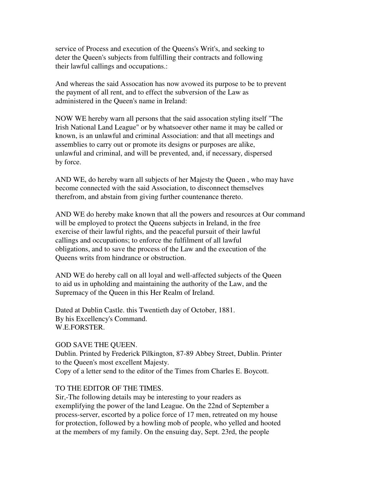service of Process and execution of the Queens's Writ's, and seeking to deter the Queen's subjects from fulfilling their contracts and following their lawful callings and occupations.:

And whereas the said Assocation has now avowed its purpose to be to prevent the payment of all rent, and to effect the subversion of the Law as administered in the Queen's name in Ireland:

NOW WE hereby warn all persons that the said assocation styling itself "The Irish National Land League" or by whatsoever other name it may be called or known, is an unlawful and criminal Association: and that all meetings and assemblies to carry out or promote its designs or purposes are alike, unlawful and criminal, and will be prevented, and, if necessary, dispersed by force.

AND WE, do hereby warn all subjects of her Majesty the Queen , who may have become connected with the said Association, to disconnect themselves therefrom, and abstain from giving further countenance thereto.

AND WE do hereby make known that all the powers and resources at Our command will be employed to protect the Queens subjects in Ireland, in the free exercise of their lawful rights, and the peaceful pursuit of their lawful callings and occupations; to enforce the fulfilment of all lawful obligations, and to save the process of the Law and the execution of the Queens writs from hindrance or obstruction.

AND WE do hereby call on all loyal and well-affected subjects of the Queen to aid us in upholding and maintaining the authority of the Law, and the Supremacy of the Queen in this Her Realm of Ireland.

Dated at Dublin Castle. this Twentieth day of October, 1881. By his Excellency's Command. W.E.FORSTER.

# GOD SAVE THE QUEEN.

Dublin. Printed by Frederick Pilkington, 87-89 Abbey Street, Dublin. Printer to the Queen's most excellent Majesty. Copy of a letter send to the editor of the Times from Charles E. Boycott.

# TO THE EDITOR OF THE TIMES.

Sir,-The following details may be interesting to your readers as exemplifying the power of the land League. On the 22nd of September a process-server, escorted by a police force of 17 men, retreated on my house for protection, followed by a howling mob of people, who yelled and hooted at the members of my family. On the ensuing day, Sept. 23rd, the people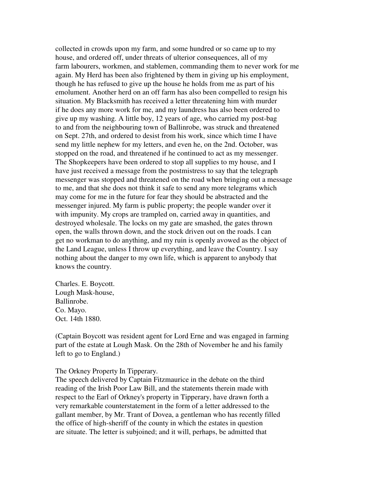collected in crowds upon my farm, and some hundred or so came up to my house, and ordered off, under threats of ulterior consequences, all of my farm labourers, workmen, and stablemen, commanding them to never work for me again. My Herd has been also frightened by them in giving up his employment, though he has refused to give up the house he holds from me as part of his emolument. Another herd on an off farm has also been compelled to resign his situation. My Blacksmith has received a letter threatening him with murder if he does any more work for me, and my laundress has also been ordered to give up my washing. A little boy, 12 years of age, who carried my post-bag to and from the neighbouring town of Ballinrobe, was struck and threatened on Sept. 27th, and ordered to desist from his work, since which time I have send my little nephew for my letters, and even he, on the 2nd. October, was stopped on the road, and threatened if he continued to act as my messenger. The Shopkeepers have been ordered to stop all supplies to my house, and I have just received a message from the postmistress to say that the telegraph messenger was stopped and threatened on the road when bringing out a message to me, and that she does not think it safe to send any more telegrams which may come for me in the future for fear they should be abstracted and the messenger injured. My farm is public property; the people wander over it with impunity. My crops are trampled on, carried away in quantities, and destroyed wholesale. The locks on my gate are smashed, the gates thrown open, the walls thrown down, and the stock driven out on the roads. I can get no workman to do anything, and my ruin is openly avowed as the object of the Land League, unless I throw up everything, and leave the Country. I say nothing about the danger to my own life, which is apparent to anybody that knows the country.

Charles. E. Boycott. Lough Mask-house, Ballinrobe. Co. Mayo. Oct. 14th 1880.

(Captain Boycott was resident agent for Lord Erne and was engaged in farming part of the estate at Lough Mask. On the 28th of November he and his family left to go to England.)

#### The Orkney Property In Tipperary.

The speech delivered by Captain Fitzmaurice in the debate on the third reading of the Irish Poor Law Bill, and the statements therein made with respect to the Earl of Orkney's property in Tipperary, have drawn forth a very remarkable counterstatement in the form of a letter addressed to the gallant member, by Mr. Trant of Dovea, a gentleman who has recently filled the office of high-sheriff of the county in which the estates in question are situate. The letter is subjoined; and it will, perhaps, be admitted that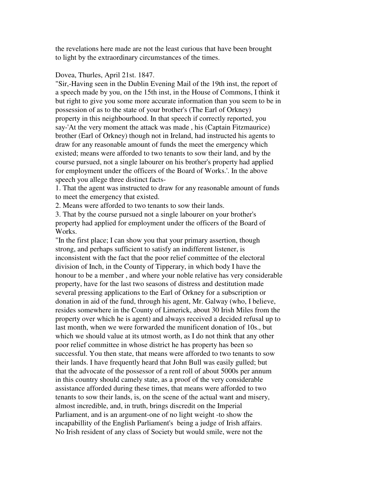the revelations here made are not the least curious that have been brought to light by the extraordinary circumstances of the times.

#### Dovea, Thurles, April 21st. 1847.

"Sir,-Having seen in the Dublin Evening Mail of the 19th inst, the report of a speech made by you, on the 15th inst, in the House of Commons, I think it but right to give you some more accurate information than you seem to be in possession of as to the state of your brother's (The Earl of Orkney) property in this neighbourhood. In that speech if correctly reported, you say-'At the very moment the attack was made , his (Captain Fitzmaurice) brother (Earl of Orkney) though not in Ireland, had instructed his agents to draw for any reasonable amount of funds the meet the emergency which existed; means were afforded to two tenants to sow their land, and by the course pursued, not a single labourer on his brother's property had applied for employment under the officers of the Board of Works.'. In the above speech you allege three distinct facts-

1. That the agent was instructed to draw for any reasonable amount of funds to meet the emergency that existed.

2. Means were afforded to two tenants to sow their lands.

3. That by the course pursued not a single labourer on your brother's property had applied for employment under the officers of the Board of Works.

"In the first place; I can show you that your primary assertion, though strong, and perhaps sufficient to satisfy an indifferent listener, is inconsistent with the fact that the poor relief committee of the electoral division of Inch, in the County of Tipperary, in which body I have the honour to be a member , and where your noble relative has very considerable property, have for the last two seasons of distress and destitution made several pressing applications to the Earl of Orkney for a subscription or donation in aid of the fund, through his agent, Mr. Galway (who, I believe, resides somewhere in the County of Limerick, about 30 Irish Miles from the property over which he is agent) and always received a decided refusal up to last month, when we were forwarded the munificent donation of 10s., but which we should value at its utmost worth, as I do not think that any other poor relief committee in whose district he has property has been so successful. You then state, that means were afforded to two tenants to sow their lands. I have frequently heard that John Bull was easily gulled; but that the advocate of the possessor of a rent roll of about 5000s per annum in this country should camely state, as a proof of the very considerable assistance afforded during these times, that means were afforded to two tenants to sow their lands, is, on the scene of the actual want and misery, almost incredible, and, in truth, brings discredit on the Imperial Parliament, and is an argument-one of no light weight -to show the incapabillity of the English Parliament's being a judge of Irish affairs. No Irish resident of any class of Society but would smile, were not the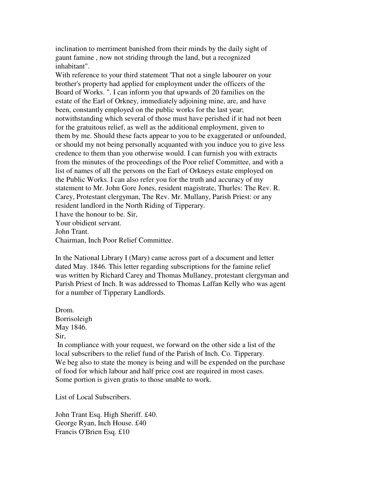inclination to merriment banished from their minds by the daily sight of gaunt famine , now not striding through the land, but a recognized inhabitant".

With reference to your third statement 'That not a single labourer on your brother's property had applied for employment under the officers of the Board of Works. ". I can inform you that upwards of 20 families on the estate of the Earl of Orkney, immediately adjoining mine, are, and have been, constantly employed on the public works for the last year; notwithstanding which several of those must have perished if it had not been for the gratuitous relief, as well as the additional employment, given to them by me. Should these facts appear to you to be exaggerated or unfounded, or should my not being personally acquanted with you induce you to give less credence to them than you otherwise would. I can furnish you with extracts from the minutes of the proceedings of the Poor relief Committee, and with a list of names of all the persons on the Earl of Orkneys estate employed on the Public Works. I can also refer you for the truth and accuracy of my statement to Mr. John Gore Jones, resident magistrate, Thurles: The Rev. R. Carey, Protestant clergyman, The Rev. Mr. Mullany, Parish Priest: or any resident landlord in the North Riding of Tipperary. I have the honour to be. Sir, Your obidient servant.

John Trant.

Chairman, Inch Poor Relief Committee.

In the National Library I (Mary) came across part of a document and letter dated May. 1846. This letter regarding subscriptions for the famine relief was written by Richard Carey and Thomas Mullaney, protestant clergyman and Parish Priest of Inch. It was addressed to Thomas Laffan Kelly who was agent for a number of Tipperary Landlords.

Drom. Borrisoleigh May 1846.

Sir,

 In compliance with your request, we forward on the other side a list of the local subscribers to the relief fund of the Parish of Inch. Co. Tipperary. We beg also to state the money is being and will be expended on the purchase of food for which labour and half price cost are required in most cases. Some portion is given gratis to those unable to work.

List of Local Subscribers.

John Trant Esq. High Sheriff. £40. George Ryan, Inch House. £40 Francis O'Brien Esq. £10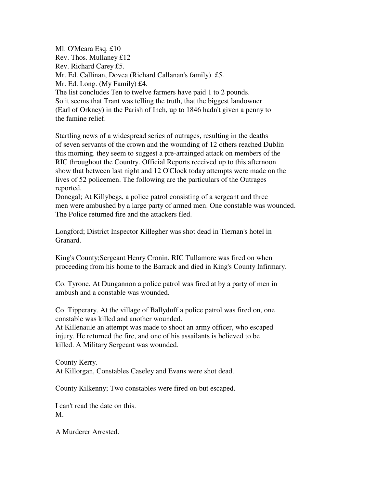Ml. O'Meara Esq. £10 Rev. Thos. Mullaney £12 Rev. Richard Carey £5. Mr. Ed. Callinan, Dovea (Richard Callanan's family) £5. Mr. Ed. Long. (My Family) £4. The list concludes Ten to twelve farmers have paid 1 to 2 pounds. So it seems that Trant was telling the truth, that the biggest landowner (Earl of Orkney) in the Parish of Inch, up to 1846 hadn't given a penny to the famine relief.

Startling news of a widespread series of outrages, resulting in the deaths of seven servants of the crown and the wounding of 12 others reached Dublin this morning. they seem to suggest a pre-arrainged attack on members of the RIC throughout the Country. Official Reports received up to this afternoon show that between last night and 12 O'Clock today attempts were made on the lives of 52 policemen. The following are the particulars of the Outrages reported.

Donegal; At Killybegs, a police patrol consisting of a sergeant and three men were ambushed by a large party of armed men. One constable was wounded. The Police returned fire and the attackers fled.

Longford; District Inspector Killegher was shot dead in Tiernan's hotel in Granard.

King's County;Sergeant Henry Cronin, RIC Tullamore was fired on when proceeding from his home to the Barrack and died in King's County Infirmary.

Co. Tyrone. At Dungannon a police patrol was fired at by a party of men in ambush and a constable was wounded.

Co. Tipperary. At the village of Ballyduff a police patrol was fired on, one constable was killed and another wounded.

At Killenaule an attempt was made to shoot an army officer, who escaped injury. He returned the fire, and one of his assailants is believed to be killed. A Military Sergeant was wounded.

County Kerry. At Killorgan, Constables Caseley and Evans were shot dead.

County Kilkenny; Two constables were fired on but escaped.

I can't read the date on this. M.

A Murderer Arrested.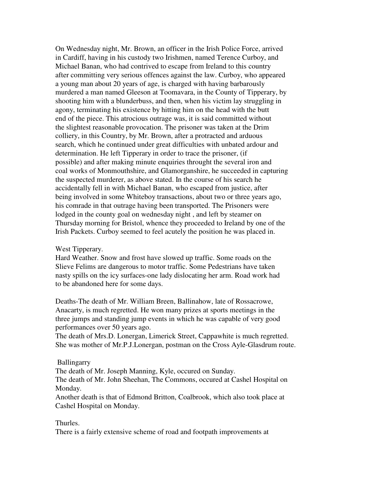On Wednesday night, Mr. Brown, an officer in the Irish Police Force, arrived in Cardiff, having in his custody two Irishmen, named Terence Curboy, and Michael Banan, who had contrived to escape from Ireland to this country after committing very serious offences against the law. Curboy, who appeared a young man about 20 years of age, is charged with having barbarously murdered a man named Gleeson at Toomavara, in the County of Tipperary, by shooting him with a blunderbuss, and then, when his victim lay struggling in agony, terminating his existence by hitting him on the head with the butt end of the piece. This atrocious outrage was, it is said committed without the slightest reasonable provocation. The prisoner was taken at the Drim colliery, in this Country, by Mr. Brown, after a protracted and arduous search, which he continued under great difficulties with unbated ardour and determination. He left Tipperary in order to trace the prisoner, (if possible) and after making minute enquiries throught the several iron and coal works of Monmouthshire, and Glamorganshire, he succeeded in capturing the suspected murderer, as above stated. In the course of his search he accidentally fell in with Michael Banan, who escaped from justice, after being involved in some Whiteboy transactions, about two or three years ago, his comrade in that outrage having been transported. The Prisoners were lodged in the county goal on wednesday night , and left by steamer on Thursday morning for Bristol, whence they proceeded to Ireland by one of the Irish Packets. Curboy seemed to feel acutely the position he was placed in.

#### West Tipperary.

Hard Weather. Snow and frost have slowed up traffic. Some roads on the Slieve Felims are dangerous to motor traffic. Some Pedestrians have taken nasty spills on the icy surfaces-one lady dislocating her arm. Road work had to be abandoned here for some days.

Deaths-The death of Mr. William Breen, Ballinahow, late of Rossacrowe, Anacarty, is much regretted. He won many prizes at sports meetings in the three jumps and standing jump events in which he was capable of very good performances over 50 years ago.

The death of Mrs.D. Lonergan, Limerick Street, Cappawhite is much regretted. She was mother of Mr.P.J.Lonergan, postman on the Cross Ayle-Glasdrum route.

#### Ballingarry

The death of Mr. Joseph Manning, Kyle, occured on Sunday.

The death of Mr. John Sheehan, The Commons, occured at Cashel Hospital on Monday.

Another death is that of Edmond Britton, Coalbrook, which also took place at Cashel Hospital on Monday.

#### Thurles.

There is a fairly extensive scheme of road and footpath improvements at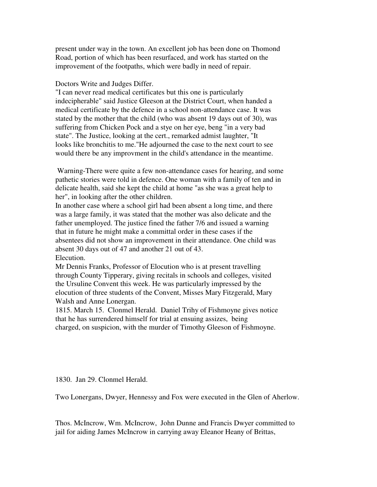present under way in the town. An excellent job has been done on Thomond Road, portion of which has been resurfaced, and work has started on the improvement of the footpaths, which were badly in need of repair.

#### Doctors Write and Judges Differ.

"I can never read medical certificates but this one is particularly indecipherable" said Justice Gleeson at the District Court, when handed a medical certificate by the defence in a school non-attendance case. It was stated by the mother that the child (who was absent 19 days out of 30), was suffering from Chicken Pock and a stye on her eye, beng "in a very bad state". The Justice, looking at the cert., remarked admist laughter, "It looks like bronchitis to me."He adjourned the case to the next court to see would there be any improvment in the child's attendance in the meantime.

 Warning-There were quite a few non-attendance cases for hearing, and some pathetic stories were told in defence. One woman with a family of ten and in delicate health, said she kept the child at home "as she was a great help to her", in looking after the other children.

In another case where a school girl had been absent a long time, and there was a large family, it was stated that the mother was also delicate and the father unemployed. The justice fined the father 7/6 and issued a warning that in future he might make a committal order in these cases if the absentees did not show an improvement in their attendance. One child was absent 30 days out of 47 and another 21 out of 43. Elecution.

Mr Dennis Franks, Professor of Elocution who is at present travelling through County Tipperary, giving recitals in schools and colleges, visited the Ursuline Convent this week. He was particularly impressed by the elocution of three students of the Convent, Misses Mary Fitzgerald, Mary Walsh and Anne Lonergan.

1815. March 15. Clonmel Herald. Daniel Trihy of Fishmoyne gives notice that he has surrendered himself for trial at ensuing assizes, being charged, on suspicion, with the murder of Timothy Gleeson of Fishmoyne.

1830. Jan 29. Clonmel Herald.

Two Lonergans, Dwyer, Hennessy and Fox were executed in the Glen of Aherlow.

Thos. McIncrow, Wm. McIncrow, John Dunne and Francis Dwyer committed to jail for aiding James McIncrow in carrying away Eleanor Heany of Brittas,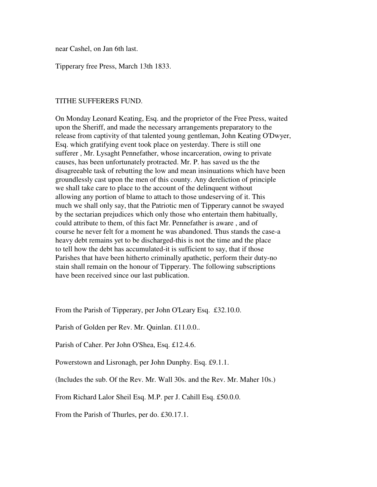near Cashel, on Jan 6th last.

Tipperary free Press, March 13th 1833.

## TITHE SUFFERERS FUND.

On Monday Leonard Keating, Esq. and the proprietor of the Free Press, waited upon the Sheriff, and made the necessary arrangements preparatory to the release from captivity of that talented young gentleman, John Keating O'Dwyer, Esq. which gratifying event took place on yesterday. There is still one sufferer , Mr. Lysaght Pennefather, whose incarceration, owing to private causes, has been unfortunately protracted. Mr. P. has saved us the the disagreeable task of rebutting the low and mean insinuations which have been groundlessly cast upon the men of this county. Any dereliction of principle we shall take care to place to the account of the delinquent without allowing any portion of blame to attach to those undeserving of it. This much we shall only say, that the Patriotic men of Tipperary cannot be swayed by the sectarian prejudices which only those who entertain them habitually, could attribute to them, of this fact Mr. Pennefather is aware , and of course he never felt for a moment he was abandoned. Thus stands the case-a heavy debt remains yet to be discharged-this is not the time and the place to tell how the debt has accumulated-it is sufficient to say, that if those Parishes that have been hitherto criminally apathetic, perform their duty-no stain shall remain on the honour of Tipperary. The following subscriptions have been received since our last publication.

From the Parish of Tipperary, per John O'Leary Esq. £32.10.0.

Parish of Golden per Rev. Mr. Quinlan. £11.0.0..

Parish of Caher. Per John O'Shea, Esq. £12.4.6.

Powerstown and Lisronagh, per John Dunphy. Esq. £9.1.1.

(Includes the sub. Of the Rev. Mr. Wall 30s. and the Rev. Mr. Maher 10s.)

From Richard Lalor Sheil Esq. M.P. per J. Cahill Esq. £50.0.0.

From the Parish of Thurles, per do. £30.17.1.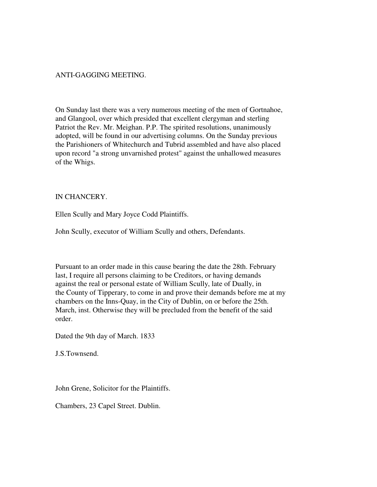## ANTI-GAGGING MEETING.

On Sunday last there was a very numerous meeting of the men of Gortnahoe, and Glangool, over which presided that excellent clergyman and sterling Patriot the Rev. Mr. Meighan. P.P. The spirited resolutions, unanimously adopted, will be found in our advertising columns. On the Sunday previous the Parishioners of Whitechurch and Tubrid assembled and have also placed upon record "a strong unvarnished protest" against the unhallowed measures of the Whigs.

## IN CHANCERY.

Ellen Scully and Mary Joyce Codd Plaintiffs.

John Scully, executor of William Scully and others, Defendants.

Pursuant to an order made in this cause bearing the date the 28th. February last, I require all persons claiming to be Creditors, or having demands against the real or personal estate of William Scully, late of Dually, in the County of Tipperary, to come in and prove their demands before me at my chambers on the Inns-Quay, in the City of Dublin, on or before the 25th. March, inst. Otherwise they will be precluded from the benefit of the said order.

Dated the 9th day of March. 1833

J.S.Townsend.

John Grene, Solicitor for the Plaintiffs.

Chambers, 23 Capel Street. Dublin.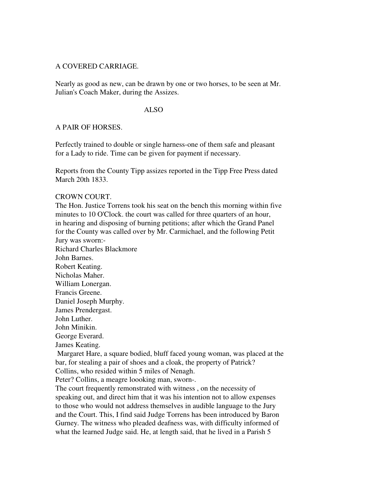## A COVERED CARRIAGE.

Nearly as good as new, can be drawn by one or two horses, to be seen at Mr. Julian's Coach Maker, during the Assizes.

#### ALSO

### A PAIR OF HORSES.

Perfectly trained to double or single harness-one of them safe and pleasant for a Lady to ride. Time can be given for payment if necessary.

Reports from the County Tipp assizes reported in the Tipp Free Press dated March 20th 1833.

#### CROWN COURT.

The Hon. Justice Torrens took his seat on the bench this morning within five minutes to 10 O'Clock. the court was called for three quarters of an hour, in hearing and disposing of burning petitions; after which the Grand Panel for the County was called over by Mr. Carmichael, and the following Petit Jury was sworn:- Richard Charles Blackmore John Barnes. Robert Keating. Nicholas Maher. William Lonergan. Francis Greene. Daniel Joseph Murphy. James Prendergast. John Luther. John Minikin. George Everard. James Keating. Margaret Hare, a square bodied, bluff faced young woman, was placed at the bar, for stealing a pair of shoes and a cloak, the property of Patrick? Collins, who resided within 5 miles of Nenagh. Peter? Collins, a meagre loooking man, sworn-. The court frequently remonstrated with witness , on the necessity of speaking out, and direct him that it was his intention not to allow expenses to those who would not address themselves in audible language to the Jury and the Court. This, I find said Judge Torrens has been introduced by Baron Gurney. The witness who pleaded deafness was, with difficulty informed of what the learned Judge said. He, at length said, that he lived in a Parish 5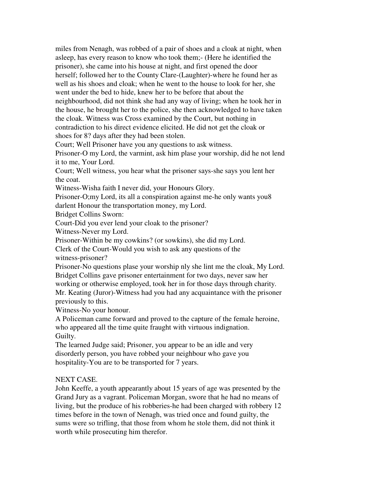miles from Nenagh, was robbed of a pair of shoes and a cloak at night, when asleep, has every reason to know who took them;- (Here he identified the prisoner), she came into his house at night, and first opened the door herself; followed her to the County Clare-(Laughter)-where he found her as well as his shoes and cloak; when he went to the house to look for her, she went under the bed to hide, knew her to be before that about the neighbourhood, did not think she had any way of living; when he took her in the house, he brought her to the police, she then acknowledged to have taken the cloak. Witness was Cross examined by the Court, but nothing in contradiction to his direct evidence elicited. He did not get the cloak or shoes for 8? days after they had been stolen.

Court; Well Prisoner have you any questions to ask witness.

Prisoner-O my Lord, the varmint, ask him plase your worship, did he not lend it to me, Your Lord.

Court; Well witness, you hear what the prisoner says-she says you lent her the coat.

Witness-Wisha faith I never did, your Honours Glory.

Prisoner-O;my Lord, its all a conspiration against me-he only wants you8 darlent Honour the transportation money, my Lord.

Bridget Collins Sworn:

Court-Did you ever lend your cloak to the prisoner?

Witness-Never my Lord.

Prisoner-Within be my cowkins? (or sowkins), she did my Lord.

Clerk of the Court-Would you wish to ask any questions of the witness-prisoner?

Prisoner-No questions plase your worship nly she lint me the cloak, My Lord. Bridget Collins gave prisoner entertainment for two days, never saw her working or otherwise employed, took her in for those days through charity.

Mr. Keating (Juror)-Witness had you had any acquaintance with the prisoner previously to this.

Witness-No your honour.

A Policeman came forward and proved to the capture of the female heroine, who appeared all the time quite fraught with virtuous indignation. Guilty.

The learned Judge said; Prisoner, you appear to be an idle and very disorderly person, you have robbed your neighbour who gave you hospitality-You are to be transported for 7 years.

# NEXT CASE.

John Keeffe, a youth appearantly about 15 years of age was presented by the Grand Jury as a vagrant. Policeman Morgan, swore that he had no means of living, but the produce of his robberies-he had been charged with robbery 12 times before in the town of Nenagh, was tried once and found guilty, the sums were so trifling, that those from whom he stole them, did not think it worth while prosecuting him therefor.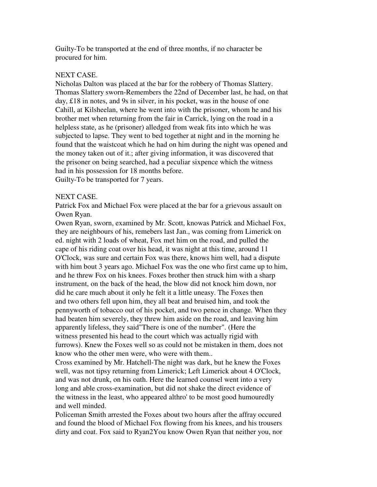Guilty-To be transported at the end of three months, if no character be procured for him.

## NEXT CASE.

Nicholas Dalton was placed at the bar for the robbery of Thomas Slattery. Thomas Slattery sworn-Remembers the 22nd of December last, he had, on that day, £18 in notes, and 9s in silver, in his pocket, was in the house of one Cahill, at Kilsheelan, where he went into with the prisoner, whom he and his brother met when returning from the fair in Carrick, lying on the road in a helpless state, as he (prisoner) alledged from weak fits into which he was subjected to lapse. They went to bed together at night and in the morning he found that the waistcoat which he had on him during the night was opened and the money taken out of it.; after giving information, it was discovered that the prisoner on being searched, had a peculiar sixpence which the witness had in his possession for 18 months before. Guilty-To be transported for 7 years.

### NEXT CASE.

Patrick Fox and Michael Fox were placed at the bar for a grievous assault on Owen Ryan.

Owen Ryan, sworn, examined by Mr. Scott, knowas Patrick and Michael Fox, they are neighbours of his, remebers last Jan., was coming from Limerick on ed. night with 2 loads of wheat, Fox met him on the road, and pulled the cape of his riding coat over his head, it was night at this time, around 11 O'Clock, was sure and certain Fox was there, knows him well, had a dispute with him bout 3 years ago. Michael Fox was the one who first came up to him, and he threw Fox on his knees. Foxes brother then struck him with a sharp instrument, on the back of the head, the blow did not knock him down, nor did he care much about it only he felt it a little uneasy. The Foxes then and two others fell upon him, they all beat and bruised him, and took the pennyworth of tobacco out of his pocket, and two pence in change. When they had beaten him severely, they threw him aside on the road, and leaving him apparently lifeless, they said"There is one of the number". (Here the witness presented his head to the court which was actually rigid with furrows). Knew the Foxes well so as could not be mistaken in them, does not know who the other men were, who were with them..

Cross examined by Mr. Hatchell-The night was dark, but he knew the Foxes well, was not tipsy returning from Limerick; Left Limerick about 4 O'Clock, and was not drunk, on his oath. Here the learned counsel went into a very long and able cross-examination, but did not shake the direct evidence of the witness in the least, who appeared althro' to be most good humouredly and well minded.

Policeman Smith arrested the Foxes about two hours after the affray occured and found the blood of Michael Fox flowing from his knees, and his trousers dirty and coat. Fox said to Ryan2You know Owen Ryan that neither you, nor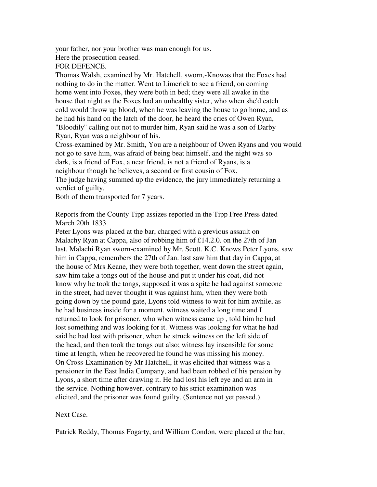your father, nor your brother was man enough for us.

Here the prosecution ceased.

FOR DEFENCE.

Thomas Walsh, examined by Mr. Hatchell, sworn,-Knowas that the Foxes had nothing to do in the matter. Went to Limerick to see a friend, on coming home went into Foxes, they were both in bed; they were all awake in the house that night as the Foxes had an unhealthy sister, who when she'd catch cold would throw up blood, when he was leaving the house to go home, and as he had his hand on the latch of the door, he heard the cries of Owen Ryan, "Bloodily" calling out not to murder him, Ryan said he was a son of Darby Ryan, Ryan was a neighbour of his.

Cross-examined by Mr. Smith, You are a neighbour of Owen Ryans and you would not go to save him, was afraid of being beat himself, and the night was so dark, is a friend of Fox, a near friend, is not a friend of Ryans, is a neighbour though he believes, a second or first cousin of Fox. The judge having summed up the evidence, the jury immediately returning a verdict of guilty.

Both of them transported for 7 years.

Reports from the County Tipp assizes reported in the Tipp Free Press dated March 20th 1833.

Peter Lyons was placed at the bar, charged with a grevious assault on Malachy Ryan at Cappa, also of robbing him of £14.2.0. on the 27th of Jan last. Malachi Ryan sworn-examined by Mr. Scott. K.C. Knows Peter Lyons, saw him in Cappa, remembers the 27th of Jan. last saw him that day in Cappa, at the house of Mrs Keane, they were both together, went down the street again, saw him take a tongs out of the house and put it under his coat, did not know why he took the tongs, supposed it was a spite he had against someone in the street, had never thought it was against him, when they were both going down by the pound gate, Lyons told witness to wait for him awhile, as he had business inside for a moment, witness waited a long time and I returned to look for prisoner, who when witness came up , told him he had lost something and was looking for it. Witness was looking for what he had said he had lost with prisoner, when he struck witness on the left side of the head, and then took the tongs out also; witness lay insensible for some time at length, when he recovered he found he was missing his money. On Cross-Examination by Mr Hatchell, it was elicited that witness was a pensioner in the East India Company, and had been robbed of his pension by Lyons, a short time after drawing it. He had lost his left eye and an arm in the service. Nothing however, contrary to his strict examination was elicited, and the prisoner was found guilty. (Sentence not yet passed.).

# Next Case.

Patrick Reddy, Thomas Fogarty, and William Condon, were placed at the bar,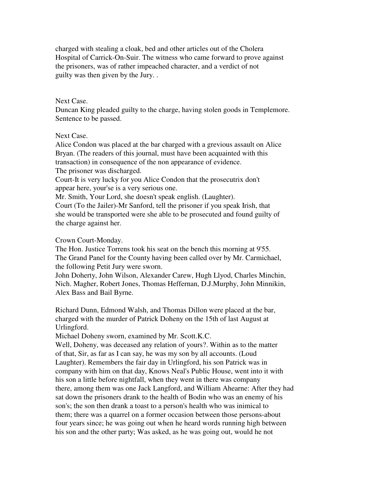charged with stealing a cloak, bed and other articles out of the Cholera Hospital of Carrick-On-Suir. The witness who came forward to prove against the prisoners, was of rather impeached character, and a verdict of not guilty was then given by the Jury. .

### Next Case.

Duncan King pleaded guilty to the charge, having stolen goods in Templemore. Sentence to be passed.

## Next Case.

Alice Condon was placed at the bar charged with a grevious assault on Alice Bryan. (The readers of this journal, must have been acquainted with this transaction) in consequence of the non appearance of evidence. The prisoner was discharged.

Court-It is very lucky for you Alice Condon that the prosecutrix don't appear here, your'se is a very serious one.

Mr. Smith, Your Lord, she doesn't speak english. (Laughter).

Court (To the Jailer)-Mr Sanford, tell the prisoner if you speak Irish, that she would be transported were she able to be prosecuted and found guilty of the charge against her.

## Crown Court-Monday.

The Hon. Justice Torrens took his seat on the bench this morning at 9'55. The Grand Panel for the County having been called over by Mr. Carmichael, the following Petit Jury were sworn.

John Doherty, John Wilson, Alexander Carew, Hugh Llyod, Charles Minchin, Nich. Magher, Robert Jones, Thomas Heffernan, D.J.Murphy, John Minnikin, Alex Bass and Bail Byrne.

Richard Dunn, Edmond Walsh, and Thomas Dillon were placed at the bar, charged with the murder of Patrick Doheny on the 15th of last August at Urlingford.

Michael Doheny sworn, examined by Mr. Scott.K.C.

Well, Doheny, was deceased any relation of yours?. Within as to the matter of that, Sir, as far as I can say, he was my son by all accounts. (Loud Laughter). Remembers the fair day in Urlingford, his son Patrick was in company with him on that day, Knows Neal's Public House, went into it with his son a little before nightfall, when they went in there was company there, among them was one Jack Langford, and William Ahearne: After they had sat down the prisoners drank to the health of Bodin who was an enemy of his son's; the son then drank a toast to a person's health who was inimical to them; there was a quarrel on a former occasion between those persons-about four years since; he was going out when he heard words running high between his son and the other party; Was asked, as he was going out, would he not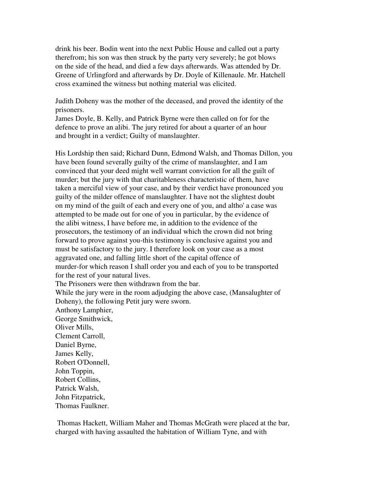drink his beer. Bodin went into the next Public House and called out a party therefrom; his son was then struck by the party very severely; he got blows on the side of the head, and died a few days afterwards. Was attended by Dr. Greene of Urlingford and afterwards by Dr. Doyle of Killenaule. Mr. Hatchell cross examined the witness but nothing material was elicited.

Judith Doheny was the mother of the deceased, and proved the identity of the prisoners.

James Doyle, B. Kelly, and Patrick Byrne were then called on for for the defence to prove an alibi. The jury retired for about a quarter of an hour and brought in a verdict; Guilty of manslaughter.

His Lordship then said; Richard Dunn, Edmond Walsh, and Thomas Dillon, you have been found severally guilty of the crime of manslaughter, and I am convinced that your deed might well warrant conviction for all the guilt of murder; but the jury with that charitableness characteristic of them, have taken a merciful view of your case, and by their verdict have pronounced you guilty of the milder offence of manslaughter. I have not the slightest doubt on my mind of the guilt of each and every one of you, and altho' a case was attempted to be made out for one of you in particular, by the evidence of the alibi witness, I have before me, in addition to the evidence of the prosecutors, the testimony of an individual which the crown did not bring forward to prove against you-this testimony is conclusive against you and must be satisfactory to the jury. I therefore look on your case as a most aggravated one, and falling little short of the capital offence of murder-for which reason I shall order you and each of you to be transported for the rest of your natural lives. The Prisoners were then withdrawn from the bar. While the jury were in the room adjudging the above case, (Mansalughter of Doheny), the following Petit jury were sworn. Anthony Lamphier, George Smithwick, Oliver Mills, Clement Carroll, Daniel Byrne, James Kelly, Robert O'Donnell, John Toppin, Robert Collins,

Patrick Walsh, John Fitzpatrick, Thomas Faulkner.

 Thomas Hackett, William Maher and Thomas McGrath were placed at the bar, charged with having assaulted the habitation of William Tyne, and with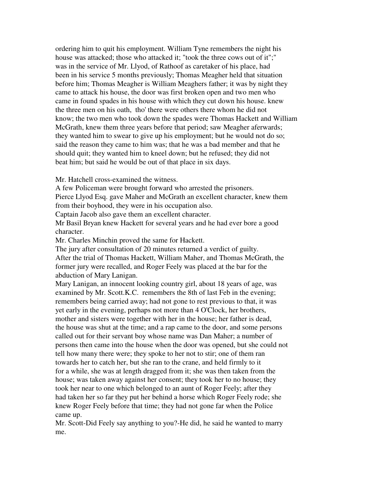ordering him to quit his employment. William Tyne remembers the night his house was attacked; those who attacked it; "took the three cows out of it";" was in the service of Mr. Llyod, of Rathoof as caretaker of his place, had been in his service 5 months previously; Thomas Meagher held that situation before him; Thomas Meagher is William Meaghers father; it was by night they came to attack his house, the door was first broken open and two men who came in found spades in his house with which they cut down his house. knew the three men on his oath, tho' there were others there whom he did not know; the two men who took down the spades were Thomas Hackett and William McGrath, knew them three years before that period; saw Meagher aferwards; they wanted him to swear to give up his employment; but he would not do so; said the reason they came to him was; that he was a bad member and that he should quit; they wanted him to kneel down; but he refused; they did not beat him; but said he would be out of that place in six days.

Mr. Hatchell cross-examined the witness.

A few Policeman were brought forward who arrested the prisoners.

Pierce Llyod Esq. gave Maher and McGrath an excellent character, knew them from their boyhood, they were in his occupation also.

Captain Jacob also gave them an excellent character.

Mr Basil Bryan knew Hackett for several years and he had ever bore a good character.

Mr. Charles Minchin proved the same for Hackett.

The jury after consultation of 20 minutes returned a verdict of guilty. After the trial of Thomas Hackett, William Maher, and Thomas McGrath, the former jury were recalled, and Roger Feely was placed at the bar for the abduction of Mary Lanigan.

Mary Lanigan, an innocent looking country girl, about 18 years of age, was examined by Mr. Scott.K.C. remembers the 8th of last Feb in the evening; remembers being carried away; had not gone to rest previous to that, it was yet early in the evening, perhaps not more than 4 O'Clock, her brothers, mother and sisters were together with her in the house; her father is dead, the house was shut at the time; and a rap came to the door, and some persons called out for their servant boy whose name was Dan Maher; a number of persons then came into the house when the door was opened, but she could not tell how many there were; they spoke to her not to stir; one of them ran towards her to catch her, but she ran to the crane, and held firmly to it for a while, she was at length dragged from it; she was then taken from the house; was taken away against her consent; they took her to no house; they took her near to one which belonged to an aunt of Roger Feely; after they had taken her so far they put her behind a horse which Roger Feely rode; she knew Roger Feely before that time; they had not gone far when the Police came up.

Mr. Scott-Did Feely say anything to you?-He did, he said he wanted to marry me.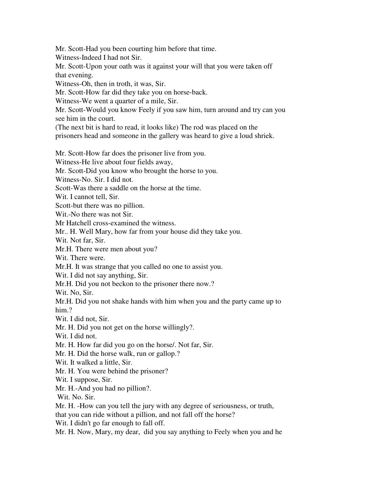Mr. Scott-Had you been courting him before that time.

Witness-Indeed I had not Sir.

Mr. Scott-Upon your oath was it against your will that you were taken off that evening.

Witness-Oh, then in troth, it was, Sir.

Mr. Scott-How far did they take you on horse-back.

Witness-We went a quarter of a mile, Sir.

Mr. Scott-Would you know Feely if you saw him, turn around and try can you see him in the court.

(The next bit is hard to read, it looks like) The rod was placed on the

prisoners head and someone in the gallery was heard to give a loud shriek.

Mr. Scott-How far does the prisoner live from you.

Witness-He live about four fields away,

Mr. Scott-Did you know who brought the horse to you.

Witness-No. Sir. I did not.

Scott-Was there a saddle on the horse at the time.

Wit. I cannot tell. Sir.

Scott-but there was no pillion.

Wit.-No there was not Sir.

Mr Hatchell cross-examined the witness.

Mr.. H. Well Mary, how far from your house did they take you.

Wit. Not far, Sir.

Mr.H. There were men about you?

Wit. There were.

Mr.H. It was strange that you called no one to assist you.

Wit. I did not say anything, Sir.

Mr.H. Did you not beckon to the prisoner there now.?

Wit. No, Sir.

Mr.H. Did you not shake hands with him when you and the party came up to him.?

Wit. I did not, Sir.

Mr. H. Did you not get on the horse willingly?.

Wit. I did not.

Mr. H. How far did you go on the horse/. Not far, Sir.

Mr. H. Did the horse walk, run or gallop.?

Wit. It walked a little, Sir.

Mr. H. You were behind the prisoner?

Wit. I suppose, Sir.

Mr. H.-And you had no pillion?.

Wit. No. Sir.

Mr. H. -How can you tell the jury with any degree of seriousness, or truth,

that you can ride without a pillion, and not fall off the horse?

Wit. I didn't go far enough to fall off.

Mr. H. Now, Mary, my dear, did you say anything to Feely when you and he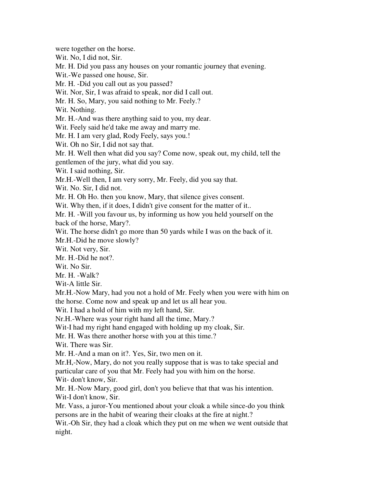were together on the horse. Wit. No, I did not, Sir. Mr. H. Did you pass any houses on your romantic journey that evening. Wit.-We passed one house, Sir. Mr. H. -Did you call out as you passed? Wit. Nor, Sir, I was afraid to speak, nor did I call out. Mr. H. So, Mary, you said nothing to Mr. Feely.? Wit. Nothing. Mr. H.-And was there anything said to you, my dear. Wit. Feely said he'd take me away and marry me. Mr. H. I am very glad, Rody Feely, says you.! Wit. Oh no Sir, I did not say that. Mr. H. Well then what did you say? Come now, speak out, my child, tell the gentlemen of the jury, what did you say. Wit. I said nothing, Sir. Mr.H.-Well then, I am very sorry, Mr. Feely, did you say that. Wit. No. Sir, I did not. Mr. H. Oh Ho. then you know, Mary, that silence gives consent. Wit. Why then, if it does, I didn't give consent for the matter of it.. Mr. H. -Will you favour us, by informing us how you held yourself on the back of the horse, Mary?. Wit. The horse didn't go more than 50 yards while I was on the back of it. Mr.H.-Did he move slowly? Wit. Not very, Sir. Mr. H.-Did he not?. Wit. No Sir. Mr. H. -Walk? Wit-A little Sir. Mr.H.-Now Mary, had you not a hold of Mr. Feely when you were with him on the horse. Come now and speak up and let us all hear you. Wit. I had a hold of him with my left hand, Sir. Nr.H.-Where was your right hand all the time, Mary.? Wit-I had my right hand engaged with holding up my cloak, Sir. Mr. H. Was there another horse with you at this time.? Wit. There was Sir. Mr. H.-And a man on it?. Yes, Sir, two men on it. Mr.H,-Now, Mary, do not you really suppose that is was to take special and particular care of you that Mr. Feely had you with him on the horse. Wit- don't know, Sir. Mr. H.-Now Mary, good girl, don't you believe that that was his intention. Wit-I don't know, Sir. Mr. Vass, a juror-You mentioned about your cloak a while since-do you think persons are in the habit of wearing their cloaks at the fire at night.? Wit.-Oh Sir, they had a cloak which they put on me when we went outside that night.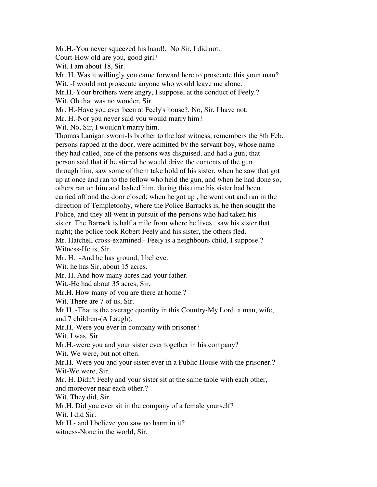Mr.H.-You never squeezed his hand!. No Sir, I did not.

Court-How old are you, good girl?

Wit. I am about 18, Sir.

Mr. H. Was it willingly you came forward here to prosecute this youn man?

Wit. -I would not prosecute anyone who would leave me alone.

Mr.H.-Your brothers were angry, I suppose, at the conduct of Feely.?

Wit. Oh that was no wonder, Sir.

Mr. H.-Have you ever been at Feely's house?. No, Sir, I have not.

Mr. H.-Nor you never said you would marry him?

Wit. No, Sir, I wouldn't marry him.

Thomas Lanigan sworn-Is brother to the last witness, remembers the 8th Feb. persons rapped at the door, were admitted by the servant boy, whose name they had called, one of the persons was disguised, and had a gun; that person said that if he stirred he would drive the contents of the gun through him, saw some of them take hold of his sister, when he saw that got up at once and ran to the fellow who held the gun, and when he had done so, others ran on him and lashed him, during this time his sister had been carried off and the door closed; when he got up , he went out and ran in the direction of Templetoohy, where the Police Barracks is, he then sought the Police, and they all went in pursuit of the persons who had taken his sister. The Barrack is half a mile from where he lives , saw his sister that night; the police took Robert Feely and his sister, the others fled. Mr. Hatchell cross-examined.- Feely is a neighbours child, I suppose.? Witness-He is, Sir.

Mr. H. -And he has ground, I believe.

Wit. he has Sir, about 15 acres.

Mr. H. And how many acres had your father.

Wit.-He had about 35 acres, Sir.

Mr.H. How many of you are there at home.?

Wit. There are 7 of us, Sir.

Mr.H. -That is the average quantity in this Country-My Lord, a man, wife, and 7 children-(A Laugh).

Mr.H.-Were you ever in company with prisoner?

Wit. I was, Sir.

Mr.H.-were you and your sister ever together in his company?

Wit. We were, but not often.

Mr.H.-Were you and your sister ever in a Public House with the prisoner.? Wit-We were, Sir.

Mr. H. Didn't Feely and your sister sit at the same table with each other, and moreover near each other.?

Wit. They did, Sir.

Mr.H. Did you ever sit in the company of a female yourself?

Wit. I did Sir.

Mr.H.- and I believe you saw no harm in it?

witness-None in the world, Sir.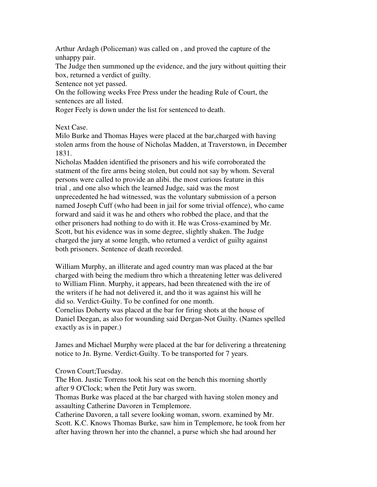Arthur Ardagh (Policeman) was called on , and proved the capture of the unhappy pair.

The Judge then summoned up the evidence, and the jury without quitting their box, returned a verdict of guilty.

Sentence not yet passed.

On the following weeks Free Press under the heading Rule of Court, the sentences are all listed.

Roger Feely is down under the list for sentenced to death.

Next Case.

Milo Burke and Thomas Hayes were placed at the bar,charged with having stolen arms from the house of Nicholas Madden, at Traverstown, in December 1831.

Nicholas Madden identified the prisoners and his wife corroborated the statment of the fire arms being stolen, but could not say by whom. Several persons were called to provide an alibi. the most curious feature in this trial , and one also which the learned Judge, said was the most unprecedented he had witnessed, was the voluntary submission of a person named Joseph Cuff (who had been in jail for some trivial offence), who came forward and said it was he and others who robbed the place, and that the other prisoners had nothing to do with it. He was Cross-examined by Mr. Scott, but his evidence was in some degree, slightly shaken. The Judge charged the jury at some length, who returned a verdict of guilty against both prisoners. Sentence of death recorded.

William Murphy, an illiterate and aged country man was placed at the bar charged with being the medium thro which a threatening letter was delivered to William Flinn. Murphy, it appears, had been threatened with the ire of the writers if he had not delivered it, and tho it was against his will he did so. Verdict-Guilty. To be confined for one month. Cornelius Doherty was placed at the bar for firing shots at the house of Daniel Deegan, as also for wounding said Dergan-Not Guilty. (Names spelled exactly as is in paper.)

James and Michael Murphy were placed at the bar for delivering a threatening notice to Jn. Byrne. Verdict-Guilty. To be transported for 7 years.

Crown Court;Tuesday.

The Hon. Justic Torrens took his seat on the bench this morning shortly after 9 O'Clock; when the Petit Jury was sworn.

Thomas Burke was placed at the bar charged with having stolen money and assaulting Catherine Davoren in Templemore.

Catherine Davoren, a tall severe looking woman, sworn. examined by Mr. Scott. K.C. Knows Thomas Burke, saw him in Templemore, he took from her after having thrown her into the channel, a purse which she had around her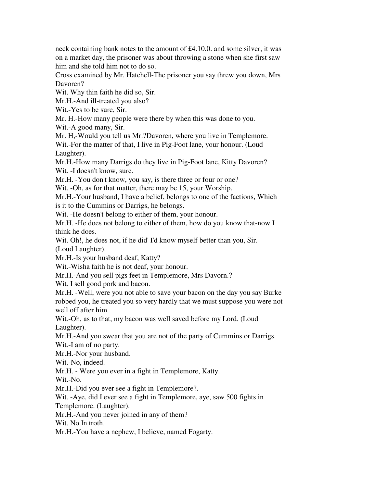neck containing bank notes to the amount of £4.10.0. and some silver, it was on a market day, the prisoner was about throwing a stone when she first saw him and she told him not to do so.

Cross examined by Mr. Hatchell-The prisoner you say threw you down, Mrs Davoren?

Wit. Why thin faith he did so, Sir.

Mr.H.-And ill-treated you also?

Wit.-Yes to be sure, Sir.

Mr. H.-How many people were there by when this was done to you.

Wit.-A good many, Sir.

Mr. H,-Would you tell us Mr.?Davoren, where you live in Templemore.

Wit.-For the matter of that, I live in Pig-Foot lane, your honour. (Loud Laughter).

Mr.H.-How many Darrigs do they live in Pig-Foot lane, Kitty Davoren? Wit. -I doesn't know, sure.

Mr.H. -You don't know, you say, is there three or four or one?

Wit. -Oh, as for that matter, there may be 15, your Worship.

Mr.H.-Your husband, I have a belief, belongs to one of the factions, Which is it to the Cummins or Darrigs, he belongs.

Wit. -He doesn't belong to either of them, your honour.

Mr.H. -He does not belong to either of them, how do you know that-now I think he does.

Wit. Oh!, he does not, if he did' I'd know myself better than you, Sir. (Loud Laughter).

Mr.H.-Is your husband deaf, Katty?

Wit.-Wisha faith he is not deaf, your honour.

Mr.H.-And you sell pigs feet in Templemore, Mrs Davorn.?

Wit. I sell good pork and bacon.

Mr.H. -Well, were you not able to save your bacon on the day you say Burke robbed you, he treated you so very hardly that we must suppose you were not well off after him.

Wit.-Oh, as to that, my bacon was well saved before my Lord. (Loud Laughter).

Mr.H.-And you swear that you are not of the party of Cummins or Darrigs. Wit.-I am of no party.

Mr.H.-Nor your husband.

Wit.-No, indeed.

Mr.H. - Were you ever in a fight in Templemore, Katty.

Wit.-No.

Mr.H.-Did you ever see a fight in Templemore?.

Wit. -Aye, did I ever see a fight in Templemore, aye, saw 500 fights in

Templemore. (Laughter).

Mr.H.-And you never joined in any of them?

Wit. No.In troth.

Mr.H.-You have a nephew, I believe, named Fogarty.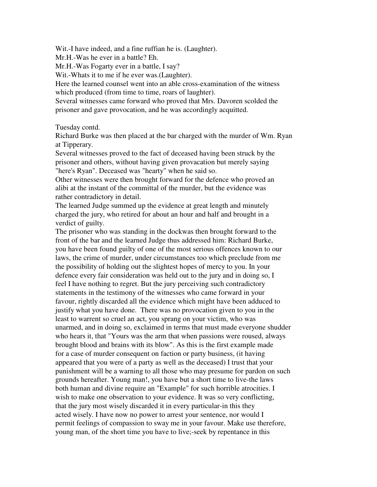Wit.-I have indeed, and a fine ruffian he is. (Laughter).

Mr.H.-Was he ever in a battle? Eh.

Mr.H.-Was Fogarty ever in a battle, I say?

Wit.-Whats it to me if he ever was.(Laughter).

Here the learned counsel went into an able cross-examination of the witness which produced (from time to time, roars of laughter).

Several witnesses came forward who proved that Mrs. Davoren scolded the prisoner and gave provocation, and he was accordingly acquitted.

Tuesday contd.

Richard Burke was then placed at the bar charged with the murder of Wm. Ryan at Tipperary.

Several witnesses proved to the fact of deceased having been struck by the prisoner and others, without having given provacation but merely saying "here's Ryan". Deceased was "hearty" when he said so.

Other witnesses were then brought forward for the defence who proved an alibi at the instant of the committal of the murder, but the evidence was rather contradictory in detail.

The learned Judge summed up the evidence at great length and minutely charged the jury, who retired for about an hour and half and brought in a verdict of guilty.

The prisoner who was standing in the dockwas then brought forward to the front of the bar and the learned Judge thus addressed him: Richard Burke, you have been found guilty of one of the most serious offences known to our laws, the crime of murder, under circumstances too which preclude from me the possibility of holding out the slightest hopes of mercy to you. In your defence every fair consideration was held out to the jury and in doing so, I feel I have nothing to regret. But the jury perceiving such contradictory statements in the testimony of the witnesses who came forward in your favour, rightly discarded all the evidence which might have been adduced to justify what you have done. There was no provocation given to you in the least to warrent so cruel an act, you sprang on your victim, who was unarmed, and in doing so, exclaimed in terms that must made everyone shudder who hears it, that "Yours was the arm that when passions were roused, always brought blood and brains with its blow". As this is the first example made for a case of murder consequent on faction or party business, (it having appeared that you were of a party as well as the deceased) I trust that your punishment will be a warning to all those who may presume for pardon on such grounds hereafter. Young man!, you have but a short time to live-the laws both human and divine require an "Example" for such horrible atrocities. I wish to make one observation to your evidence. It was so very conflicting, that the jury most wisely discarded it in every particular-in this they acted wisely. I have now no power to arrest your sentence, nor would I permit feelings of compassion to sway me in your favour. Make use therefore, young man, of the short time you have to live;-seek by repentance in this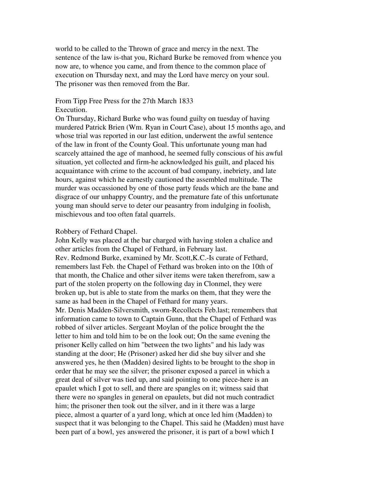world to be called to the Thrown of grace and mercy in the next. The sentence of the law is-that you, Richard Burke be removed from whence you now are, to whence you came, and from thence to the common place of execution on Thursday next, and may the Lord have mercy on your soul. The prisoner was then removed from the Bar.

#### From Tipp Free Press for the 27th March 1833 Execution.

On Thursday, Richard Burke who was found guilty on tuesday of having murdered Patrick Brien (Wm. Ryan in Court Case), about 15 months ago, and whose trial was reported in our last edition, underwent the awful sentence of the law in front of the County Goal. This unfortunate young man had scarcely attained the age of manhood, he seemed fully conscious of his awful situation, yet collected and firm-he acknowledged his guilt, and placed his acquaintance with crime to the account of bad company, inebriety, and late hours, against which he earnestly cautioned the assembled multitude. The murder was occassioned by one of those party feuds which are the bane and disgrace of our unhappy Country, and the premature fate of this unfortunate young man should serve to deter our peasantry from indulging in foolish, mischievous and too often fatal quarrels.

#### Robbery of Fethard Chapel.

John Kelly was placed at the bar charged with having stolen a chalice and other articles from the Chapel of Fethard, in February last. Rev. Redmond Burke, examined by Mr. Scott,K.C.-Is curate of Fethard, remembers last Feb. the Chapel of Fethard was broken into on the 10th of that month, the Chalice and other silver items were taken therefrom, saw a part of the stolen property on the following day in Clonmel, they were broken up, but is able to state from the marks on them, that they were the same as had been in the Chapel of Fethard for many years. Mr. Denis Madden-Silversmith, sworn-Recollects Feb.last; remembers that information came to town to Captain Gunn, that the Chapel of Fethard was robbed of silver articles. Sergeant Moylan of the police brought the the letter to him and told him to be on the look out; On the same evening the prisoner Kelly called on him "between the two lights" and his lady was standing at the door; He (Prisoner) asked her did she buy silver and she answered yes, he then (Madden) desired lights to be brought to the shop in order that he may see the silver; the prisoner exposed a parcel in which a great deal of silver was tied up, and said pointing to one piece-here is an epaulet which I got to sell, and there are spangles on it; witness said that there were no spangles in general on epaulets, but did not much contradict him; the prisoner then took out the silver, and in it there was a large piece, almost a quarter of a yard long, which at once led him (Madden) to suspect that it was belonging to the Chapel. This said he (Madden) must have been part of a bowl, yes answered the prisoner, it is part of a bowl which I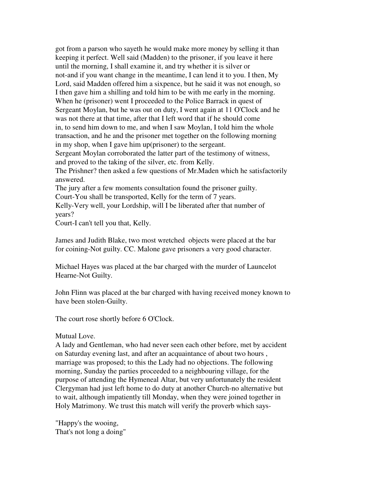got from a parson who sayeth he would make more money by selling it than keeping it perfect. Well said (Madden) to the prisoner, if you leave it here until the morning, I shall examine it, and try whether it is silver or not-and if you want change in the meantime, I can lend it to you. I then, My Lord, said Madden offered him a sixpence, but he said it was not enough, so I then gave him a shilling and told him to be with me early in the morning. When he (prisoner) went I proceeded to the Police Barrack in quest of Sergeant Moylan, but he was out on duty, I went again at 11 O'Clock and he was not there at that time, after that I left word that if he should come in, to send him down to me, and when I saw Moylan, I told him the whole transaction, and he and the prisoner met together on the following morning in my shop, when I gave him up(prisoner) to the sergeant. Sergeant Moylan corroborated the latter part of the testimony of witness, and proved to the taking of the silver, etc. from Kelly. The Prishner? then asked a few questions of Mr.Maden which he satisfactorily answered. The jury after a few moments consultation found the prisoner guilty. Court-You shall be transported, Kelly for the term of 7 years.

Kelly-Very well, your Lordship, will I be liberated after that number of years?

Court-I can't tell you that, Kelly.

James and Judith Blake, two most wretched objects were placed at the bar for coining-Not guilty. CC. Malone gave prisoners a very good character.

Michael Hayes was placed at the bar charged with the murder of Launcelot Hearne-Not Guilty.

John Flinn was placed at the bar charged with having received money known to have been stolen-Guilty.

The court rose shortly before 6 O'Clock.

#### Mutual Love.

A lady and Gentleman, who had never seen each other before, met by accident on Saturday evening last, and after an acquaintance of about two hours , marriage was proposed; to this the Lady had no objections. The following morning, Sunday the parties proceeded to a neighbouring village, for the purpose of attending the Hymeneal Altar, but very unfortunately the resident Clergyman had just left home to do duty at another Church-no alternative but to wait, although impatiently till Monday, when they were joined together in Holy Matrimony. We trust this match will verify the proverb which says-

"Happy's the wooing, That's not long a doing"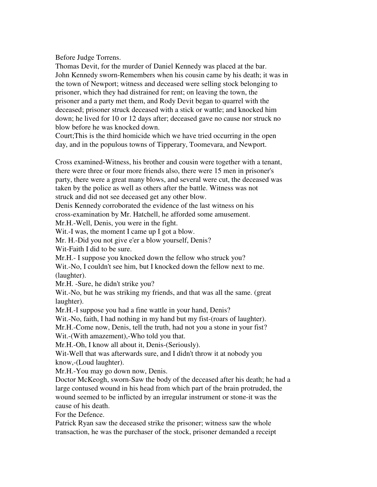Before Judge Torrens.

Thomas Devit, for the murder of Daniel Kennedy was placed at the bar. John Kennedy sworn-Remembers when his cousin came by his death; it was in the town of Newport; witness and deceased were selling stock belonging to prisoner, which they had distrained for rent; on leaving the town, the prisoner and a party met them, and Rody Devit began to quarrel with the deceased; prisoner struck deceased with a stick or wattle; and knocked him down; he lived for 10 or 12 days after; deceased gave no cause nor struck no blow before he was knocked down.

Court;This is the third homicide which we have tried occurring in the open day, and in the populous towns of Tipperary, Toomevara, and Newport.

Cross examined-Witness, his brother and cousin were together with a tenant, there were three or four more friends also, there were 15 men in prisoner's party, there were a great many blows, and several were cut, the deceased was taken by the police as well as others after the battle. Witness was not struck and did not see deceased get any other blow.

Denis Kennedy corroborated the evidence of the last witness on his cross-examination by Mr. Hatchell, he afforded some amusement.

Mr.H.-Well, Denis, you were in the fight.

Wit.-I was, the moment I came up I got a blow.

Mr. H.-Did you not give e'er a blow yourself, Denis?

Wit-Faith I did to be sure.

Mr.H.- I suppose you knocked down the fellow who struck you?

Wit.-No, I couldn't see him, but I knocked down the fellow next to me. (laughter).

Mr.H. -Sure, he didn't strike you?

Wit.-No, but he was striking my friends, and that was all the same. (great laughter).

Mr.H.-I suppose you had a fine wattle in your hand, Denis?

Wit.-No, faith, I had nothing in my hand but my fist-(roars of laughter).

Mr.H.-Come now, Denis, tell the truth, had not you a stone in your fist?

Wit.-(With amazement),-Who told you that.

Mr.H.-Oh, I know all about it, Denis-(Seriously).

Wit-Well that was afterwards sure, and I didn't throw it at nobody you know,-(Loud laughter).

Mr.H.-You may go down now, Denis.

Doctor McKeogh, sworn-Saw the body of the deceased after his death; he had a large contused wound in his head from which part of the brain protruded, the wound seemed to be inflicted by an irregular instrument or stone-it was the cause of his death.

For the Defence.

Patrick Ryan saw the deceased strike the prisoner; witness saw the whole transaction, he was the purchaser of the stock, prisoner demanded a receipt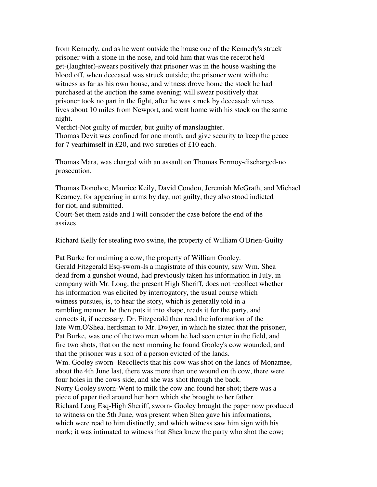from Kennedy, and as he went outside the house one of the Kennedy's struck prisoner with a stone in the nose, and told him that was the receipt he'd get-(laughter)-swears positively that prisoner was in the house washing the blood off, when deceased was struck outside; the prisoner went with the witness as far as his own house, and witness drove home the stock he had purchased at the auction the same evening; will swear positively that prisoner took no part in the fight, after he was struck by deceased; witness lives about 10 miles from Newport, and went home with his stock on the same night.

Verdict-Not guilty of murder, but guilty of manslaughter.

Thomas Devit was confined for one month, and give security to keep the peace for 7 yearhimself in £20, and two sureties of £10 each.

Thomas Mara, was charged with an assault on Thomas Fermoy-discharged-no prosecution.

Thomas Donohoe, Maurice Keily, David Condon, Jeremiah McGrath, and Michael Kearney, for appearing in arms by day, not guilty, they also stood indicted for riot, and submitted.

Court-Set them aside and I will consider the case before the end of the assizes.

Richard Kelly for stealing two swine, the property of William O'Brien-Guilty

Pat Burke for maiming a cow, the property of William Gooley. Gerald Fitzgerald Esq-sworn-Is a magistrate of this county, saw Wm. Shea dead from a gunshot wound, had previously taken his information in July, in company with Mr. Long, the present High Sheriff, does not recollect whether his information was elicited by interrogatory, the usual course which witness pursues, is, to hear the story, which is generally told in a rambling manner, he then puts it into shape, reads it for the party, and corrects it, if necessary. Dr. Fitzgerald then read the information of the late Wm.O'Shea, herdsman to Mr. Dwyer, in which he stated that the prisoner, Pat Burke, was one of the two men whom he had seen enter in the field, and fire two shots, that on the next morning he found Gooley's cow wounded, and that the prisoner was a son of a person evicted of the lands. Wm. Gooley sworn- Recollects that his cow was shot on the lands of Monamee, about the 4th June last, there was more than one wound on th cow, there were four holes in the cows side, and she was shot through the back. Norry Gooley sworn-Went to milk the cow and found her shot; there was a piece of paper tied around her horn which she brought to her father. Richard Long Esq-High Sheriff, sworn- Gooley brought the paper now produced to witness on the 5th June, was present when Shea gave his informations, which were read to him distinctly, and which witness saw him sign with his mark; it was intimated to witness that Shea knew the party who shot the cow;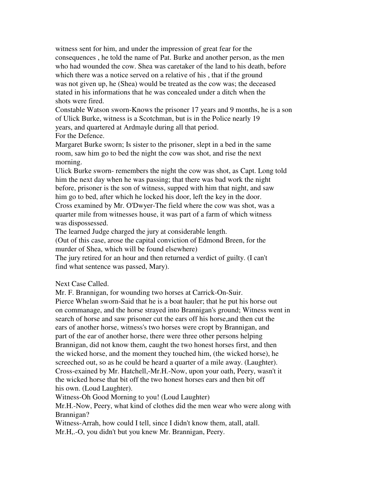witness sent for him, and under the impression of great fear for the consequences , he told the name of Pat. Burke and another person, as the men who had wounded the cow. Shea was caretaker of the land to his death, before which there was a notice served on a relative of his , that if the ground was not given up, he (Shea) would be treated as the cow was; the deceased stated in his informations that he was concealed under a ditch when the shots were fired.

Constable Watson sworn-Knows the prisoner 17 years and 9 months, he is a son of Ulick Burke, witness is a Scotchman, but is in the Police nearly 19 years, and quartered at Ardmayle during all that period. For the Defence.

Margaret Burke sworn; Is sister to the prisoner, slept in a bed in the same room, saw him go to bed the night the cow was shot, and rise the next morning.

Ulick Burke sworn- remembers the night the cow was shot, as Capt. Long told him the next day when he was passing; that there was bad work the night before, prisoner is the son of witness, supped with him that night, and saw him go to bed, after which he locked his door, left the key in the door. Cross examined by Mr. O'Dwyer-The field where the cow was shot, was a quarter mile from witnesses house, it was part of a farm of which witness was dispossessed.

The learned Judge charged the jury at considerable length.

(Out of this case, arose the capital conviction of Edmond Breen, for the murder of Shea, which will be found elsewhere)

The jury retired for an hour and then returned a verdict of guilty. (I can't find what sentence was passed, Mary).

# Next Case Called.

Mr. F. Brannigan, for wounding two horses at Carrick-On-Suir. Pierce Whelan sworn-Said that he is a boat hauler; that he put his horse out on commanage, and the horse strayed into Brannigan's ground; Witness went in search of horse and saw prisoner cut the ears off his horse,and then cut the ears of another horse, witness's two horses were cropt by Brannigan, and part of the ear of another horse, there were three other persons helping Brannigan, did not know them, caught the two honest horses first, and then the wicked horse, and the moment they touched him, (the wicked horse), he screeched out, so as he could be heard a quarter of a mile away. (Laughter). Cross-exained by Mr. Hatchell,-Mr.H.-Now, upon your oath, Peery, wasn't it the wicked horse that bit off the two honest horses ears and then bit off his own. (Loud Laughter).

Witness-Oh Good Morning to you! (Loud Laughter)

Mr.H.-Now, Peery, what kind of clothes did the men wear who were along with Brannigan?

Witness-Arrah, how could I tell, since I didn't know them, atall, atall. Mr.H,.-O, you didn't but you knew Mr. Brannigan, Peery.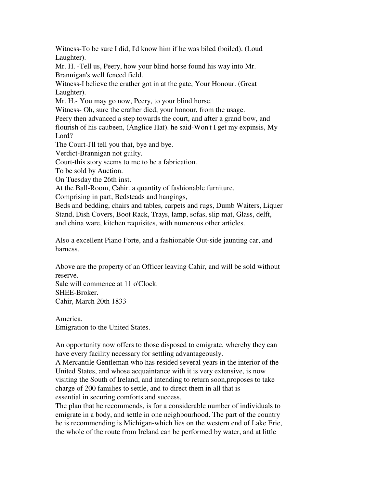Witness-To be sure I did, I'd know him if he was biled (boiled). (Loud Laughter).

Mr. H. -Tell us, Peery, how your blind horse found his way into Mr. Brannigan's well fenced field.

Witness-I believe the crather got in at the gate, Your Honour. (Great Laughter).

Mr. H.- You may go now, Peery, to your blind horse.

Witness- Oh, sure the crather died, your honour, from the usage.

Peery then advanced a step towards the court, and after a grand bow, and flourish of his caubeen, (Anglice Hat). he said-Won't I get my expinsis, My Lord?

The Court-I'll tell you that, bye and bye.

Verdict-Brannigan not guilty.

Court-this story seems to me to be a fabrication.

To be sold by Auction.

On Tuesday the 26th inst.

At the Ball-Room, Cahir. a quantity of fashionable furniture.

Comprising in part, Bedsteads and hangings,

Beds and bedding, chairs and tables, carpets and rugs, Dumb Waiters, Liquer Stand, Dish Covers, Boot Rack, Trays, lamp, sofas, slip mat, Glass, delft, and china ware, kitchen requisites, with numerous other articles.

Also a excellent Piano Forte, and a fashionable Out-side jaunting car, and harness.

Above are the property of an Officer leaving Cahir, and will be sold without reserve.

Sale will commence at 11 o'Clock. SHEE-Broker. Cahir, March 20th 1833

America. Emigration to the United States.

An opportunity now offers to those disposed to emigrate, whereby they can have every facility necessary for settling advantageously.

A Mercantile Gentleman who has resided several years in the interior of the United States, and whose acquaintance with it is very extensive, is now visiting the South of Ireland, and intending to return soon,proposes to take charge of 200 families to settle, and to direct them in all that is essential in securing comforts and success.

The plan that he recommends, is for a considerable number of individuals to emigrate in a body, and settle in one neighbourhood. The part of the country he is recommending is Michigan-which lies on the western end of Lake Erie, the whole of the route from Ireland can be performed by water, and at little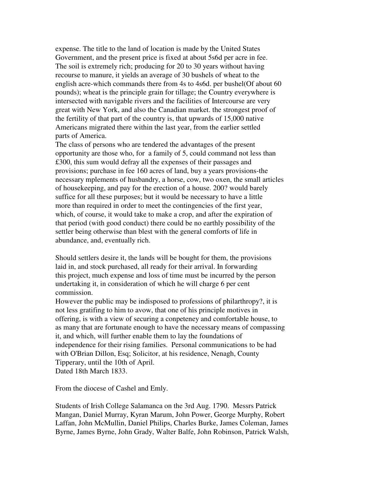expense. The title to the land of location is made by the United States Government, and the present price is fixed at about 5s6d per acre in fee. The soil is extremely rich; producing for 20 to 30 years without having recourse to manure, it yields an average of 30 bushels of wheat to the english acre-which commands there from 4s to 4s6d. per bushel(Of about 60 pounds); wheat is the principle grain for tillage; the Country everywhere is intersected with navigable rivers and the facilities of Intercourse are very great with New York, and also the Canadian market. the strongest proof of the fertility of that part of the country is, that upwards of 15,000 native Americans migrated there within the last year, from the earlier settled parts of America.

The class of persons who are tendered the advantages of the present opportunity are those who, for a family of 5, could command not less than £300, this sum would defray all the expenses of their passages and provisions; purchase in fee 160 acres of land, buy a years provisions-the necessary mplements of husbandry, a horse, cow, two oxen, the small articles of housekeeping, and pay for the erection of a house. 200? would barely suffice for all these purposes; but it would be necessary to have a little more than required in order to meet the contingencies of the first year, which, of course, it would take to make a crop, and after the expiration of that period (with good conduct) there could be no earthly possibility of the settler being otherwise than blest with the general comforts of life in abundance, and, eventually rich.

Should settlers desire it, the lands will be bought for them, the provisions laid in, and stock purchased, all ready for their arrival. In forwarding this project, much expense and loss of time must be incurred by the person undertaking it, in consideration of which he will charge 6 per cent commission.

However the public may be indisposed to professions of philarthropy?, it is not less gratifing to him to avow, that one of his principle motives in offering, is with a view of securing a conpeteney and comfortable house, to as many that are fortunate enough to have the necessary means of compassing it, and which, will further enable them to lay the foundations of independence for their rising families. Personal communications to be had with O'Brian Dillon, Esq; Solicitor, at his residence, Nenagh, County Tipperary, until the 10th of April. Dated 18th March 1833.

From the diocese of Cashel and Emly.

Students of Irish College Salamanca on the 3rd Aug. 1790. Messrs Patrick Mangan, Daniel Murray, Kyran Marum, John Power, George Murphy, Robert Laffan, John McMullin, Daniel Philips, Charles Burke, James Coleman, James Byrne, James Byrne, John Grady, Walter Balfe, John Robinson, Patrick Walsh,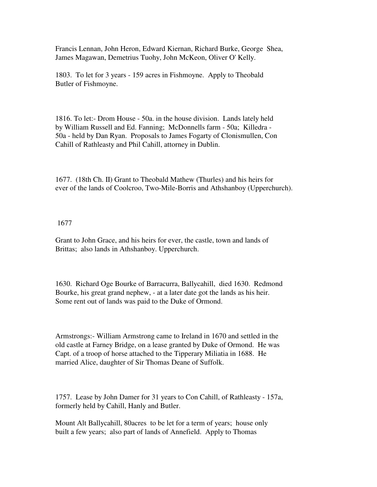Francis Lennan, John Heron, Edward Kiernan, Richard Burke, George Shea, James Magawan, Demetrius Tuohy, John McKeon, Oliver O' Kelly.

1803. To let for 3 years - 159 acres in Fishmoyne. Apply to Theobald Butler of Fishmoyne.

1816. To let:- Drom House - 50a. in the house division. Lands lately held by William Russell and Ed. Fanning; McDonnells farm - 50a; Killedra - 50a - held by Dan Ryan. Proposals to James Fogarty of Clonismullen, Con Cahill of Rathleasty and Phil Cahill, attorney in Dublin.

1677. (18th Ch. II) Grant to Theobald Mathew (Thurles) and his heirs for ever of the lands of Coolcroo, Two-Mile-Borris and Athshanboy (Upperchurch).

## 1677

Grant to John Grace, and his heirs for ever, the castle, town and lands of Brittas; also lands in Athshanboy. Upperchurch.

1630. Richard Oge Bourke of Barracurra, Ballycahill, died 1630. Redmond Bourke, his great grand nephew, - at a later date got the lands as his heir. Some rent out of lands was paid to the Duke of Ormond.

Armstrongs:- William Armstrong came to Ireland in 1670 and settled in the old castle at Farney Bridge, on a lease granted by Duke of Ormond. He was Capt. of a troop of horse attached to the Tipperary Miliatia in 1688. He married Alice, daughter of Sir Thomas Deane of Suffolk.

1757. Lease by John Damer for 31 years to Con Cahill, of Rathleasty - 157a, formerly held by Cahill, Hanly and Butler.

Mount Alt Ballycahill, 80acres to be let for a term of years; house only built a few years; also part of lands of Annefield. Apply to Thomas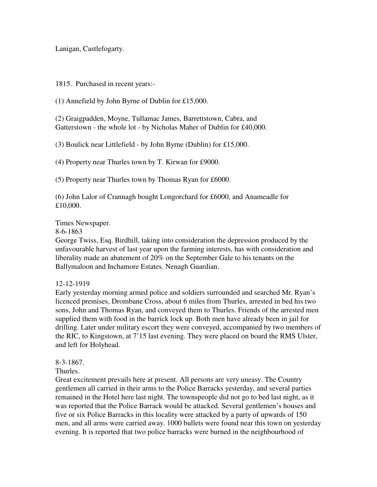Lanigan, Castlefogarty.

1815. Purchased in recent years:-

(1) Annefield by John Byrne of Dublin for £15,000.

(2) Graigpadden, Moyne, Tullamac James, Barrettstown, Cabra, and Gatterstown - the whole lot - by Nicholas Maher of Dublin for £40,000.

(3) Boulick near Littlefield - by John Byrne (Dublin) for £15,000.

(4) Property near Thurles town by T. Kirwan for £9000.

(5) Property near Thurles town by Thomas Ryan for £6000.

(6) John Lalor of Crannagh bought Longorchard for £6000, and Anameadle for £10,000.

Times Newspaper.

8-6-1863

George Twiss, Esq. Birdhill, taking into consideration the depression produced by the unfavourable harvest of last year upon the farming interests, has with consideration and liberality made an abatement of 20% on the September Gale to his tenants on the Ballymaloon and Inchamore Estates. Nenagh Guardian.

12-12-1919

Early yesterday morning armed police and soldiers surrounded and searched Mr. Ryan's licenced premises, Drombane Cross, about 6 miles from Thurles, arrested in bed his two sons, John and Thomas Ryan, and conveyed them to Thurles. Friends of the arrested men supplied them with food in the barrick lock up. Both men have already been in jail for drilling. Later under military escort they were conveyed, accompanied by two members of the RIC, to Kingstown, at 7'15 last evening. They were placed on board the RMS Ulster, and left for Holyhead.

8-3-1867.

Thurles.

Great excitement prevails here at present. All persons are very uneasy. The Country gentlemen all carried in their arms to the Police Barracks yesterday, and several parties remained in the Hotel here last night. The townspeople did not go to bed last night, as it was reported that the Police Barrack would be attacked. Several gentlemen's houses and five or six Police Barracks in this locality were attacked by a party of upwards of 150 men, and all arms were carried away. 1000 bullets were found near this town on yesterday evening. It is reported that two police barracks were burned in the neighbourhood of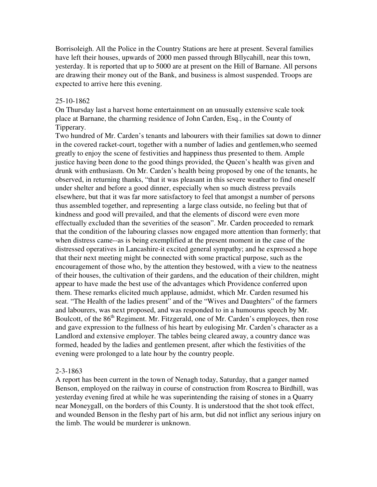Borrisoleigh. All the Police in the Country Stations are here at present. Several families have left their houses, upwards of 2000 men passed through Bllycahill, near this town, yesterday. It is reported that up to 5000 are at present on the Hill of Barnane. All persons are drawing their money out of the Bank, and business is almost suspended. Troops are expected to arrive here this evening.

#### 25-10-1862

On Thursday last a harvest home entertainment on an unusually extensive scale took place at Barnane, the charming residence of John Carden, Esq., in the County of Tipperary.

Two hundred of Mr. Carden's tenants and labourers with their families sat down to dinner in the covered racket-court, together with a number of ladies and gentlemen,who seemed greatly to enjoy the scene of festivities and happiness thus presented to them. Ample justice having been done to the good things provided, the Queen's health was given and drunk with enthusiasm. On Mr. Carden's health being proposed by one of the tenants, he observed, in returning thanks, "that it was pleasant in this severe weather to find oneself under shelter and before a good dinner, especially when so much distress prevails elsewhere, but that it was far more satisfactory to feel that amongst a number of persons thus assembled together, and representing a large class outside, no feeling but that of kindness and good will prevailed, and that the elements of discord were even more effectually excluded than the severities of the season". Mr. Carden proceeded to remark that the condition of the labouring classes now engaged more attention than formerly; that when distress came--as is being exemplified at the present moment in the case of the distressed operatives in Lancashire-it excited general sympathy; and he expressed a hope that their next meeting might be connected with some practical purpose, such as the encouragement of those who, by the attention they bestowed, with a view to the neatness of their houses, the cultivation of their gardens, and the education of their children, might appear to have made the best use of the advantages which Providence conferred upon them. These remarks elicited much applause, admidst, which Mr. Carden resumed his seat. "The Health of the ladies present" and of the "Wives and Daughters" of the farmers and labourers, was next proposed, and was responded to in a humourus speech by Mr. Boulcott, of the 86<sup>th</sup> Regiment. Mr. Fitzgerald, one of Mr. Carden's employees, then rose and gave expression to the fullness of his heart by eulogising Mr. Carden's character as a Landlord and extensive employer. The tables being cleared away, a country dance was formed, headed by the ladies and gentlemen present, after which the festivities of the evening were prolonged to a late hour by the country people.

#### 2-3-1863

A report has been current in the town of Nenagh today, Saturday, that a ganger named Benson, employed on the railway in course of construction from Roscrea to Birdhill, was yesterday evening fired at while he was superintending the raising of stones in a Quarry near Moneygall, on the borders of this County. It is understood that the shot took effect, and wounded Benson in the fleshy part of his arm, but did not inflict any serious injury on the limb. The would be murderer is unknown.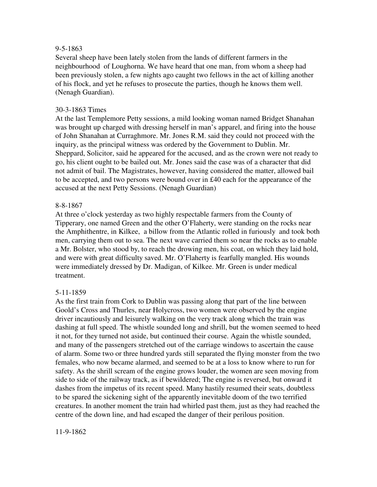## 9-5-1863

Several sheep have been lately stolen from the lands of different farmers in the neighbourhood of Loughorna. We have heard that one man, from whom a sheep had been previously stolen, a few nights ago caught two fellows in the act of killing another of his flock, and yet he refuses to prosecute the parties, though he knows them well. (Nenagh Guardian).

## 30-3-1863 Times

At the last Templemore Petty sessions, a mild looking woman named Bridget Shanahan was brought up charged with dressing herself in man's apparel, and firing into the house of John Shanahan at Curraghmore. Mr. Jones R.M. said they could not proceed with the inquiry, as the principal witness was ordered by the Government to Dublin. Mr. Sheppard, Solicitor, said he appeared for the accused, and as the crown were not ready to go, his client ought to be bailed out. Mr. Jones said the case was of a character that did not admit of bail. The Magistrates, however, having considered the matter, allowed bail to be accepted, and two persons were bound over in £40 each for the appearance of the accused at the next Petty Sessions. (Nenagh Guardian)

## 8-8-1867

At three o'clock yesterday as two highly respectable farmers from the County of Tipperary, one named Green and the other O'Flaherty, were standing on the rocks near the Amphithentre, in Kilkee, a billow from the Atlantic rolled in furiously and took both men, carrying them out to sea. The next wave carried them so near the rocks as to enable a Mr. Bolster, who stood by, to reach the drowing men, his coat, on which they laid hold, and were with great difficulty saved. Mr. O'Flaherty is fearfully mangled. His wounds were immediately dressed by Dr. Madigan, of Kilkee. Mr. Green is under medical treatment.

## 5-11-1859

As the first train from Cork to Dublin was passing along that part of the line between Goold's Cross and Thurles, near Holycross, two women were observed by the engine driver incautiously and leisurely walking on the very track along which the train was dashing at full speed. The whistle sounded long and shrill, but the women seemed to heed it not, for they turned not aside, but continued their course. Again the whistle sounded, and many of the passengers stretched out of the carriage windows to ascertain the cause of alarm. Some two or three hundred yards still separated the flying monster from the two females, who now became alarmed, and seemed to be at a loss to know where to run for safety. As the shrill scream of the engine grows louder, the women are seen moving from side to side of the railway track, as if bewildered; The engine is reversed, but onward it dashes from the impetus of its recent speed. Many hastily resumed their seats, doubtless to be spared the sickening sight of the apparently inevitable doom of the two terrified creatures. In another moment the train had whirled past them, just as they had reached the centre of the down line, and had escaped the danger of their perilous position.

#### 11-9-1862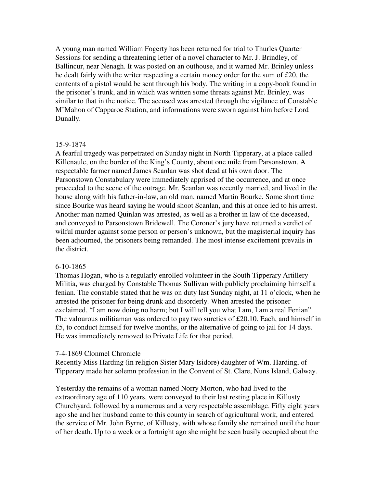A young man named William Fogerty has been returned for trial to Thurles Quarter Sessions for sending a threatening letter of a novel character to Mr. J. Brindley, of Ballincur, near Nenagh. It was posted on an outhouse, and it warned Mr. Brinley unless he dealt fairly with the writer respecting a certain money order for the sum of £20, the contents of a pistol would be sent through his body. The writing in a copy-book found in the prisoner's trunk, and in which was written some threats against Mr. Brinley, was similar to that in the notice. The accused was arrested through the vigilance of Constable M'Mahon of Capparoe Station, and informations were sworn against him before Lord Dunally.

#### 15-9-1874

A fearful tragedy was perpetrated on Sunday night in North Tipperary, at a place called Killenaule, on the border of the King's County, about one mile from Parsonstown. A respectable farmer named James Scanlan was shot dead at his own door. The Parsonstown Constabulary were immediately apprised of the occurrence, and at once proceeded to the scene of the outrage. Mr. Scanlan was recently married, and lived in the house along with his father-in-law, an old man, named Martin Bourke. Some short time since Bourke was heard saying he would shoot Scanlan, and this at once led to his arrest. Another man named Quinlan was arrested, as well as a brother in law of the deceased, and conveyed to Parsonstown Bridewell. The Coroner's jury have returned a verdict of wilful murder against some person or person's unknown, but the magisterial inquiry has been adjourned, the prisoners being remanded. The most intense excitement prevails in the district.

## 6-10-1865

Thomas Hogan, who is a regularly enrolled volunteer in the South Tipperary Artillery Militia, was charged by Constable Thomas Sullivan with publicly proclaiming himself a fenian. The constable stated that he was on duty last Sunday night, at 11 o'clock, when he arrested the prisoner for being drunk and disorderly. When arrested the prisoner exclaimed, "I am now doing no harm; but I will tell you what I am, I am a real Fenian". The valourous militiaman was ordered to pay two sureties of £20.10. Each, and himself in £5, to conduct himself for twelve months, or the alternative of going to jail for 14 days. He was immediately removed to Private Life for that period.

## 7-4-1869 Clonmel Chronicle

Recently Miss Harding (in religion Sister Mary Isidore) daughter of Wm. Harding, of Tipperary made her solemn profession in the Convent of St. Clare, Nuns Island, Galway.

Yesterday the remains of a woman named Norry Morton, who had lived to the extraordinary age of 110 years, were conveyed to their last resting place in Killusty Churchyard, followed by a numerous and a very respectable assemblage. Fifty eight years ago she and her husband came to this county in search of agricultural work, and entered the service of Mr. John Byrne, of Killusty, with whose family she remained until the hour of her death. Up to a week or a fortnight ago she might be seen busily occupied about the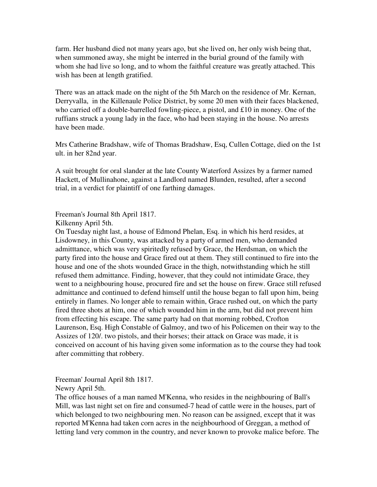farm. Her husband died not many years ago, but she lived on, her only wish being that, when summoned away, she might be interred in the burial ground of the family with whom she had live so long, and to whom the faithful creature was greatly attached. This wish has been at length gratified.

There was an attack made on the night of the 5th March on the residence of Mr. Kernan, Derryvalla, in the Killenaule Police District, by some 20 men with their faces blackened, who carried off a double-barrelled fowling-piece, a pistol, and £10 in money. One of the ruffians struck a young lady in the face, who had been staying in the house. No arrests have been made.

Mrs Catherine Bradshaw, wife of Thomas Bradshaw, Esq, Cullen Cottage, died on the 1st ult. in her 82nd year.

A suit brought for oral slander at the late County Waterford Assizes by a farmer named Hackett, of Mullinahone, against a Landlord named Blunden, resulted, after a second trial, in a verdict for plaintiff of one farthing damages.

Freeman's Journal 8th April 1817.

Kilkenny April 5th.

On Tuesday night last, a house of Edmond Phelan, Esq. in which his herd resides, at Lisdowney, in this County, was attacked by a party of armed men, who demanded admitttance, which was very spiritedly refused by Grace, the Herdsman, on which the party fired into the house and Grace fired out at them. They still continued to fire into the house and one of the shots wounded Grace in the thigh, notwithstanding which he still refused them admittance. Finding, however, that they could not intimidate Grace, they went to a neighbouring house, procured fire and set the house on firew. Grace still refused admittance and continued to defend himself until the house began to fall upon him, being entirely in flames. No longer able to remain within, Grace rushed out, on which the party fired three shots at him, one of which wounded him in the arm, but did not prevent him from effecting his escape. The same party had on that morning robbed, Crofton Laurenson, Esq. High Constable of Galmoy, and two of his Policemen on their way to the Assizes of 120/. two pistols, and their horses; their attack on Grace was made, it is conceived on account of his having given some information as to the course they had took after committing that robbery.

Freeman' Journal April 8th 1817.

Newry April 5th.

The office houses of a man named M'Kenna, who resides in the neighbouring of Ball's Mill, was last night set on fire and consumed-7 head of cattle were in the houses, part of which belonged to two neighbouring men. No reason can be assigned, except that it was reported M'Kenna had taken corn acres in the neighbourhood of Greggan, a method of letting land very common in the country, and never known to provoke malice before. The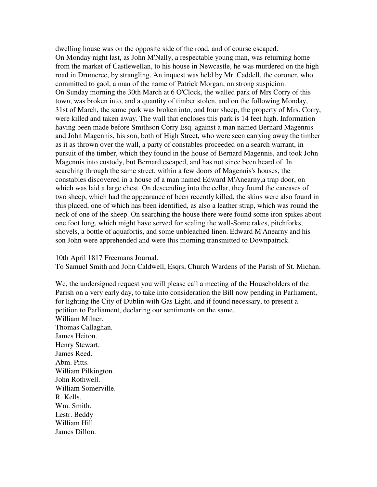dwelling house was on the opposite side of the road, and of course escaped. On Monday night last, as John M'Nally, a respectable young man, was returning home from the market of Castlewellan, to his house in Newcastle, he was murdered on the high road in Drumcree, by strangling. An inquest was held by Mr. Caddell, the coroner, who committed to gaol, a man of the name of Patrick Morgan, on strong suspicion. On Sunday morning the 30th March at 6 O'Clock, the walled park of Mrs Corry of this town, was broken into, and a quantity of timber stolen, and on the following Monday, 31st of March, the same park was broken into, and four sheep, the property of Mrs. Corry, were killed and taken away. The wall that encloses this park is 14 feet high. Information having been made before Smithson Corry Esq. against a man named Bernard Magennis and John Magennis, his son, both of High Street, who were seen carrying away the timber as it as thrown over the wall, a party of constables proceeded on a search warrant, in pursuit of the timber, which they found in the house of Bernard Magennis, and took John Magennis into custody, but Bernard escaped, and has not since been heard of. In searching through the same street, within a few doors of Magennis's houses, the constables discovered in a house of a man named Edward M'Anearny,a trap door, on which was laid a large chest. On descending into the cellar, they found the carcases of two sheep, which had the appearance of been recently killed, the skins were also found in this placed, one of which has been identified, as also a leather strap, which was round the neck of one of the sheep. On searching the house there were found some iron spikes about one foot long, which might have served for scaling the wall-Some rakes, pitchforks, shovels, a bottle of aquafortis, and some unbleached linen. Edward M'Anearny and his son John were apprehended and were this morning transmitted to Downpatrick.

10th April 1817 Freemans Journal.

To Samuel Smith and John Caldwell, Esqrs, Church Wardens of the Parish of St. Michan.

We, the undersigned request you will please call a meeting of the Householders of the Parish on a very early day, to take into consideration the Bill now pending in Parliament, for lighting the City of Dublin with Gas Light, and if found necessary, to present a petition to Parliament, declaring our sentiments on the same. William Milner. Thomas Callaghan. James Heiton. Henry Stewart. James Reed. Abm. Pitts. William Pilkington. John Rothwell. William Somerville. R. Kells. Wm. Smith. Lestr. Beddy William Hill. James Dillon.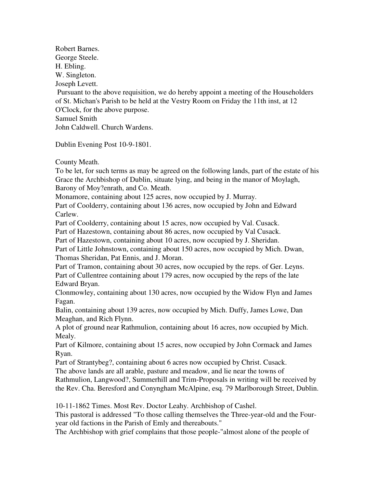Robert Barnes. George Steele. H. Ebling. W. Singleton. Joseph Levett. Pursuant to the above requisition, we do hereby appoint a meeting of the Householders of St. Michan's Parish to be held at the Vestry Room on Friday the 11th inst, at 12 O'Clock, for the above purpose. Samuel Smith John Caldwell. Church Wardens.

Dublin Evening Post 10-9-1801.

County Meath.

To be let, for such terms as may be agreed on the following lands, part of the estate of his Grace the Archbishop of Dublin, situate lying, and being in the manor of Moylagh, Barony of Moy?enrath, and Co. Meath.

Monamore, containing about 125 acres, now occupied by J. Murray.

Part of Coolderry, containing about 136 acres, now occupied by John and Edward Carlew.

Part of Coolderry, containing about 15 acres, now occupied by Val. Cusack.

Part of Hazestown, containing about 86 acres, now occupied by Val Cusack.

Part of Hazestown, containing about 10 acres, now occupied by J. Sheridan.

Part of Little Johnstown, containing about 150 acres, now occupied by Mich. Dwan, Thomas Sheridan, Pat Ennis, and J. Moran.

Part of Tramon, containing about 30 acres, now occupied by the reps. of Ger. Leyns. Part of Cullentree containing about 179 acres, now occupied by the reps of the late Edward Bryan.

Clonmowley, containing about 130 acres, now occupied by the Widow Flyn and James Fagan.

Balin, containing about 139 acres, now occupied by Mich. Duffy, James Lowe, Dan Meaghan, and Rich Flynn.

A plot of ground near Rathmulion, containing about 16 acres, now occupied by Mich. Mealy.

Part of Kilmore, containing about 15 acres, now occupied by John Cormack and James Ryan.

Part of Strantybeg?, containing about 6 acres now occupied by Christ. Cusack.

The above lands are all arable, pasture and meadow, and lie near the towns of Rathmulion, Langwood?, Summerhill and Trim-Proposals in writing will be received by

the Rev. Cha. Beresford and Conyngham McAlpine, esq. 79 Marlborough Street, Dublin.

10-11-1862 Times. Most Rev. Doctor Leahy. Archbishop of Cashel.

This pastoral is addressed "To those calling themselves the Three-year-old and the Fouryear old factions in the Parish of Emly and thereabouts."

The Archbishop with grief complains that those people-"almost alone of the people of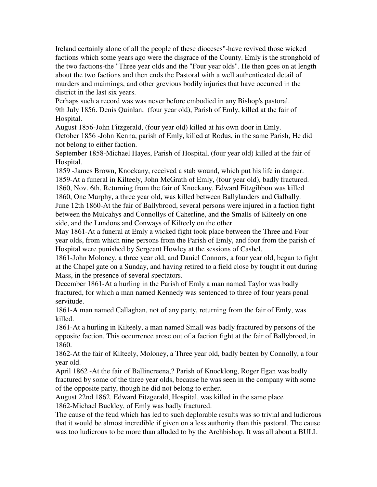Ireland certainly alone of all the people of these dioceses"-have revived those wicked factions which some years ago were the disgrace of the County. Emly is the stronghold of the two factions-the "Three year olds and the "Four year olds". He then goes on at length about the two factions and then ends the Pastoral with a well authenticated detail of murders and maimings, and other grevious bodily injuries that have occurred in the district in the last six years.

Perhaps such a record was was never before embodied in any Bishop's pastoral. 9th July 1856. Denis Quinlan, (four year old), Parish of Emly, killed at the fair of Hospital.

August 1856-John Fitzgerald, (four year old) killed at his own door in Emly. October 1856 -John Kenna, parish of Emly, killed at Rodus, in the same Parish, He did not belong to either faction.

September 1858-Michael Hayes, Parish of Hospital, (four year old) killed at the fair of Hospital.

1859 -James Brown, Knockany, received a stab wound, which put his life in danger. 1859-At a funeral in Kilteely, John McGrath of Emly, (four year old), badly fractured. 1860, Nov. 6th, Returning from the fair of Knockany, Edward Fitzgibbon was killed 1860, One Murphy, a three year old, was killed between Ballylanders and Galbally. June 12th 1860-At the fair of Ballybrood, several persons were injured in a faction fight between the Mulcahys and Connollys of Caherline, and the Smalls of Kilteely on one side, and the Lundons and Conways of Kilteely on the other.

May 1861-At a funeral at Emly a wicked fight took place between the Three and Four year olds, from which nine persons from the Parish of Emly, and four from the parish of Hospital were punished by Sergeant Howley at the sessions of Cashel.

1861-John Moloney, a three year old, and Daniel Connors, a four year old, began to fight at the Chapel gate on a Sunday, and having retired to a field close by fought it out during Mass, in the presence of several spectators.

December 1861-At a hurling in the Parish of Emly a man named Taylor was badly fractured, for which a man named Kennedy was sentenced to three of four years penal servitude.

1861-A man named Callaghan, not of any party, returning from the fair of Emly, was killed.

1861-At a hurling in Kilteely, a man named Small was badly fractured by persons of the opposite faction. This occurrence arose out of a faction fight at the fair of Ballybrood, in 1860.

1862-At the fair of Kilteely, Moloney, a Three year old, badly beaten by Connolly, a four year old.

April 1862 -At the fair of Ballincreena,? Parish of Knocklong, Roger Egan was badly fractured by some of the three year olds, because he was seen in the company with some of the opposite party, though he did not belong to either.

August 22nd 1862. Edward Fitzgerald, Hospital, was killed in the same place 1862-Michael Buckley, of Emly was badly fractured.

The cause of the feud which has led to such deplorable results was so trivial and ludicrous that it would be almost incredible if given on a less authority than this pastoral. The cause was too ludicrous to be more than alluded to by the Archbishop. It was all about a BULL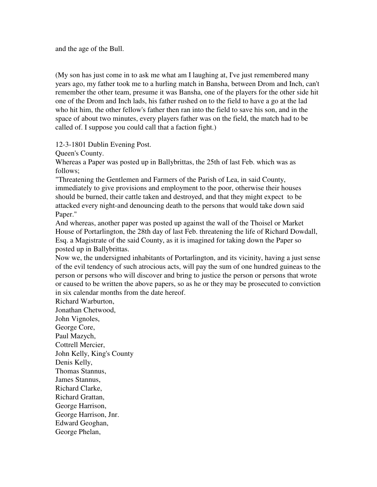and the age of the Bull.

(My son has just come in to ask me what am I laughing at, I've just remembered many years ago, my father took me to a hurling match in Bansha, between Drom and Inch, can't remember the other team, presume it was Bansha, one of the players for the other side hit one of the Drom and Inch lads, his father rushed on to the field to have a go at the lad who hit him, the other fellow's father then ran into the field to save his son, and in the space of about two minutes, every players father was on the field, the match had to be called of. I suppose you could call that a faction fight.)

12-3-1801 Dublin Evening Post.

Queen's County.

Whereas a Paper was posted up in Ballybrittas, the 25th of last Feb. which was as follows;

"Threatening the Gentlemen and Farmers of the Parish of Lea, in said County, immediately to give provisions and employment to the poor, otherwise their houses should be burned, their cattle taken and destroyed, and that they might expect to be attacked every night-and denouncing death to the persons that would take down said Paper."

And whereas, another paper was posted up against the wall of the Thoisel or Market House of Portarlington, the 28th day of last Feb. threatening the life of Richard Dowdall, Esq. a Magistrate of the said County, as it is imagined for taking down the Paper so posted up in Ballybrittas.

Now we, the undersigned inhabitants of Portarlington, and its vicinity, having a just sense of the evil tendency of such atrocious acts, will pay the sum of one hundred guineas to the person or persons who will discover and bring to justice the person or persons that wrote or caused to be written the above papers, so as he or they may be prosecuted to conviction in six calendar months from the date hereof.

Richard Warburton, Jonathan Chetwood,

John Vignoles, George Core, Paul Mazych, Cottrell Mercier, John Kelly, King's County Denis Kelly, Thomas Stannus, James Stannus, Richard Clarke, Richard Grattan, George Harrison, George Harrison, Jnr. Edward Geoghan, George Phelan,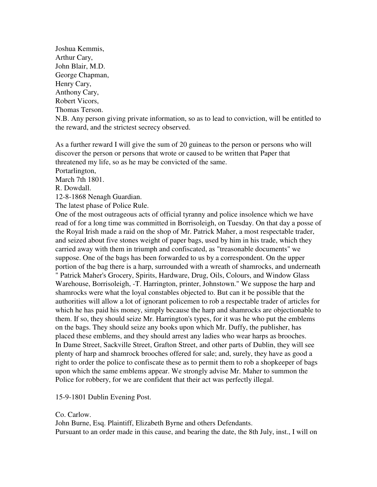Joshua Kemmis, Arthur Cary, John Blair, M.D. George Chapman, Henry Cary, Anthony Cary, Robert Vicors, Thomas Terson. N.B. Any person giving private information, so as to lead to conviction, will be entitled to the reward, and the strictest secrecy observed.

As a further reward I will give the sum of 20 guineas to the person or persons who will discover the person or persons that wrote or caused to be written that Paper that threatened my life, so as he may be convicted of the same.

Portarlington,

March 7th 1801.

R. Dowdall.

12-8-1868 Nenagh Guardian.

The latest phase of Police Rule.

One of the most outrageous acts of official tyranny and police insolence which we have read of for a long time was committed in Borrisoleigh, on Tuesday. On that day a posse of the Royal Irish made a raid on the shop of Mr. Patrick Maher, a most respectable trader, and seized about five stones weight of paper bags, used by him in his trade, which they carried away with them in triumph and confiscated, as "treasonable documents" we suppose. One of the bags has been forwarded to us by a correspondent. On the upper portion of the bag there is a harp, surrounded with a wreath of shamrocks, and underneath " Patrick Maher's Grocery, Spirits, Hardware, Drug, Oils, Colours, and Window Glass Warehouse, Borrisoleigh, -T. Harrington, printer, Johnstown." We suppose the harp and shamrocks were what the loyal constables objected to. But can it be possible that the authorities will allow a lot of ignorant policemen to rob a respectable trader of articles for which he has paid his money, simply because the harp and shamrocks are objectionable to them. If so, they should seize Mr. Harrington's types, for it was he who put the emblems on the bags. They should seize any books upon which Mr. Duffy, the publisher, has placed these emblems, and they should arrest any ladies who wear harps as brooches. In Dame Street, Sackville Street, Grafton Street, and other parts of Dublin, they will see plenty of harp and shamrock brooches offered for sale; and, surely, they have as good a right to order the police to confiscate these as to permit them to rob a shopkeeper of bags upon which the same emblems appear. We strongly advise Mr. Maher to summon the Police for robbery, for we are confident that their act was perfectly illegal.

15-9-1801 Dublin Evening Post.

Co. Carlow.

John Burne, Esq. Plaintiff, Elizabeth Byrne and others Defendants. Pursuant to an order made in this cause, and bearing the date, the 8th July, inst., I will on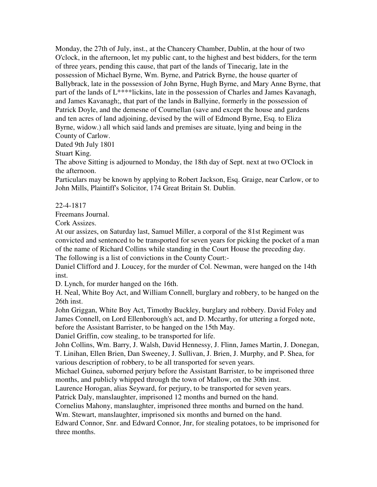Monday, the 27th of July, inst., at the Chancery Chamber, Dublin, at the hour of two O'clock, in the afternoon, let my public cant, to the highest and best bidders, for the term of three years, pending this cause, that part of the lands of Tinecarig, late in the possession of Michael Byrne, Wm. Byrne, and Patrick Byrne, the house quarter of Ballybrack, late in the possession of John Byrne, Hugh Byrne, and Mary Anne Byrne, that part of the lands of L\*\*\*\*lickins, late in the possession of Charles and James Kavanagh, and James Kavanagh;, that part of the lands in Ballyine, formerly in the possession of Patrick Doyle, and the demesne of Cournellan (save and except the house and gardens and ten acres of land adjoining, devised by the will of Edmond Byrne, Esq. to Eliza Byrne, widow.) all which said lands and premises are situate, lying and being in the County of Carlow.

Dated 9th July 1801

Stuart King.

The above Sitting is adjourned to Monday, the 18th day of Sept. next at two O'Clock in the afternoon.

Particulars may be known by applying to Robert Jackson, Esq. Graige, near Carlow, or to John Mills, Plaintiff's Solicitor, 174 Great Britain St. Dublin.

22-4-1817

Freemans Journal.

Cork Assizes.

At our assizes, on Saturday last, Samuel Miller, a corporal of the 81st Regiment was convicted and sentenced to be transported for seven years for picking the pocket of a man of the name of Richard Collins while standing in the Court House the preceding day. The following is a list of convictions in the County Court:-

Daniel Clifford and J. Loucey, for the murder of Col. Newman, were hanged on the 14th inst.

D. Lynch, for murder hanged on the 16th.

H. Neal, White Boy Act, and William Connell, burglary and robbery, to be hanged on the 26th inst.

John Griggan, White Boy Act, Timothy Buckley, burglary and robbery. David Foley and James Connell, on Lord Ellenborough's act, and D. Mccarthy, for uttering a forged note, before the Assistant Barrister, to be hanged on the 15th May.

Daniel Griffin, cow stealing, to be transported for life.

John Collins, Wm. Barry, J. Walsh, David Hennessy, J. Flinn, James Martin, J. Donegan, T. Linihan, Ellen Brien, Dan Sweeney, J. Sullivan, J. Brien, J. Murphy, and P. Shea, for various description of robbery, to be all transported for seven years.

Michael Guinea, suborned perjury before the Assistant Barrister, to be imprisoned three months, and publicly whipped through the town of Mallow, on the 30th inst.

Laurence Horogan, alias Seyward, for perjury, to be transported for seven years.

Patrick Daly, manslaughter, imprisoned 12 months and burned on the hand.

Cornelius Mahony, manslaughter, imprisoned three months and burned on the hand.

Wm. Stewart, manslaughter, imprisoned six months and burned on the hand.

Edward Connor, Snr. and Edward Connor, Jnr, for stealing potatoes, to be imprisoned for three months.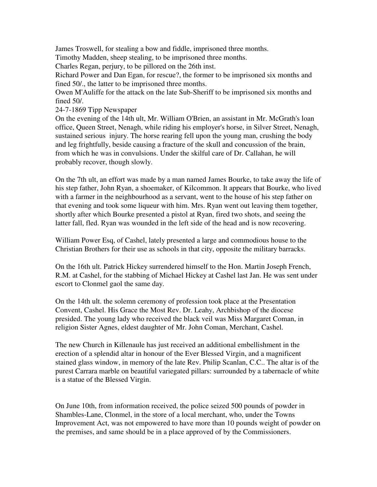James Troswell, for stealing a bow and fiddle, imprisoned three months.

Timothy Madden, sheep stealing, to be imprisoned three months.

Charles Regan, perjury, to be pillored on the 26th inst.

Richard Power and Dan Egan, for rescue?, the former to be imprisoned six months and fined 50/., the latter to be imprisoned three months.

Owen M'Auliffe for the attack on the late Sub-Sheriff to be imprisoned six months and fined 50/.

24-7-1869 Tipp Newspaper

On the evening of the 14th ult, Mr. William O'Brien, an assistant in Mr. McGrath's loan office, Queen Street, Nenagh, while riding his employer's horse, in Silver Street, Nenagh, sustained serious injury. The horse rearing fell upon the young man, crushing the body and leg frightfully, beside causing a fracture of the skull and concussion of the brain, from which he was in convulsions. Under the skilful care of Dr. Callahan, he will probably recover, though slowly.

On the 7th ult, an effort was made by a man named James Bourke, to take away the life of his step father, John Ryan, a shoemaker, of Kilcommon. It appears that Bourke, who lived with a farmer in the neighbourhood as a servant, went to the house of his step father on that evening and took some liqueur with him. Mrs. Ryan went out leaving them together, shortly after which Bourke presented a pistol at Ryan, fired two shots, and seeing the latter fall, fled. Ryan was wounded in the left side of the head and is now recovering.

William Power Esq, of Cashel, lately presented a large and commodious house to the Christian Brothers for their use as schools in that city, opposite the military barracks.

On the 16th ult. Patrick Hickey surrendered himself to the Hon. Martin Joseph French, R.M. at Cashel, for the stabbing of Michael Hickey at Cashel last Jan. He was sent under escort to Clonmel gaol the same day.

On the 14th ult. the solemn ceremony of profession took place at the Presentation Convent, Cashel. His Grace the Most Rev. Dr. Leahy, Archbishop of the diocese presided. The young lady who received the black veil was Miss Margaret Coman, in religion Sister Agnes, eldest daughter of Mr. John Coman, Merchant, Cashel.

The new Church in Killenaule has just received an additional embellishment in the erection of a splendid altar in honour of the Ever Blessed Virgin, and a magnificent stained glass window, in memory of the late Rev. Philip Scanlan, C.C.. The altar is of the purest Carrara marble on beautiful variegated pillars: surrounded by a tabernacle of white is a statue of the Blessed Virgin.

On June 10th, from information received, the police seized 500 pounds of powder in Shambles-Lane, Clonmel, in the store of a local merchant, who, under the Towns Improvement Act, was not empowered to have more than 10 pounds weight of powder on the premises, and same should be in a place approved of by the Commissioners.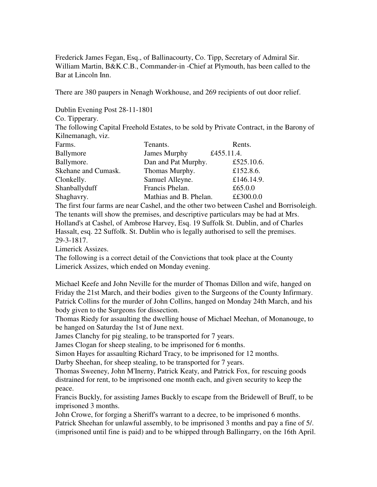Frederick James Fegan, Esq., of Ballinacourty, Co. Tipp, Secretary of Admiral Sir. William Martin, B&K.C.B., Commander-in -Chief at Plymouth, has been called to the Bar at Lincoln Inn.

There are 380 paupers in Nenagh Workhouse, and 269 recipients of out door relief.

Dublin Evening Post 28-11-1801

Co. Tipperary.

The following Capital Freehold Estates, to be sold by Private Contract, in the Barony of Kilnemanagh, viz.

| Farms.              | Tenants.               | Rents.     |
|---------------------|------------------------|------------|
| Ballymore           | James Murphy           | £455.11.4. |
| Ballymore.          | Dan and Pat Murphy.    | £525.10.6. |
| Skehane and Cumask. | Thomas Murphy.         | £152.8.6.  |
| Clonkelly.          | Samuel Alleyne.        | £146.14.9. |
| Shanballyduff       | Francis Phelan.        | £65.0.0    |
| Shaghavry.          | Mathias and B. Phelan. | ££300.0.0  |

The first four farms are near Cashel, and the other two between Cashel and Borrisoleigh. The tenants will show the premises, and descriptive particulars may be had at Mrs. Holland's at Cashel, of Ambrose Harvey, Esq. 19 Suffolk St. Dublin, and of Charles Hassalt, esq. 22 Suffolk. St. Dublin who is legally authorised to sell the premises. 29-3-1817.

Limerick Assizes.

The following is a correct detail of the Convictions that took place at the County Limerick Assizes, which ended on Monday evening.

Michael Keefe and John Neville for the murder of Thomas Dillon and wife, hanged on Friday the 21st March, and their bodies given to the Surgeons of the County Infirmary. Patrick Collins for the murder of John Collins, hanged on Monday 24th March, and his body given to the Surgeons for dissection.

Thomas Riedy for assaulting the dwelling house of Michael Meehan, of Monanouge, to be hanged on Saturday the 1st of June next.

James Clanchy for pig stealing, to be transported for 7 years.

James Clogan for sheep stealing, to be imprisoned for 6 months.

Simon Hayes for assaulting Richard Tracy, to be imprisoned for 12 months.

Darby Sheehan, for sheep stealing, to be transported for 7 years.

Thomas Sweeney, John M'Inerny, Patrick Keaty, and Patrick Fox, for rescuing goods distrained for rent, to be imprisoned one month each, and given security to keep the peace.

Francis Buckly, for assisting James Buckly to escape from the Bridewell of Bruff, to be imprisoned 3 months.

John Crowe, for forging a Sheriff's warrant to a decree, to be imprisoned 6 months. Patrick Sheehan for unlawful assembly, to be imprisoned 3 months and pay a fine of 5/. (imprisoned until fine is paid) and to be whipped through Ballingarry, on the 16th April.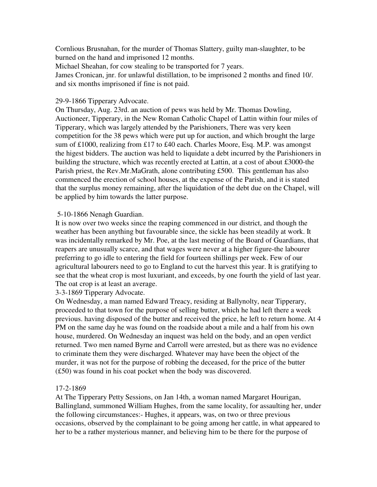Cornlious Brusnahan, for the murder of Thomas Slattery, guilty man-slaughter, to be burned on the hand and imprisoned 12 months.

Michael Sheahan, for cow stealing to be transported for 7 years.

James Cronican, jnr. for unlawful distillation, to be imprisoned 2 months and fined 10/. and six months imprisoned if fine is not paid.

## 29-9-1866 Tipperary Advocate.

On Thursday, Aug. 23rd. an auction of pews was held by Mr. Thomas Dowling, Auctioneer, Tipperary, in the New Roman Catholic Chapel of Lattin within four miles of Tipperary, which was largely attended by the Parishioners, There was very keen competition for the 38 pews which were put up for auction, and which brought the large sum of £1000, realizing from £17 to £40 each. Charles Moore, Esq. M.P. was amongst the higest bidders. The auction was held to liquidate a debt incurred by the Parishioners in building the structure, which was recently erected at Lattin, at a cost of about £3000-the Parish priest, the Rev.Mr.MaGrath, alone contributing £500. This gentleman has also commenced the erection of school houses, at the expense of the Parish, and it is stated that the surplus money remaining, after the liquidation of the debt due on the Chapel, will be applied by him towards the latter purpose.

## 5-10-1866 Nenagh Guardian.

It is now over two weeks since the reaping commenced in our district, and though the weather has been anything but favourable since, the sickle has been steadily at work. It was incidentally remarked by Mr. Poe, at the last meeting of the Board of Guardians, that reapers are unusually scarce, and that wages were never at a higher figure-the labourer preferring to go idle to entering the field for fourteen shillings per week. Few of our agricultural labourers need to go to England to cut the harvest this year. It is gratifying to see that the wheat crop is most luxuriant, and exceeds, by one fourth the yield of last year. The oat crop is at least an average.

3-3-1869 Tipperary Advocate.

On Wednesday, a man named Edward Treacy, residing at Ballynolty, near Tipperary, proceeded to that town for the purpose of selling butter, which he had left there a week previous. having disposed of the butter and received the price, he left to return home. At 4 PM on the same day he was found on the roadside about a mile and a half from his own house, murdered. On Wednesday an inquest was held on the body, and an open verdict returned. Two men named Byrne and Carroll were arrested, but as there was no evidence to criminate them they were discharged. Whatever may have been the object of the murder, it was not for the purpose of robbing the deceased, for the price of the butter (£50) was found in his coat pocket when the body was discovered.

# 17-2-1869

At The Tipperary Petty Sessions, on Jan 14th, a woman named Margaret Hourigan, Ballingland, summoned William Hughes, from the same locality, for assaulting her, under the following circumstances:- Hughes, it appears, was, on two or three previous occasions, observed by the complainant to be going among her cattle, in what appeared to her to be a rather mysterious manner, and believing him to be there for the purpose of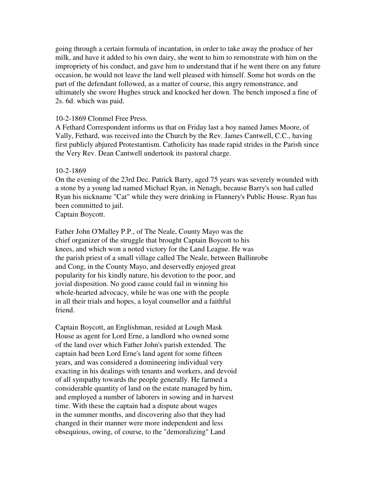going through a certain formula of incantation, in order to take away the produce of her milk, and have it added to his own dairy, she went to him to remonstrate with him on the impropriety of his conduct, and gave him to understand that if he went there on any future occasion, he would not leave the land well pleased with himself. Some hot words on the part of the defendant followed, as a matter of course, this angry remonstrance, and ultimately she swore Hughes struck and knocked her down. The bench imposed a fine of 2s. 6d. which was paid.

#### 10-2-1869 Clonmel Free Press.

A Fethard Correspondent informs us that on Friday last a boy named James Moore, of Vally, Fethard, was received into the Church by the Rev. James Cantwell, C.C., having first publicly abjured Protestantism. Catholicity has made rapid strides in the Parish since the Very Rev. Dean Cantwell undertook its pastoral charge.

#### 10-2-1869

On the evening of the 23rd Dec. Patrick Barry, aged 75 years was severely wounded with a stone by a young lad named Michael Ryan, in Nenagh, because Barry's son had called Ryan his nickname "Cat" while they were drinking in Flannery's Public House. Ryan has been committed to jail.

Captain Boycott.

Father John O'Malley P.P., of The Neale, County Mayo was the chief organizer of the struggle that brought Captain Boycott to his knees, and which won a noted victory for the Land League. He was the parish priest of a small village called The Neale, between Ballinrobe and Cong, in the County Mayo, and deservedly enjoyed great popularity for his kindly nature, his devotion to the poor, and jovial disposition. No good cause could fail in winning his whole-hearted advocacy, while he was one with the people in all their trials and hopes, a loyal counsellor and a faithful friend.

Captain Boycott, an Englishman, resided at Lough Mask House as agent for Lord Erne, a landlord who owned some of the land over which Father John's parish extended. The captain had been Lord Erne's land agent for some fifteen years, and was considered a domineering individual very exacting in his dealings with tenants and workers, and devoid of all sympathy towards the people generally. He farmed a considerable quantity of land on the estate managed by him, and employed a number of laborers in sowing and in harvest time. With these the captain had a dispute about wages in the summer months, and discovering also that they had changed in their manner were more independent and less obsequious, owing, of course, to the "demoralizing" Land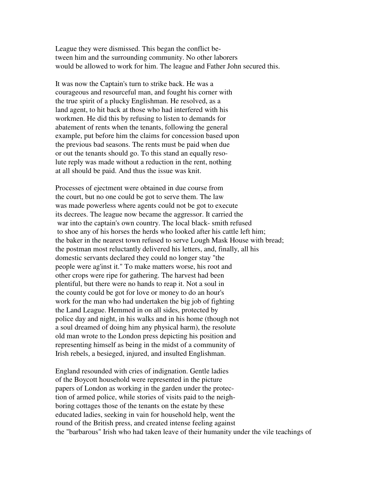League they were dismissed. This began the conflict between him and the surrounding community. No other laborers would be allowed to work for him. The league and Father John secured this.

It was now the Captain's turn to strike back. He was a courageous and resourceful man, and fought his corner with the true spirit of a plucky Englishman. He resolved, as a land agent, to hit back at those who had interfered with his workmen. He did this by refusing to listen to demands for abatement of rents when the tenants, following the general example, put before him the claims for concession based upon the previous bad seasons. The rents must be paid when due or out the tenants should go. To this stand an equally resolute reply was made without a reduction in the rent, nothing at all should be paid. And thus the issue was knit.

Processes of ejectment were obtained in due course from the court, but no one could be got to serve them. The law was made powerless where agents could not be got to execute its decrees. The league now became the aggressor. It carried the war into the captain's own country. The local black- smith refused to shoe any of his horses the herds who looked after his cattle left him; the baker in the nearest town refused to serve Lough Mask House with bread; the postman most reluctantly delivered his letters, and, finally, all his domestic servants declared they could no longer stay "the people were ag'inst it." To make matters worse, his root and other crops were ripe for gathering. The harvest had been plentiful, but there were no hands to reap it. Not a soul in the county could be got for love or money to do an hour's work for the man who had undertaken the big job of fighting the Land League. Hemmed in on all sides, protected by police day and night, in his walks and in his home (though not a soul dreamed of doing him any physical harm), the resolute old man wrote to the London press depicting his position and representing himself as being in the midst of a community of Irish rebels, a besieged, injured, and insulted Englishman.

England resounded with cries of indignation. Gentle ladies of the Boycott household were represented in the picture papers of London as working in the garden under the protection of armed police, while stories of visits paid to the neighboring cottages those of the tenants on the estate by these educated ladies, seeking in vain for household help, went the round of the British press, and created intense feeling against the "barbarous" Irish who had taken leave of their humanity under the vile teachings of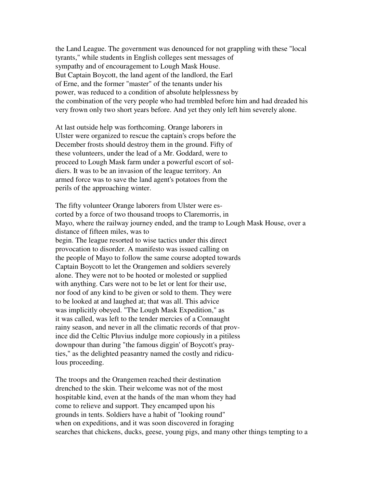the Land League. The government was denounced for not grappling with these "local tyrants," while students in English colleges sent messages of sympathy and of encouragement to Lough Mask House. But Captain Boycott, the land agent of the landlord, the Earl of Erne, and the former "master" of the tenants under his power, was reduced to a condition of absolute helplessness by the combination of the very people who had trembled before him and had dreaded his very frown only two short years before. And yet they only left him severely alone.

At last outside help was forthcoming. Orange laborers in Ulster were organized to rescue the captain's crops before the December frosts should destroy them in the ground. Fifty of these volunteers, under the lead of a Mr. Goddard, were to proceed to Lough Mask farm under a powerful escort of soldiers. It was to be an invasion of the league territory. An armed force was to save the land agent's potatoes from the perils of the approaching winter.

The fifty volunteer Orange laborers from Ulster were escorted by a force of two thousand troops to Claremorris, in Mayo, where the railway journey ended, and the tramp to Lough Mask House, over a distance of fifteen miles, was to begin. The league resorted to wise tactics under this direct provocation to disorder. A manifesto was issued calling on the people of Mayo to follow the same course adopted towards Captain Boycott to let the Orangemen and soldiers severely alone. They were not to be hooted or molested or supplied with anything. Cars were not to be let or lent for their use, nor food of any kind to be given or sold to them. They were to be looked at and laughed at; that was all. This advice was implicitly obeyed. "The Lough Mask Expedition," as it was called, was left to the tender mercies of a Connaught rainy season, and never in all the climatic records of that province did the Celtic Pluvius indulge more copiously in a pitiless downpour than during "the famous diggin' of Boycott's prayties," as the delighted peasantry named the costly and ridiculous proceeding.

The troops and the Orangemen reached their destination drenched to the skin. Their welcome was not of the most hospitable kind, even at the hands of the man whom they had come to relieve and support. They encamped upon his grounds in tents. Soldiers have a habit of "looking round" when on expeditions, and it was soon discovered in foraging searches that chickens, ducks, geese, young pigs, and many other things tempting to a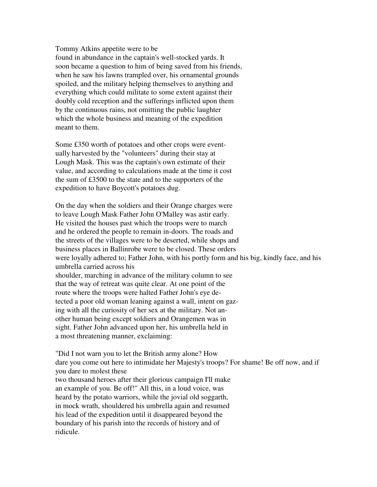#### Tommy Atkins appetite were to be

found in abundance in the captain's well-stocked yards. It soon became a question to him of being saved from his friends, when he saw his lawns trampled over, his ornamental grounds spoiled, and the military helping themselves to anything and everything which could militate to some extent against their doubly cold reception and the sufferings inflicted upon them by the continuous rains, not omitting the public laughter which the whole business and meaning of the expedition meant to them.

Some £350 worth of potatoes and other crops were eventually harvested by the "volunteers" during their stay at Lough Mask. This was the captain's own estimate of their value, and according to calculations made at the time it cost the sum of £3500 to the state and to the supporters of the expedition to have Boycott's potatoes dug.

On the day when the soldiers and their Orange charges were to leave Lough Mask Father John O'Malley was astir early. He visited the houses past which the troops were to march and he ordered the people to remain in-doors. The roads and the streets of the villages were to be deserted, while shops and business places in Ballinrobe were to be closed. These orders were loyally adhered to; Father John, with his portly form and his big, kindly face, and his umbrella carried across his shoulder, marching in advance of the military column to see that the way of retreat was quite clear. At one point of the route where the troops were halted Father John's eye detected a poor old woman leaning against a wall, intent on gazing with all the curiosity of her sex at the military. Not another human being except soldiers and Orangemen was in sight. Father John advanced upon her, his umbrella held in a most threatening manner, exclaiming:

"Did I not warn you to let the British army alone? How dare you come out here to intimidate her Majesty's troops? For shame! Be off now, and if you dare to molest these

two thousand heroes after their glorious campaign I'll make an example of you. Be off!" All this, in a loud voice, was heard by the potato warriors, while the jovial old soggarth, in mock wrath, shouldered his umbrella again and resumed his lead of the expedition until it disappeared beyond the boundary of his parish into the records of history and of ridicule.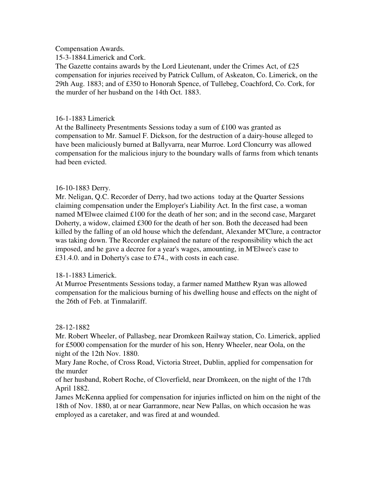Compensation Awards.

15-3-1884.Limerick and Cork.

The Gazette contains awards by the Lord Lieutenant, under the Crimes Act, of £25 compensation for injuries received by Patrick Cullum, of Askeaton, Co. Limerick, on the 29th Aug. 1883; and of £350 to Honorah Spence, of Tullebeg, Coachford, Co. Cork, for the murder of her husband on the 14th Oct. 1883.

## 16-1-1883 Limerick

At the Ballineety Presentments Sessions today a sum of £100 was granted as compensation to Mr. Samuel F. Dickson, for the destruction of a dairy-house alleged to have been maliciously burned at Ballyvarra, near Murroe. Lord Cloncurry was allowed compensation for the malicious injury to the boundary walls of farms from which tenants had been evicted.

## 16-10-1883 Derry.

Mr. Neligan, Q.C. Recorder of Derry, had two actions today at the Quarter Sessions claiming compensation under the Employer's Liability Act. In the first case, a woman named M'Elwee claimed £100 for the death of her son; and in the second case, Margaret Doherty, a widow, claimed £300 for the death of her son. Both the deceased had been killed by the falling of an old house which the defendant, Alexander M'Clure, a contractor was taking down. The Recorder explained the nature of the responsibility which the act imposed, and he gave a decree for a year's wages, amounting, in M'Elwee's case to £31.4.0. and in Doherty's case to £74., with costs in each case.

## 18-1-1883 Limerick.

At Murroe Presentments Sessions today, a farmer named Matthew Ryan was allowed compensation for the malicious burning of his dwelling house and effects on the night of the 26th of Feb. at Tinmalariff.

## 28-12-1882

Mr. Robert Wheeler, of Pallasbeg, near Dromkeen Railway station, Co. Limerick, applied for £5000 compensation for the murder of his son, Henry Wheeler, near Oola, on the night of the 12th Nov. 1880.

Mary Jane Roche, of Cross Road, Victoria Street, Dublin, applied for compensation for the murder

of her husband, Robert Roche, of Cloverfield, near Dromkeen, on the night of the 17th April 1882.

James McKenna applied for compensation for injuries inflicted on him on the night of the 18th of Nov. 1880, at or near Garranmore, near New Pallas, on which occasion he was employed as a caretaker, and was fired at and wounded.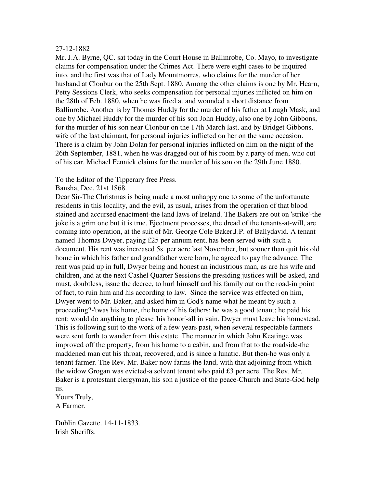#### 27-12-1882

Mr. J.A. Byrne, QC. sat today in the Court House in Ballinrobe, Co. Mayo, to investigate claims for compensation under the Crimes Act. There were eight cases to be inquired into, and the first was that of Lady Mountmorres, who claims for the murder of her husband at Clonbur on the 25th Sept. 1880. Among the other claims is one by Mr. Hearn, Petty Sessions Clerk, who seeks compensation for personal injuries inflicted on him on the 28th of Feb. 1880, when he was fired at and wounded a short distance from Ballinrobe. Another is by Thomas Huddy for the murder of his father at Lough Mask, and one by Michael Huddy for the murder of his son John Huddy, also one by John Gibbons, for the murder of his son near Clonbur on the 17th March last, and by Bridget Gibbons, wife of the last claimant, for personal injuries inflicted on her on the same occasion. There is a claim by John Dolan for personal injuries inflicted on him on the night of the 26th September, 1881, when he was dragged out of his room by a party of men, who cut of his ear. Michael Fennick claims for the murder of his son on the 29th June 1880.

#### To the Editor of the Tipperary free Press.

Bansha, Dec. 21st 1868.

Dear Sir-The Christmas is being made a most unhappy one to some of the unfortunate residents in this locality, and the evil, as usual, arises from the operation of that blood stained and accursed enactment-the land laws of Ireland. The Bakers are out on 'strike'-the joke is a grim one but it is true. Ejectment processes, the dread of the tenants-at-will, are coming into operation, at the suit of Mr. George Cole Baker,J.P. of Ballydavid. A tenant named Thomas Dwyer, paying £25 per annum rent, has been served with such a document. His rent was increased 5s. per acre last November, but sooner than quit his old home in which his father and grandfather were born, he agreed to pay the advance. The rent was paid up in full, Dwyer being and honest an industrious man, as are his wife and children, and at the next Cashel Quarter Sessions the presiding justices will be asked, and must, doubtless, issue the decree, to hurl himself and his family out on the road-in point of fact, to ruin him and his according to law. Since the service was effected on him, Dwyer went to Mr. Baker, and asked him in God's name what he meant by such a proceeding?-'twas his home, the home of his fathers; he was a good tenant; he paid his rent; would do anything to please 'his honor'-all in vain. Dwyer must leave his homestead. This is following suit to the work of a few years past, when several respectable farmers were sent forth to wander from this estate. The manner in which John Keatinge was improved off the property, from his home to a cabin, and from that to the roadside-the maddened man cut his throat, recovered, and is since a lunatic. But then-he was only a tenant farmer. The Rev. Mr. Baker now farms the land, with that adjoining from which the widow Grogan was evicted-a solvent tenant who paid £3 per acre. The Rev. Mr. Baker is a protestant clergyman, his son a justice of the peace-Church and State-God help us.

Yours Truly, A Farmer.

Dublin Gazette. 14-11-1833. Irish Sheriffs.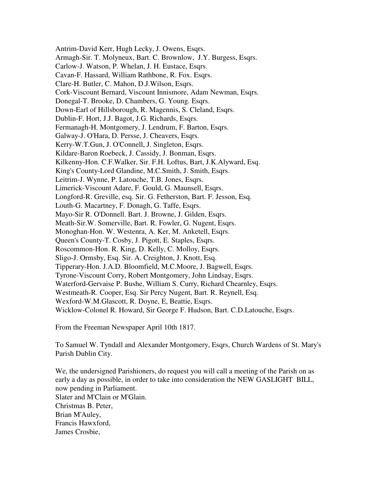Antrim-David Kerr, Hugh Lecky, J. Owens, Esqrs. Armagh-Sir. T. Molyneux, Bart. C. Brownlow, J.Y. Burgess, Esqrs. Carlow-J. Watson, P. Whelan, J. H. Eustace, Esqrs. Cavan-F. Hassard, William Rathbone, R. Fox. Esqrs. Clare-H. Butler, C. Mahon, D.J.Wilson, Esqrs. Cork-Viscount Bernard, Viscount Innismore, Adam Newman, Esqrs. Donegal-T. Brooke, D. Chambers, G. Young. Esqrs. Down-Earl of Hillsborough, R. Magennis, S. Cleland, Esqrs. Dublin-F. Hort, J.J. Bagot, J.G. Richards, Esqrs. Fermanagh-H. Montgomery, J. Lendrum, F. Barton, Esqrs. Galway-J. O'Hara, D. Persse, J. Cheavers, Esqrs. Kerry-W.T.Gun, J. O'Connell, J. Singleton, Esqrs. Kildare-Baron Roebeck, J. Cassidy, J. Bonman, Esqrs. Kilkenny-Hon. C.F.Walker, Sir. F.H. Loftus, Bart, J.K.Alyward, Esq. King's County-Lord Glandine, M.C.Smith, J. Smith, Esqrs. Leitrim-J. Wynne, P. Latouche, T.B. Jones, Esqrs. Limerick-Viscount Adare, F. Gould, G. Maunsell, Esqrs. Longford-R. Greville, esq. Sir. G. Fetherston, Bart. F. Jesson, Esq. Louth-G. Macartney, F. Donagh, G. Taffe, Esqrs. Mayo-Sir R. O'Donnell. Bart. J. Browne, J. Gilden, Esqrs. Meath-Sir.W. Somerville, Bart. R. Fowler, G. Nugent, Esqrs. Monoghan-Hon. W. Westenra, A. Ker, M. Anketell, Esqrs. Queen's County-T. Cosby, J. Pigott, E. Staples, Esqrs. Roscommon-Hon. R. King, D. Kelly, C. Molloy, Esqrs. Sligo-J. Ormsby, Esq. Sir. A. Creighton, J. Knott, Esq. Tipperary-Hon. J.A.D. Bloomfield, M.C.Moore, J. Bagwell, Esqrs. Tyrone-Viscount Corry, Robert Montgomery, John Lindsay, Esqrs. Waterford-Gervaise P. Bushe, William S. Curry, Richard Chearnley, Esqrs. Westmeath-R. Cooper, Esq. Sir Percy Nugent, Bart. R. Reynell, Esq. Wexford-W.M.Glascott, R. Doyne, E, Beattie, Esqrs. Wicklow-Colonel R. Howard, Sir George F. Hudson, Bart. C.D.Latouche, Esqrs.

From the Freeman Newspaper April 10th 1817.

To Samuel W. Tyndall and Alexander Montgomery, Esqrs, Church Wardens of St. Mary's Parish Dublin City.

We, the undersigned Parishioners, do request you will call a meeting of the Parish on as early a day as possible, in order to take into consideration the NEW GASLIGHT BILL, now pending in Parliament. Slater and M'Clain or M'Glain. Christmas B. Peter, Brian M'Auley, Francis Hawxford, James Crosbie,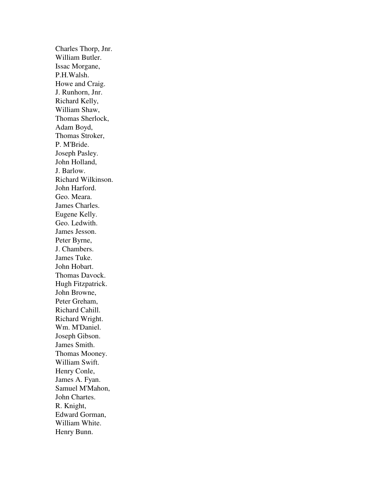Charles Thorp, Jnr. William Butler. Issac Morgane, P.H.Walsh. Howe and Craig. J. Runhorn, Jnr. Richard Kelly, William Shaw, Thomas Sherlock, Adam Boyd, Thomas Stroker, P. M'Bride. Joseph Pasley. John Holland, J. Barlow. Richard Wilkinson. John Harford. Geo. Meara. James Charles. Eugene Kelly. Geo. Ledwith. James Jesson. Peter Byrne, J. Chambers. James Tuke. John Hobart. Thomas Davock. Hugh Fitzpatrick. John Browne, Peter Greham, Richard Cahill. Richard Wright. Wm. M'Daniel. Joseph Gibson. James Smith. Thomas Mooney. William Swift. Henry Conle, James A. Fyan. Samuel M'Mahon, John Chartes. R. Knight, Edward Gorman, William White. Henry Bunn.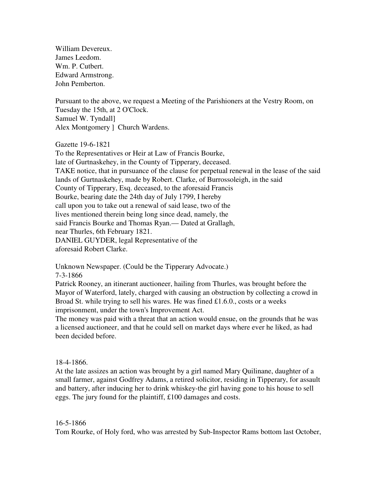William Devereux. James Leedom. Wm. P. Cutbert. Edward Armstrong. John Pemberton.

Pursuant to the above, we request a Meeting of the Parishioners at the Vestry Room, on Tuesday the 15th, at 2 O'Clock. Samuel W. Tyndall] Alex Montgomery ] Church Wardens.

Gazette 19-6-1821

To the Representatives or Heir at Law of Francis Bourke, late of Gurtnaskehey, in the County of Tipperary, deceased. TAKE notice, that in pursuance of the clause for perpetual renewal in the lease of the said lands of Gurtnaskehey, made by Robert. Clarke, of Burrossoleigh, in the said County of Tipperary, Esq. deceased, to the aforesaid Francis Bourke, bearing date the 24th day of July 1799, I hereby call upon you to take out a renewal of said lease, two of the lives mentioned therein being long since dead, namely, the said Francis Bourke and Thomas Ryan.— Dated at Grallagh, near Thurles, 6th February 1821. DANIEL GUYDER, legal Representative of the aforesaid Robert Clarke.

Unknown Newspaper. (Could be the Tipperary Advocate.) 7-3-1866

Patrick Rooney, an itinerant auctioneer, hailing from Thurles, was brought before the Mayor of Waterford, lately, charged with causing an obstruction by collecting a crowd in Broad St. while trying to sell his wares. He was fined £1.6.0., costs or a weeks imprisonment, under the town's Improvement Act.

The money was paid with a threat that an action would ensue, on the grounds that he was a licensed auctioneer, and that he could sell on market days where ever he liked, as had been decided before.

#### 18-4-1866.

At the late assizes an action was brought by a girl named Mary Quilinane, daughter of a small farmer, against Godfrey Adams, a retired solicitor, residing in Tipperary, for assault and battery, after inducing her to drink whiskey-the girl having gone to his house to sell eggs. The jury found for the plaintiff, £100 damages and costs.

#### 16-5-1866

Tom Rourke, of Holy ford, who was arrested by Sub-Inspector Rams bottom last October,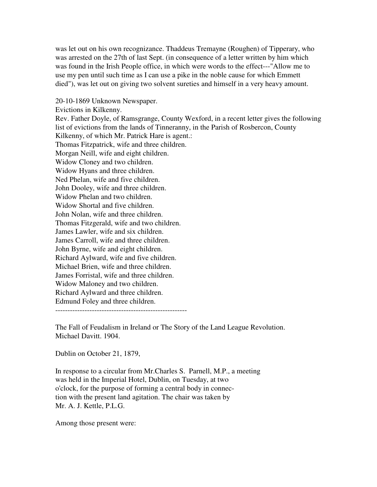was let out on his own recognizance. Thaddeus Tremayne (Roughen) of Tipperary, who was arrested on the 27th of last Sept. (in consequence of a letter written by him which was found in the Irish People office, in which were words to the effect---"Allow me to use my pen until such time as I can use a pike in the noble cause for which Emmett died"), was let out on giving two solvent sureties and himself in a very heavy amount.

20-10-1869 Unknown Newspaper. Evictions in Kilkenny. Rev. Father Doyle, of Ramsgrange, County Wexford, in a recent letter gives the following list of evictions from the lands of Tinneranny, in the Parish of Rosbercon, County Kilkenny, of which Mr. Patrick Hare is agent.: Thomas Fitzpatrick, wife and three children. Morgan Neill, wife and eight children. Widow Cloney and two children. Widow Hyans and three children. Ned Phelan, wife and five children. John Dooley, wife and three children. Widow Phelan and two children. Widow Shortal and five children. John Nolan, wife and three children. Thomas Fitzgerald, wife and two children. James Lawler, wife and six children. James Carroll, wife and three children. John Byrne, wife and eight children. Richard Aylward, wife and five children. Michael Brien, wife and three children. James Forristal, wife and three children. Widow Maloney and two children. Richard Aylward and three children. Edmund Foley and three children. ------------------------------------------------------

The Fall of Feudalism in Ireland or The Story of the Land League Revolution. Michael Davitt. 1904.

Dublin on October 21, 1879,

In response to a circular from Mr.Charles S. Parnell, M.P., a meeting was held in the Imperial Hotel, Dublin, on Tuesday, at two o'clock, for the purpose of forming a central body in connection with the present land agitation. The chair was taken by Mr. A. J. Kettle, P.L.G.

Among those present were: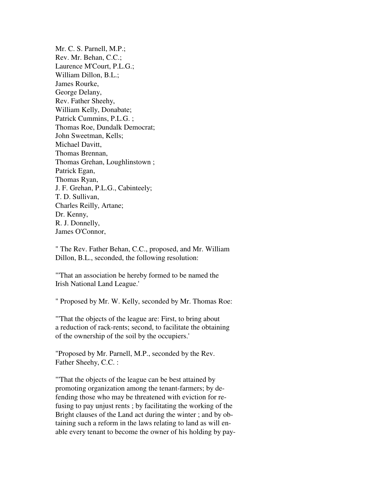Mr. C. S. Parnell, M.P.; Rev. Mr. Behan, C.C.; Laurence M'Court, P.L.G.; William Dillon, B.L.; James Rourke, George Delany, Rev. Father Sheehy, William Kelly, Donabate; Patrick Cummins, P.L.G. ; Thomas Roe, Dundalk Democrat; John Sweetman, Kells; Michael Davitt, Thomas Brennan, Thomas Grehan, Loughlinstown ; Patrick Egan, Thomas Ryan, J. F. Grehan, P.L.G., Cabinteely; T. D. Sullivan, Charles Reilly, Artane; Dr. Kenny, R. J. Donnelly, James O'Connor,

" The Rev. Father Behan, C.C., proposed, and Mr. William Dillon, B.L., seconded, the following resolution:

"'That an association be hereby formed to be named the Irish National Land League.'

" Proposed by Mr. W. Kelly, seconded by Mr. Thomas Roe:

"'That the objects of the league are: First, to bring about a reduction of rack-rents; second, to facilitate the obtaining of the ownership of the soil by the occupiers.'

"Proposed by Mr. Parnell, M.P., seconded by the Rev. Father Sheehy, C.C. :

"'That the objects of the league can be best attained by promoting organization among the tenant-farmers; by defending those who may be threatened with eviction for refusing to pay unjust rents ; by facilitating the working of the Bright clauses of the Land act during the winter ; and by obtaining such a reform in the laws relating to land as will enable every tenant to become the owner of his holding by pay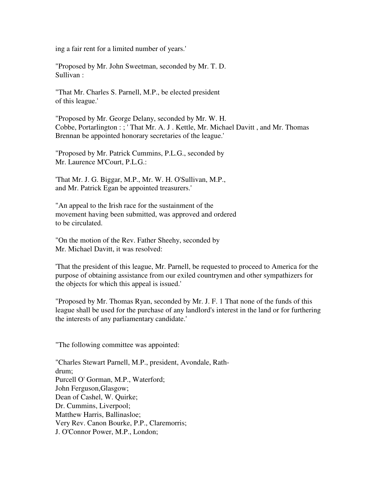ing a fair rent for a limited number of years.'

"Proposed by Mr. John Sweetman, seconded by Mr. T. D. Sullivan :

"That Mr. Charles S. Parnell, M.P., be elected president of this league.'

"Proposed by Mr. George Delany, seconded by Mr. W. H. Cobbe, Portarlington : ; ' That Mr. A. J . Kettle, Mr. Michael Davitt , and Mr. Thomas Brennan be appointed honorary secretaries of the league.'

"Proposed by Mr. Patrick Cummins, P.L.G., seconded by Mr. Laurence M'Court, P.L.G.:

'That Mr. J. G. Biggar, M.P., Mr. W. H. O'Sullivan, M.P., and Mr. Patrick Egan be appointed treasurers.'

"An appeal to the Irish race for the sustainment of the movement having been submitted, was approved and ordered to be circulated.

"On the motion of the Rev. Father Sheehy, seconded by Mr. Michael Davitt, it was resolved:

'That the president of this league, Mr. Parnell, be requested to proceed to America for the purpose of obtaining assistance from our exiled countrymen and other sympathizers for the objects for which this appeal is issued.'

"Proposed by Mr. Thomas Ryan, seconded by Mr. J. F. 1 That none of the funds of this league shall be used for the purchase of any landlord's interest in the land or for furthering the interests of any parliamentary candidate.'

"The following committee was appointed:

"Charles Stewart Parnell, M.P., president, Avondale, Rathdrum; Purcell O' Gorman, M.P., Waterford; John Ferguson,Glasgow; Dean of Cashel, W. Quirke; Dr. Cummins, Liverpool; Matthew Harris, Ballinasloe; Very Rev. Canon Bourke, P.P., Claremorris; J. O'Connor Power, M.P., London;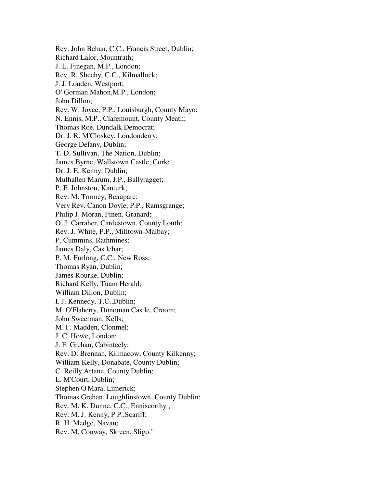Rev. John Behan, C.C., Francis Street, Dublin; Richard Lalor, Mountrath; J. L. Finegan, M.P., London; Rev. R. Sheehy, C.C., Kilmallock; J. J. Louden, Westport; O' Gorman Mahon,M.P., London; John Dillon; Rev. W. Joyce, P.P., Louisburgh, County Mayo; N. Ennis, M.P., Claremount, County Meath; Thomas Roe, Dundalk Democrat; Dr. J. R. M'Closkey, Londonderry; George Delany, Dublin; T. D. Sullivan, The Nation, Dublin; James Byrne, Wallstown Castle, Cork; Dr. J. E. Kenny, Dublin; Mulhallen Marum, J.P., Ballyragget; P. F. Johnston, Kanturk; Rev. M. Tormey, Beauparc; Very Rev. Canon Doyle, P.P., Ramsgrange; Philip J. Moran, Finen, Granard; O. J. Carraher, Cardestown, County Louth; Rev. J. White, P.P., Milltown-Malbay; P. Cummins, Rathmines; James Daly, Castlebar; P. M. Furlong, C.C., New Ross; Thomas Ryan, Dublin; James Rourke, Dublin; Richard Kelly, Tuam Herald; William Dillon, Dublin; I. J. Kennedy, T.C.,Dublin; M. O'Flaherty, Dunoman Castle, Croom; John Sweetman, Kells; M. F. Madden, Clonmel; J. C. Howe, London; J. F. Grehan, Cabinteely; Rev. D. Brennan, Kilmacow, County Kilkenny; William Kelly, Donabate, County Dublin; C. Reilly,Artane, County Dublin; L. M'Court, Dublin; Stephen O'Mara, Limerick; Thomas Grehan, Loughlinstown, County Dublin; Rev. M. K. Dunne, C.C., Enniscorthy ; Rev. M. J. Kenny, P.P.,Scariff; R. H. Medge, Navan; Rev. M. Conway, Skreen, Sligo."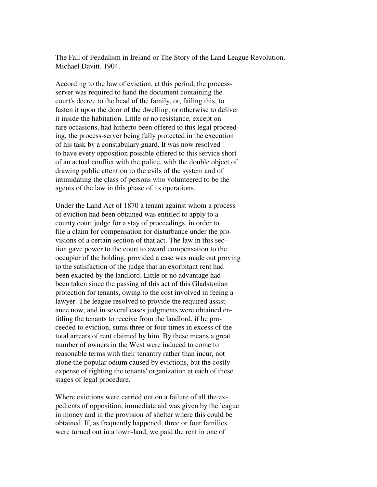The Fall of Feudalism in Ireland or The Story of the Land League Revolution. Michael Davitt. 1904.

According to the law of eviction, at this period, the processserver was required to hand the document containing the court's decree to the head of the family, or, failing this, to fasten it upon the door of the dwelling, or otherwise to deliver it inside the habitation. Little or no resistance, except on rare occasions, had hitherto been offered to this legal proceeding, the process-server being fully protected in the execution of his task by a constabulary guard. It was now resolved to have every opposition possible offered to this service short of an actual conflict with the police, with the double object of drawing public attention to the evils of the system and of intimidating the class of persons who volunteered to be the agents of the law in this phase of its operations.

Under the Land Act of 1870 a tenant against whom a process of eviction had been obtained was entitled to apply to a county court judge for a stay of proceedings, in order to file a claim for compensation for disturbance under the provisions of a certain section of that act. The law in this section gave power to the court to award compensation to the occupier of the holding, provided a case was made out proving to the satisfaction of the judge that an exorbitant rent had been exacted by the landlord. Little or no advantage had been taken since the passing of this act of this Gladstonian protection for tenants, owing to the cost involved in feeing a lawyer. The league resolved to provide the required assistance now, and in several cases judgments were obtained entitling the tenants to receive from the landlord, if he proceeded to eviction, sums three or four times in excess of the total arrears of rent claimed by him. By these means a great number of owners in the West were induced to come to reasonable terms with their tenantry rather than incur, not alone the popular odium caused by evictions, but the costly expense of righting the tenants' organization at each of these stages of legal procedure.

Where evictions were carried out on a failure of all the expedients of opposition, immediate aid was given by the league in money and in the provision of shelter where this could be obtained. If, as frequently happened, three or four families were turned out in a town-land, we paid the rent in one of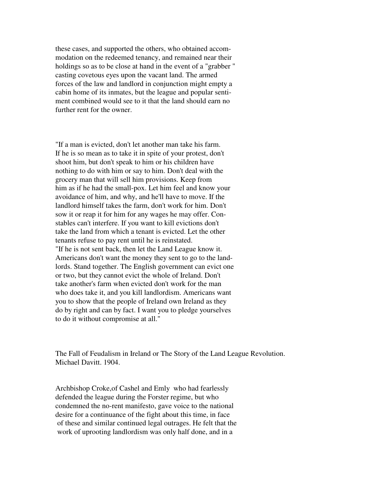these cases, and supported the others, who obtained accommodation on the redeemed tenancy, and remained near their holdings so as to be close at hand in the event of a "grabber " casting covetous eyes upon the vacant land. The armed forces of the law and landlord in conjunction might empty a cabin home of its inmates, but the league and popular sentiment combined would see to it that the land should earn no further rent for the owner.

"If a man is evicted, don't let another man take his farm. If he is so mean as to take it in spite of your protest, don't shoot him, but don't speak to him or his children have nothing to do with him or say to him. Don't deal with the grocery man that will sell him provisions. Keep from him as if he had the small-pox. Let him feel and know your avoidance of him, and why, and he'll have to move. If the landlord himself takes the farm, don't work for him. Don't sow it or reap it for him for any wages he may offer. Constables can't interfere. If you want to kill evictions don't take the land from which a tenant is evicted. Let the other tenants refuse to pay rent until he is reinstated. "If he is not sent back, then let the Land League know it. Americans don't want the money they sent to go to the landlords. Stand together. The English government can evict one or two, but they cannot evict the whole of Ireland. Don't take another's farm when evicted don't work for the man who does take it, and you kill landlordism. Americans want you to show that the people of Ireland own Ireland as they do by right and can by fact. I want you to pledge yourselves to do it without compromise at all."

The Fall of Feudalism in Ireland or The Story of the Land League Revolution. Michael Davitt. 1904.

Archbishop Croke,of Cashel and Emly who had fearlessly defended the league during the Forster regime, but who condemned the no-rent manifesto, gave voice to the national desire for a continuance of the fight about this time, in face of these and similar continued legal outrages. He felt that the work of uprooting landlordism was only half done, and in a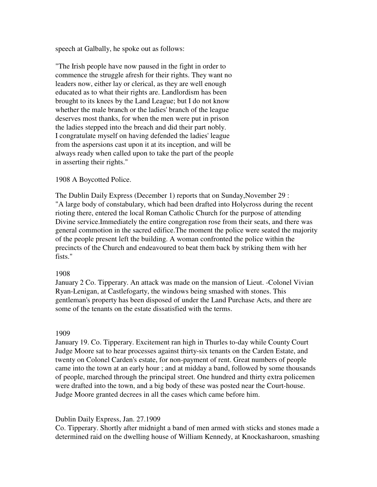speech at Galbally, he spoke out as follows:

"The Irish people have now paused in the fight in order to commence the struggle afresh for their rights. They want no leaders now, either lay or clerical, as they are well enough educated as to what their rights are. Landlordism has been brought to its knees by the Land League; but I do not know whether the male branch or the ladies' branch of the league deserves most thanks, for when the men were put in prison the ladies stepped into the breach and did their part nobly. I congratulate myself on having defended the ladies' league from the aspersions cast upon it at its inception, and will be always ready when called upon to take the part of the people in asserting their rights."

## 1908 A Boycotted Police.

The Dublin Daily Express (December 1) reports that on Sunday,November 29 : "A large body of constabulary, which had been drafted into Holycross during the recent rioting there, entered the local Roman Catholic Church for the purpose of attending Divine service.Immediately the entire congregation rose from their seats, and there was general commotion in the sacred edifice.The moment the police were seated the majority of the people present left the building. A woman confronted the police within the precincts of the Church and endeavoured to beat them back by striking them with her fists."

## 1908

January 2 Co. Tipperary. An attack was made on the mansion of Lieut. -Colonel Vivian Ryan-Lenigan, at Castlefogarty, the windows being smashed with stones. This gentleman's property has been disposed of under the Land Purchase Acts, and there are some of the tenants on the estate dissatisfied with the terms.

#### 1909

January 19. Co. Tipperary. Excitement ran high in Thurles to-day while County Court Judge Moore sat to hear processes against thirty-six tenants on the Carden Estate, and twenty on Colonel Carden's estate, for non-payment of rent. Great numbers of people came into the town at an early hour ; and at midday a band, followed by some thousands of people, marched through the principal street. One hundred and thirty extra policemen were drafted into the town, and a big body of these was posted near the Court-house. Judge Moore granted decrees in all the cases which came before him.

## Dublin Daily Express, Jan. 27.1909

Co. Tipperary. Shortly after midnight a band of men armed with sticks and stones made a determined raid on the dwelling house of William Kennedy, at Knockasharoon, smashing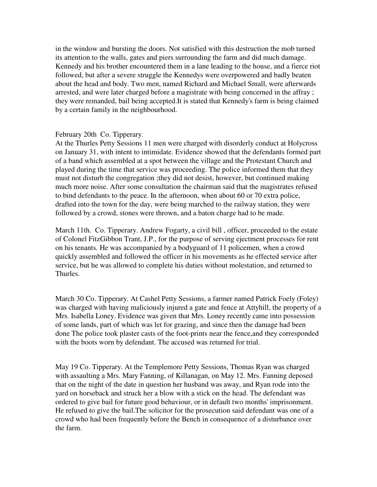in the window and bursting the doors. Not satisfied with this destruction the mob turned its attention to the walls, gates and piers surrounding the farm and did much damage. Kennedy and his brother encountered them in a lane leading to the house, and a fierce riot followed, but after a severe struggle the Kennedys were overpowered and badly beaten about the head and body. Two men, named Richard and Michael Small, were afterwards arrested, and were later charged before a magistrate with being concerned in the affray ; they were remanded, bail being accepted.It is stated that Kennedy's farm is being claimed by a certain family in the neighbourhood.

## February 20th Co. Tipperary.

At the Thurles Petty Sessions 11 men were charged with disorderly conduct at Holycross on January 31, with intent to intimidate. Evidence showed that the defendants formed part of a band which assembled at a spot between the village and the Protestant Church and played during the time that service was proceeding. The police informed them that they must not disturb the congregation ;they did not desist, however, but continued making much more noise. After some consultation the chairman said that the magistrates refused to bind defendants to the peace. In the afternoon, when about 60 or 70 extra police, drafted into the town for the day, were being marched to the railway station, they were followed by a crowd, stones were thrown, and a baton charge had to be made.

March 11th. Co. Tipperary. Andrew Fogarty, a civil bill , officer, proceeded to the estate of Colonel FitzGibbon Trant, J.P., for the purpose of serving ejectment processes for rent on his tenants. He was accompanied by a bodyguard of 11 policemen, when a crowd quickly assembled and followed the officer in his movements as he effected service after service, but he was allowed to complete his duties without molestation, and returned to Thurles.

March 30 Co. Tipperary. At Cashel Petty Sessions, a farmer named Patrick Foely (Foley) was charged with having maliciously injured a gate and fence at Attyhill, the property of a Mrs. Isabella Loney. Evidence was given that Mrs. Loney recently came into possession of some lands, part of which was let for grazing, and since then the damage had been done The police took plaster casts of the foot-prints near the fence,and they corresponded with the boots worn by defendant. The accused was returned for trial.

May 19 Co. Tipperary. At the Templemore Petty Sessions, Thomas Ryan was charged with assaulting a Mrs. Mary Fanning, of Killanagan, on May 12. Mrs. Fanning deposed that on the night of the date in question her husband was away, and Ryan rode into the yard on horseback and struck her a blow with a stick on the head. The defendant was ordered to give bail for future good behaviour, or in default two months' imprisonment. He refused to give the bail.The solicitor for the prosecution said defendant was one of a crowd who had been frequently before the Bench in consequence of a disturbance over the farm.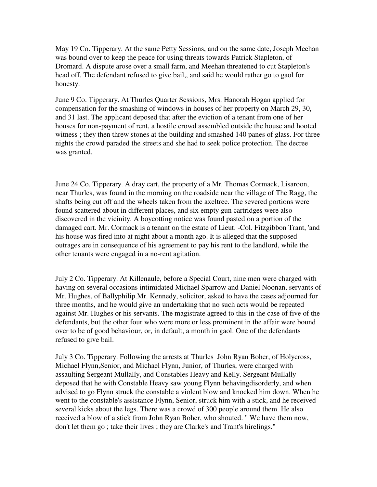May 19 Co. Tipperary. At the same Petty Sessions, and on the same date, Joseph Meehan was bound over to keep the peace for using threats towards Patrick Stapleton, of Dromard. A dispute arose over a small farm, and Meehan threatened to cut Stapleton's head off. The defendant refused to give bail,, and said he would rather go to gaol for honesty.

June 9 Co. Tipperary. At Thurles Quarter Sessions, Mrs. Hanorah Hogan applied for compensation for the smashing of windows in houses of her property on March 29, 30, and 31 last. The applicant deposed that after the eviction of a tenant from one of her houses for non-payment of rent, a hostile crowd assembled outside the house and hooted witness ; they then threw stones at the building and smashed 140 panes of glass. For three nights the crowd paraded the streets and she had to seek police protection. The decree was granted.

June 24 Co. Tipperary. A dray cart, the property of a Mr. Thomas Cormack, Lisaroon, near Thurles, was found in the morning on the roadside near the village of The Ragg, the shafts being cut off and the wheels taken from the axeltree. The severed portions were found scattered about in different places, and six empty gun cartridges were also discovered in the vicinity. A boycotting notice was found pasted on a portion of the damaged cart. Mr. Cormack is a tenant on the estate of Lieut. -Col. Fitzgibbon Trant, 'and his house was fired into at night about a month ago. It is alleged that the supposed outrages are in consequence of his agreement to pay his rent to the landlord, while the other tenants were engaged in a no-rent agitation.

July 2 Co. Tipperary. At Killenaule, before a Special Court, nine men were charged with having on several occasions intimidated Michael Sparrow and Daniel Noonan, servants of Mr. Hughes, of Ballyphilip.Mr. Kennedy, solicitor, asked to have the cases adjourned for three months, and he would give an undertaking that no such acts would be repeated against Mr. Hughes or his servants. The magistrate agreed to this in the case of five of the defendants, but the other four who were more or less prominent in the affair were bound over to be of good behaviour, or, in default, a month in gaol. One of the defendants refused to give bail.

July 3 Co. Tipperary. Following the arrests at Thurles John Ryan Boher, of Holycross, Michael Flynn,Senior, and Michael Flynn, Junior, of Thurles, were charged with assaulting Sergeant Mullally, and Constables Heavy and Kelly. Sergeant Mullally deposed that he with Constable Heavy saw young Flynn behavingdisorderly, and when advised to go Flynn struck the constable a violent blow and knocked him down. When he went to the constable's assistance Flynn, Senior, struck him with a stick, and he received several kicks about the legs. There was a crowd of 300 people around them. He also received a blow of a stick from John Ryan Boher, who shouted. " We have them now, don't let them go ; take their lives ; they are Clarke's and Trant's hirelings."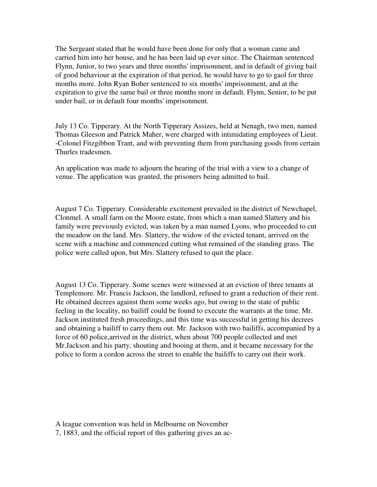The Sergeant stated that he would have been done for only that a woman came and carried him into her house, and he has been laid up ever since. The Chairman sentenced Flynn, Junior, to two years and three months' imprisonment, and in default of giving bail of good behaviour at the expiration of that period, he would have to go to gaol for three months more. John Ryan Boher sentenced to six months' imprisonment, and at the expiration to give the same bail or three months more in default. Flynn, Senior, to be put under bail, or in default four months' imprisonment.

July 13 Co. Tipperary. At the North Tipperary Assizes, held at Nenagh, two men, named Thomas Gleeson and Patrick Maher, were charged with intimidating employees of Lieut. -Colonel Fitzgibbon Trant, and with preventing them from purchasing goods from certain Thurles tradesmen.

An application was made to adjourn the hearing of the trial with a view to a change of venue. The application was granted, the prisoners being admitted to bail.

August 7 Co. Tipperary. Considerable excitement prevailed in the district of Newchapel, Clonmel. A small farm on the Moore estate, from which a man named Slattery and his family were previously evicted, was taken by a man named Lyons, who proceeded to cut the meadow on the land. Mrs. Slattery, the widow of the evicted tenant, arrived on the scene with a machine and commenced cutting what remained of the standing grass. The police were called upon, but Mrs. Slattery refused to quit the place.

August 13 Co. Tipperary. Some scenes were witnessed at an eviction of three tenants at Templemore. Mr. Francis Jackson, the landlord, refused to grant a reduction of their rent. He obtained decrees against them some weeks ago, but owing to the state of public feeling in the locality, no bailiff could be found to execute the warrants at the time. Mr. Jackson instituted fresh proceedings, and this time was successful in getting his decrees and obtaining a bailiff to carry them out. Mr. Jackson with two bailiffs, accompanied by a force of 60 police,arrived in the district, when about 700 people collected and met Mr.Jackson and his party, shouting and booing at them, and it became necessary for the police to form a cordon across the street to enable the bailiffs to carry out their work.

- A league convention was held in Melbourne on November
- 7, 1883, and the official report of this gathering gives an ac-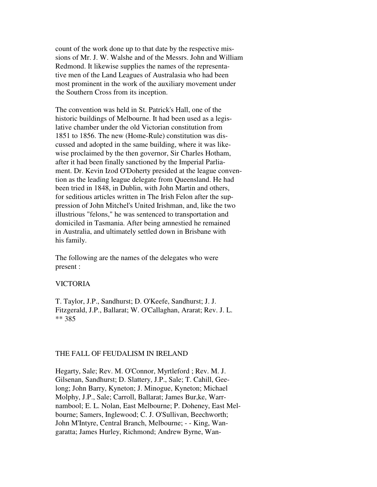count of the work done up to that date by the respective missions of Mr. J. W. Walshe and of the Messrs. John and William Redmond. It likewise supplies the names of the representative men of the Land Leagues of Australasia who had been most prominent in the work of the auxiliary movement under the Southern Cross from its inception.

The convention was held in St. Patrick's Hall, one of the historic buildings of Melbourne. It had been used as a legislative chamber under the old Victorian constitution from 1851 to 1856. The new (Home-Rule) constitution was discussed and adopted in the same building, where it was likewise proclaimed by the then governor, Sir Charles Hotham, after it had been finally sanctioned by the Imperial Parliament. Dr. Kevin Izod O'Doherty presided at the league convention as the leading league delegate from Queensland. He had been tried in 1848, in Dublin, with John Martin and others, for seditious articles written in The Irish Felon after the suppression of John Mitchel's United Irishman, and, like the two illustrious "felons," he was sentenced to transportation and domiciled in Tasmania. After being amnestied he remained in Australia, and ultimately settled down in Brisbane with his family.

The following are the names of the delegates who were present :

#### VICTORIA

T. Taylor, J.P., Sandhurst; D. O'Keefe, Sandhurst; J. J. Fitzgerald, J.P., Ballarat; W. O'Callaghan, Ararat; Rev. J. L. \*\* 385

#### THE FALL OF FEUDALISM IN IRELAND

Hegarty, Sale; Rev. M. O'Connor, Myrtleford ; Rev. M. J. Gilsenan, Sandhurst; D. Slattery, J.P., Sale; T. Cahill, Geelong; John Barry, Kyneton; J. Minogue, Kyneton; Michael Molphy, J.P., Sale; Carroll, Ballarat; James Bur,ke, Warrnambool; E. L. Nolan, East Melbourne; P. Doheney, East Melbourne; Samers, Inglewood; C. J. O'Sullivan, Beechworth; John M'Intyre, Central Branch, Melbourne; - - King, Wangaratta; James Hurley, Richmond; Andrew Byrne, Wan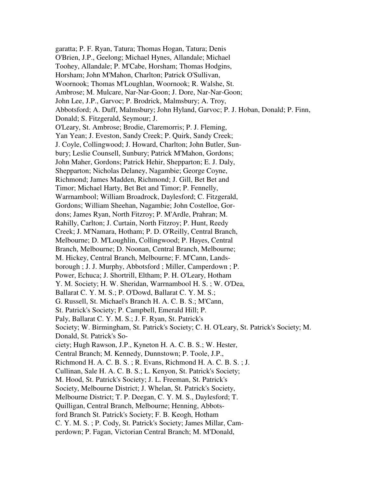garatta; P. F. Ryan, Tatura; Thomas Hogan, Tatura; Denis O'Brien, J.P., Geelong; Michael Hynes, Allandale; Michael Toohey, Allandale; P. M'Cabe, Horsham; Thomas Hodgins, Horsham; John M'Mahon, Charlton; Patrick O'Sullivan, Woornook; Thomas M'Loughlan, Woornook; R. Walshe, St. Ambrose; M. Mulcare, Nar-Nar-Goon; J. Dore, Nar-Nar-Goon; John Lee, J.P., Garvoc; P. Brodrick, Malmsbury; A. Troy, Abbotsford; A. Duff, Malmsbury; John Hyland, Garvoc; P. J. Hoban, Donald; P. Finn, Donald; S. Fitzgerald, Seymour; J. O'Leary, St. Ambrose; Brodie, Claremorris; P. J. Fleming, Yan Yean; J. Eveston, Sandy Creek; P. Quirk, Sandy Creek; J. Coyle, Collingwood; J. Howard, Charlton; John Butler, Sunbury; Leslie Counsell, Sunbury; Patrick M'Mahon, Gordons; John Maher, Gordons; Patrick Hehir, Shepparton; E. J. Daly, Shepparton; Nicholas Delaney, Nagambie; George Coyne, Richmond; James Madden, Richmond; J. Gill, Bet Bet and Timor; Michael Harty, Bet Bet and Timor; P. Fennelly, Warrnambool; William Broadrock, Daylesford; C. Fitzgerald, Gordons; William Sheehan, Nagambie; John Costelloe, Gordons; James Ryan, North Fitzroy; P. M'Ardle, Prahran; M. Rahilly, Carlton; J. Curtain, North Fitzroy; P. Hunt, Reedy Creek; J. M'Namara, Hotham; P. D. O'Reilly, Central Branch, Melbourne; D. M'Loughlin, Collingwood; P. Hayes, Central Branch, Melbourne; D. Noonan, Central Branch, Melbourne; M. Hickey, Central Branch, Melbourne; F. M'Cann, Landsborough ; J. J. Murphy, Abbotsford ; Miller, Camperdown ; P. Power, Echuca; J. Shortrill, Eltham; P. H. O'Leary, Hotham Y. M. Society; H. W. Sheridan, Warrnambool H. S. ; W. O'Dea, Ballarat C. Y. M. S.; P. O'Dowd, Ballarat C. Y. M. S.; G. Russell, St. Michael's Branch H. A. C. B. S.; M'Cann, St. Patrick's Society; P. Campbell, Emerald Hill; P. Paly, Ballarat C. Y. M. S.; J. F. Ryan, St. Patrick's Society; W. Birmingham, St. Patrick's Society; C. H. O'Leary, St. Patrick's Society; M. Donald, St. Patrick's Society; Hugh Rawson, J.P., Kyneton H. A. C. B. S.; W. Hester, Central Branch; M. Kennedy, Dunnstown; P. Toole, J.P., Richmond H. A. C. B. S. ; R. Evans, Richmond H. A. C. B. S. ; J. Cullinan, Sale H. A. C. B. S.; L. Kenyon, St. Patrick's Society; M. Hood, St. Patrick's Society; J. L. Freeman, St. Patrick's Society, Melbourne District; J. Whelan, St. Patrick's Society, Melbourne District; T. P. Deegan, C. Y. M. S., Daylesford; T. Quilligan, Central Branch, Melbourne; Henning, Abbotsford Branch St. Patrick's Society; F. B. Keogh, Hotham C. Y. M. S. ; P. Cody, St. Patrick's Society; James Millar, Camperdown; P. Fagan, Victorian Central Branch; M. M'Donald,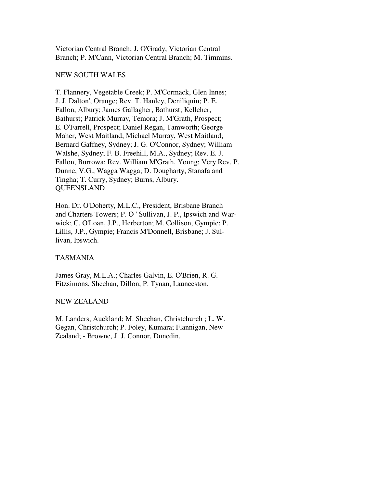Victorian Central Branch; J. O'Grady, Victorian Central Branch; P. M'Cann, Victorian Central Branch; M. Timmins.

#### NEW SOUTH WALES

T. Flannery, Vegetable Creek; P. M'Cormack, Glen Innes; J. J. Dalton', Orange; Rev. T. Hanley, Deniliquin; P. E. Fallon, Albury; James Gallagher, Bathurst; Kelleher, Bathurst; Patrick Murray, Temora; J. M'Grath, Prospect; E. O'Farrell, Prospect; Daniel Regan, Tamworth; George Maher, West Maitland; Michael Murray, West Maitland; Bernard Gaffney, Sydney; J. G. O'Connor, Sydney; William Walshe, Sydney; F. B. Freehill, M.A., Sydney; Rev. E. J. Fallon, Burrowa; Rev. William M'Grath, Young; Very Rev. P. Dunne, V.G., Wagga Wagga; D. Dougharty, Stanafa and Tingha; T. Curry, Sydney; Burns, Albury. **QUEENSLAND** 

Hon. Dr. O'Doherty, M.L.C., President, Brisbane Branch and Charters Towers; P. O ' Sullivan, J. P., Ipswich and Warwick; C. O'Loan, J.P., Herberton; M. Collison, Gympie; P. Lillis, J.P., Gympie; Francis M'Donnell, Brisbane; J. Sullivan, Ipswich.

## TASMANIA

James Gray, M.L.A.; Charles Galvin, E. O'Brien, R. G. Fitzsimons, Sheehan, Dillon, P. Tynan, Launceston.

## NEW ZEALAND

M. Landers, Auckland; M. Sheehan, Christchurch ; L. W. Gegan, Christchurch; P. Foley, Kumara; Flannigan, New Zealand; - Browne, J. J. Connor, Dunedin.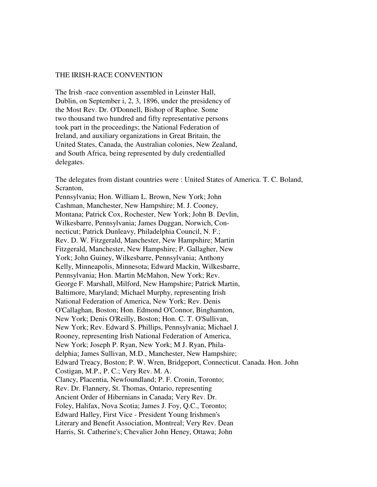#### THE IRISH-RACE CONVENTION

The Irish -race convention assembled in Leinster Hall, Dublin, on September i, 2, 3, 1896, under the presidency of the Most Rev. Dr. O'Donnell, Bishop of Raphoe. Some two thousand two hundred and fifty representative persons took part in the proceedings; the National Federation of Ireland, and auxiliary organizations in Great Britain, the United States, Canada, the Australian colonies, New Zealand, and South Africa, being represented by duly credentialled delegates.

The delegates from distant countries were : United States of America. T. C. Boland, Scranton,

Pennsylvania; Hon. William L. Brown, New York; John Cashman, Manchester, New Hampshire; M. J. Cooney, Montana; Patrick Cox, Rochester, New York; John B. Devlin, Wilkesbarre, Pennsylvania; James Duggan, Norwich, Connecticut; Patrick Dunleavy, Philadelphia Council, N. F.; Rev. D. W. Fitzgerald, Manchester, New Hampshire; Martin Fitzgerald, Manchester, New Hampshire; P. Gallagher, New York; John Guiney, Wilkesbarre, Pennsylvania; Anthony Kelly, Minneapolis, Minnesota; Edward Mackin, Wilkesbarre, Pennsylvania; Hon. Martin McMahon, New York; Rev. George F. Marshall, Milford, New Hampshire; Patrick Martin, Baltimore, Maryland; Michael Murphy, representing Irish National Federation of America, New York; Rev. Denis O'Callaghan, Boston; Hon. Edmond O'Connor, Binghamton, New York; Denis O'Reilly, Boston; Hon. C. T. O'Sullivan, New York; Rev. Edward S. Phillips, Pennsylvania; Michael J. Rooney, representing Irish National Federation of America, New York; Joseph P. Ryan, New York; M J. Ryan, Philadelphia; James Sullivan, M.D., Manchester, New Hampshire; Edward Treacy, Boston; P. W. Wren, Bridgeport, Connecticut. Canada. Hon. John Costigan, M.P., P. C.; Very Rev. M. A. Clancy, Placentia, Newfoundland; P. F. Cronin, Toronto; Rev. Dr. Flannery, St. Thomas, Ontario, representing Ancient Order of Hibernians in Canada; Very Rev. Dr. Foley, Halifax, Nova Scotia; James J. Foy, Q.C., Toronto; Edward Halley, First Vice - President Young Irishmen's Literary and Benefit Association, Montreal; Very Rev. Dean Harris, St. Catherine's; Chevalier John Heney, Ottawa; John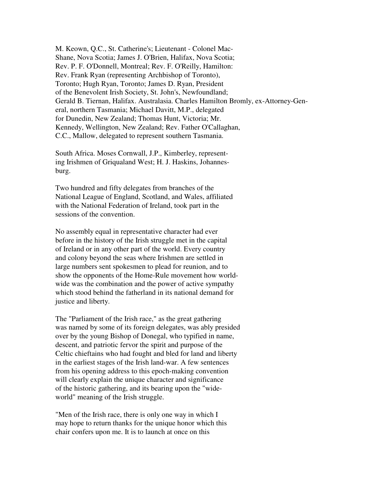M. Keown, Q.C., St. Catherine's; Lieutenant - Colonel Mac-Shane, Nova Scotia; James J. O'Brien, Halifax, Nova Scotia; Rev. P. F. O'Donnell, Montreal; Rev. F. O'Reilly, Hamilton: Rev. Frank Ryan (representing Archbishop of Toronto), Toronto; Hugh Ryan, Toronto; James D. Ryan, President of the Benevolent Irish Society, St. John's, Newfoundland; Gerald B. Tiernan, Halifax. Australasia. Charles Hamilton Bromly, ex-Attorney-General, northern Tasmania; Michael Davitt, M.P., delegated for Dunedin, New Zealand; Thomas Hunt, Victoria; Mr. Kennedy, Wellington, New Zealand; Rev. Father O'Callaghan, C.C., Mallow, delegated to represent southern Tasmania.

South Africa. Moses Cornwall, J.P., Kimberley, representing Irishmen of Griqualand West; H. J. Haskins, Johannesburg.

Two hundred and fifty delegates from branches of the National League of England, Scotland, and Wales, affiliated with the National Federation of Ireland, took part in the sessions of the convention.

No assembly equal in representative character had ever before in the history of the Irish struggle met in the capital of Ireland or in any other part of the world. Every country and colony beyond the seas where Irishmen are settled in large numbers sent spokesmen to plead for reunion, and to show the opponents of the Home-Rule movement how worldwide was the combination and the power of active sympathy which stood behind the fatherland in its national demand for justice and liberty.

The "Parliament of the Irish race," as the great gathering was named by some of its foreign delegates, was ably presided over by the young Bishop of Donegal, who typified in name, descent, and patriotic fervor the spirit and purpose of the Celtic chieftains who had fought and bled for land and liberty in the earliest stages of the Irish land-war. A few sentences from his opening address to this epoch-making convention will clearly explain the unique character and significance of the historic gathering, and its bearing upon the "wideworld" meaning of the Irish struggle.

"Men of the Irish race, there is only one way in which I may hope to return thanks for the unique honor which this chair confers upon me. It is to launch at once on this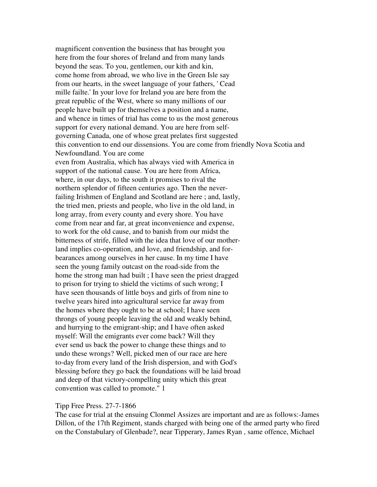magnificent convention the business that has brought you here from the four shores of Ireland and from many lands beyond the seas. To you, gentlemen, our kith and kin, come home from abroad, we who live in the Green Isle say from our hearts, in the sweet language of your fathers, ' Cead mille failte.' In your love for Ireland you are here from the great republic of the West, where so many millions of our people have built up for themselves a position and a name, and whence in times of trial has come to us the most generous support for every national demand. You are here from selfgoverning Canada, one of whose great prelates first suggested this convention to end our dissensions. You are come from friendly Nova Scotia and Newfoundland. You are come even from Australia, which has always vied with America in support of the national cause. You are here from Africa, where, in our days, to the south it promises to rival the northern splendor of fifteen centuries ago. Then the neverfailing Irishmen of England and Scotland are here ; and, lastly, the tried men, priests and people, who live in the old land, in long array, from every county and every shore. You have come from near and far, at great inconvenience and expense, to work for the old cause, and to banish from our midst the bitterness of strife, filled with the idea that love of our motherland implies co-operation, and love, and friendship, and forbearances among ourselves in her cause. In my time I have seen the young family outcast on the road-side from the home the strong man had built ; I have seen the priest dragged to prison for trying to shield the victims of such wrong; I have seen thousands of little boys and girls of from nine to twelve years hired into agricultural service far away from the homes where they ought to be at school; I have seen throngs of young people leaving the old and weakly behind, and hurrying to the emigrant-ship; and I have often asked myself: Will the emigrants ever come back? Will they ever send us back the power to change these things and to undo these wrongs? Well, picked men of our race are here to-day from every land of the Irish dispersion, and with God's blessing before they go back the foundations will be laid broad and deep of that victory-compelling unity which this great convention was called to promote." 1

#### Tipp Free Press. 27-7-1866

The case for trial at the ensuing Clonmel Assizes are important and are as follows:-James Dillon, of the 17th Regiment, stands charged with being one of the armed party who fired on the Constabulary of Glenbade?, near Tipperary, James Ryan , same offence, Michael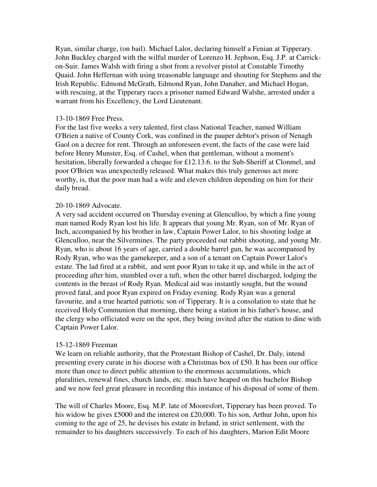Ryan, similar charge, (on bail). Michael Lalor, declaring himself a Fenian at Tipperary. John Buckley charged with the wilful murder of Lorenzo H. Jephson, Esq. J.P. at Carrickon-Suir. James Walsh with firing a shot from a revolver pistol at Constable Timothy Quaid. John Heffernan with using treasonable language and shouting for Stephens and the Irish Republic. Edmond McGrath, Edmond Ryan, John Danaher, and Michael Hogan, with rescuing, at the Tipperary races a prisoner named Edward Walshe, arrested under a warrant from his Excellency, the Lord Lieutenant.

## 13-10-1869 Free Press.

For the last five weeks a very talented, first class National Teacher, named William O'Brien a native of County Cork, was confined in the pauper debtor's prison of Nenagh Gaol on a decree for rent. Through an unforeseen event, the facts of the case were laid before Henry Munster, Esq. of Cashel, when that gentleman, without a moment's hesitation, liberally forwarded a cheque for £12.13.6. to the Sub-Sheriff at Clonmel, and poor O'Brien was unexpectedly released. What makes this truly generous act more worthy, is, that the poor man had a wife and eleven children depending on him for their daily bread.

## 20-10-1869 Advocate.

A very sad accident occurred on Thursday evening at Glenculloo, by which a fine young man named Rody Ryan lost his life. It appears that young Mr. Ryan, son of Mr. Ryan of Inch, accompanied by his brother in law, Captain Power Lalor, to his shooting lodge at Glenculloo, near the Silvermines. The party proceeded out rabbit shooting, and young Mr. Ryan, who is about 16 years of age, carried a double barrel gun, he was accompanied by Rody Ryan, who was the gamekeeper, and a son of a tenant on Captain Power Lalor's estate. The lad fired at a rabbit, and sent poor Ryan to take it up, and while in the act of proceeding after him, stumbled over a tuft, when the other barrel discharged, lodging the contents in the breast of Rody Ryan. Medical aid was instantly sought, but the wound proved fatal, and poor Ryan expired on Friday evening. Rody Ryan was a general favourite, and a true hearted patriotic son of Tipperary. It is a consolation to state that he received Holy Communion that morning, there being a station in his father's house, and the clergy who officiated were on the spot, they being invited after the station to dine with Captain Power Lalor.

## 15-12-1869 Freeman

We learn on reliable authority, that the Protestant Bishop of Cashel, Dr. Daly, intend presenting every curate in his diocese with a Christmas box of £50. It has been our office more than once to direct public attention to the enormous accumulations, which pluralities, renewal fines, church lands, etc. much have heaped on this bachelor Bishop and we now feel great pleasure in recording this instance of his disposal of some of them.

The will of Charles Moore, Esq. M.P. late of Mooresfort, Tipperary has been proved. To his widow he gives £5000 and the interest on £20,000. To his son, Arthur John, upon his coming to the age of 25, he devises his estate in Ireland, in strict settlement, with the remainder to his daughters successively. To each of his daughters, Marion Edit Moore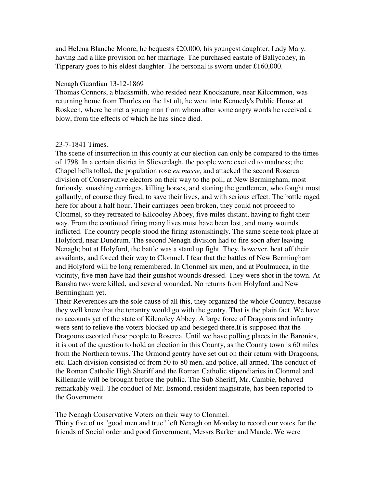and Helena Blanche Moore, he bequests £20,000, his youngest daughter, Lady Mary, having had a like provision on her marriage. The purchased eastate of Ballycohey, in Tipperary goes to his eldest daughter. The personal is sworn under £160,000.

#### Nenagh Guardian 13-12-1869

Thomas Connors, a blacksmith, who resided near Knockanure, near Kilcommon, was returning home from Thurles on the 1st ult, he went into Kennedy's Public House at Roskeen, where he met a young man from whom after some angry words he received a blow, from the effects of which he has since died.

#### 23-7-1841 Times.

The scene of insurrection in this county at our election can only be compared to the times of 1798. In a certain district in Slieverdagh, the people were excited to madness; the Chapel bells tolled, the population rose *en masse,* and attacked the second Roscrea division of Conservative electors on their way to the poll, at New Bermingham, most furiously, smashing carriages, killing horses, and stoning the gentlemen, who fought most gallantly; of course they fired, to save their lives, and with serious effect. The battle raged here for about a half hour. Their carriages been broken, they could not proceed to Clonmel, so they retreated to Kilcooley Abbey, five miles distant, having to fight their way. From the continued firing many lives must have been lost, and many wounds inflicted. The country people stood the firing astonishingly. The same scene took place at Holyford, near Dundrum. The second Nenagh division had to fire soon after leaving Nenagh; but at Holyford, the battle was a stand up fight. They, however, beat off their assailants, and forced their way to Clonmel. I fear that the battles of New Bermingham and Holyford will be long remembered. In Clonmel six men, and at Poulmucca, in the vicinity, five men have had their gunshot wounds dressed. They were shot in the town. At Bansha two were killed, and several wounded. No returns from Holyford and New Bermingham yet.

Their Reverences are the sole cause of all this, they organized the whole Country, because they well knew that the tenantry would go with the gentry. That is the plain fact. We have no accounts yet of the state of Kilcooley Abbey. A large force of Dragoons and infantry were sent to relieve the voters blocked up and besieged there.It is supposed that the Dragoons escorted these people to Roscrea. Until we have polling places in the Baronies, it is out of the question to hold an election in this County, as the County town is 60 miles from the Northern towns. The Ormond gentry have set out on their return with Dragoons, etc. Each division consisted of from 50 to 80 men, and police, all armed. The conduct of the Roman Catholic High Sheriff and the Roman Catholic stipendiaries in Clonmel and Killenaule will be brought before the public. The Sub Sheriff, Mr. Cambie, behaved remarkably well. The conduct of Mr. Esmond, resident magistrate, has been reported to the Government.

The Nenagh Conservative Voters on their way to Clonmel.

Thirty five of us "good men and true" left Nenagh on Monday to record our votes for the friends of Social order and good Government, Messrs Barker and Maude. We were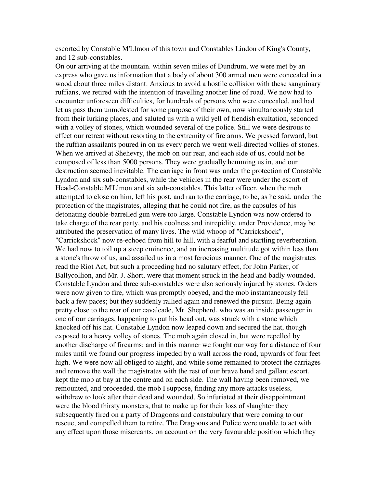escorted by Constable M'Llmon of this town and Constables Lindon of King's County, and 12 sub-constables.

On our arriving at the mountain. within seven miles of Dundrum, we were met by an express who gave us information that a body of about 300 armed men were concealed in a wood about three miles distant. Anxious to avoid a hostile collision with these sanguinary ruffians, we retired with the intention of travelling another line of road. We now had to encounter unforeseen difficulties, for hundreds of persons who were concealed, and had let us pass them unmolested for some purpose of their own, now simultaneously started from their lurking places, and saluted us with a wild yell of fiendish exultation, seconded with a volley of stones, which wounded several of the police. Still we were desirous to effect our retreat without resorting to the extremity of fire arms. We pressed forward, but the ruffian assailants poured in on us every perch we went well-directed vollies of stones. When we arrived at Shehevry, the mob on our rear, and each side of us, could not be composed of less than 5000 persons. They were gradually hemming us in, and our destruction seemed inevitable. The carriage in front was under the protection of Constable Lyndon and six sub-constables, while the vehicles in the rear were under the escort of Head-Constable M'Llmon and six sub-constables. This latter officer, when the mob attempted to close on him, left his post, and ran to the carriage, to be, as he said, under the protection of the magistrates, alleging that he could not fire, as the capsules of his detonating double-barrelled gun were too large. Constable Lyndon was now ordered to take charge of the rear party, and his coolness and intrepidity, under Providence, may be attributed the preservation of many lives. The wild whoop of "Carrickshock", "Carrickshock" now re-echoed from hill to hill, with a fearful and startling reverberation. We had now to toil up a steep eminence, and an increasing multitude got within less than a stone's throw of us, and assailed us in a most ferocious manner. One of the magistrates read the Riot Act, but such a proceeding had no salutary effect, for John Parker, of Ballycollion, and Mr. J. Short, were that moment struck in the head and badly wounded. Constable Lyndon and three sub-constables were also seriously injured by stones. Orders were now given to fire, which was promptly obeyed, and the mob instantaneously fell back a few paces; but they suddenly rallied again and renewed the pursuit. Being again pretty close to the rear of our cavalcade, Mr. Shepherd, who was an inside passenger in one of our carriages, happening to put his head out, was struck with a stone which knocked off his hat. Constable Lyndon now leaped down and secured the hat, though exposed to a heavy volley of stones. The mob again closed in, but were repelled by another discharge of firearms; and in this manner we fought our way for a distance of four miles until we found our progress impeded by a wall across the road, upwards of four feet high. We were now all obliged to alight, and while some remained to protect the carriages and remove the wall the magistrates with the rest of our brave band and gallant escort, kept the mob at bay at the centre and on each side. The wall having been removed, we remounted, and proceeded, the mob I suppose, finding any more attacks useless, withdrew to look after their dead and wounded. So infuriated at their disappointment were the blood thirsty monsters, that to make up for their loss of slaughter they subsequently fired on a party of Dragoons and constabulary that were coming to our rescue, and compelled them to retire. The Dragoons and Police were unable to act with any effect upon those miscreants, on account on the very favourable position which they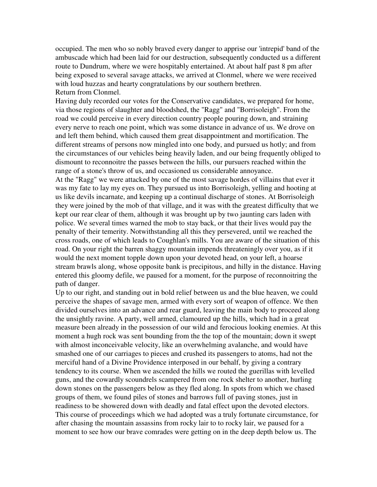occupied. The men who so nobly braved every danger to apprise our 'intrepid' band of the ambuscade which had been laid for our destruction, subsequently conducted us a different route to Dundrum, where we were hospitably entertained. At about half past 8 pm after being exposed to several savage attacks, we arrived at Clonmel, where we were received with loud huzzas and hearty congratulations by our southern brethren. Return from Clonmel.

Having duly recorded our votes for the Conservative candidates, we prepared for home, via those regions of slaughter and bloodshed, the "Ragg" and "Borrisoleigh". From the road we could perceive in every direction country people pouring down, and straining every nerve to reach one point, which was some distance in advance of us. We drove on and left them behind, which caused them great disappointment and mortification. The different streams of persons now mingled into one body, and pursued us hotly; and from the circumstances of our vehicles being heavily laden, and our being frequently obliged to dismount to reconnoitre the passes between the hills, our pursuers reached within the range of a stone's throw of us, and occasioned us considerable annoyance.

At the "Ragg" we were attacked by one of the most savage hordes of villains that ever it was my fate to lay my eyes on. They pursued us into Borrisoleigh, yelling and hooting at us like devils incarnate, and keeping up a continual discharge of stones. At Borrisoleigh they were joined by the mob of that village, and it was with the greatest difficulty that we kept our rear clear of them, although it was brought up by two jaunting cars laden with police. We several times warned the mob to stay back, or that their lives would pay the penalty of their temerity. Notwithstanding all this they persevered, until we reached the cross roads, one of which leads to Coughlan's mills. You are aware of the situation of this road. On your right the barren shaggy mountain impends threateningly over you, as if it would the next moment topple down upon your devoted head, on your left, a hoarse stream brawls along, whose opposite bank is precipitous, and hilly in the distance. Having entered this gloomy defile, we paused for a moment, for the purpose of reconnoitring the path of danger.

Up to our right, and standing out in bold relief between us and the blue heaven, we could perceive the shapes of savage men, armed with every sort of weapon of offence. We then divided ourselves into an advance and rear guard, leaving the main body to proceed along the unsightly ravine. A party, well armed, clamoured up the hills, which had in a great measure been already in the possession of our wild and ferocious looking enemies. At this moment a hugh rock was sent bounding from the the top of the mountain; down it swept with almost inconceivable velocity, like an overwhelming avalanche, and would have smashed one of our carriages to pieces and crushed its passengers to atoms, had not the merciful hand of a Divine Providence interposed in our behalf, by giving a contrary tendency to its course. When we ascended the hills we routed the guerillas with levelled guns, and the cowardly scoundrels scampered from one rock shelter to another, hurling down stones on the passengers below as they fled along. In spots from which we chased groups of them, we found piles of stones and barrows full of paving stones, just in readiness to be showered down with deadly and fatal effect upon the devoted electors. This course of proceedings which we had adopted was a truly fortunate circumstance, for after chasing the mountain assassins from rocky lair to to rocky lair, we paused for a moment to see how our brave comrades were getting on in the deep depth below us. The